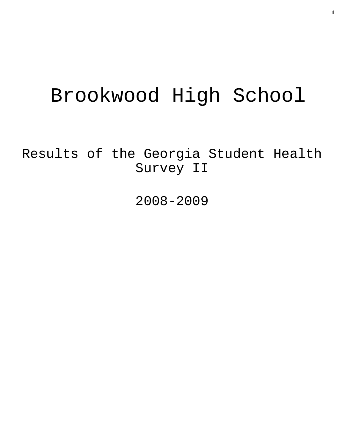# Brookwood High School

Results of the Georgia Student Health Survey II

2008-2009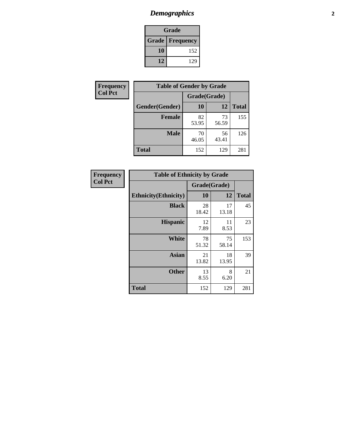# *Demographics* **2**

| Grade                  |     |  |  |  |
|------------------------|-----|--|--|--|
| <b>Grade Frequency</b> |     |  |  |  |
| 10                     | 152 |  |  |  |
| 12                     | 129 |  |  |  |

| Frequency      | <b>Table of Gender by Grade</b> |              |             |              |  |
|----------------|---------------------------------|--------------|-------------|--------------|--|
| <b>Col Pct</b> |                                 | Grade(Grade) |             |              |  |
|                | Gender(Gender)                  | 10           | 12          | <b>Total</b> |  |
|                | <b>Female</b>                   | 82<br>53.95  | 73<br>56.59 | 155          |  |
|                | <b>Male</b>                     | 70<br>46.05  | 56<br>43.41 | 126          |  |
|                | <b>Total</b>                    | 152          | 129         | 281          |  |

| <b>Frequency</b><br>Col Pct |
|-----------------------------|

| <b>Table of Ethnicity by Grade</b> |              |             |              |  |  |  |
|------------------------------------|--------------|-------------|--------------|--|--|--|
|                                    | Grade(Grade) |             |              |  |  |  |
| <b>Ethnicity</b> (Ethnicity)       | 10           | 12          | <b>Total</b> |  |  |  |
| <b>Black</b>                       | 28<br>18.42  | 17<br>13.18 | 45           |  |  |  |
| <b>Hispanic</b>                    | 12<br>7.89   | 11<br>8.53  | 23           |  |  |  |
| White                              | 78<br>51.32  | 75<br>58.14 | 153          |  |  |  |
| <b>Asian</b>                       | 21<br>13.82  | 18<br>13.95 | 39           |  |  |  |
| <b>Other</b>                       | 13<br>8.55   | 8<br>6.20   | 21           |  |  |  |
| <b>Total</b>                       | 152          | 129         | 281          |  |  |  |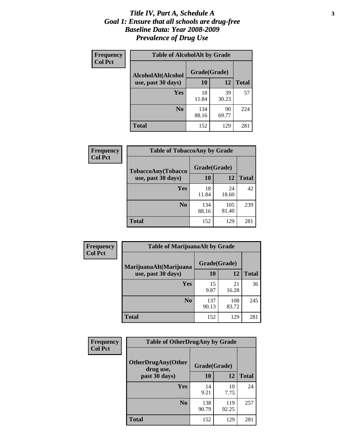#### *Title IV, Part A, Schedule A* **3** *Goal 1: Ensure that all schools are drug-free Baseline Data: Year 2008-2009 Prevalence of Drug Use*

| Frequency<br><b>Col Pct</b> | <b>Table of AlcoholAlt by Grade</b> |              |             |              |  |
|-----------------------------|-------------------------------------|--------------|-------------|--------------|--|
|                             | AlcoholAlt(Alcohol                  | Grade(Grade) |             |              |  |
|                             | use, past 30 days)                  | <b>10</b>    | 12          | <b>Total</b> |  |
|                             | <b>Yes</b>                          | 18<br>11.84  | 39<br>30.23 | 57           |  |
|                             | N <sub>0</sub>                      | 134<br>88.16 | 90<br>69.77 | 224          |  |
|                             | <b>Total</b>                        | 152          | 129         | 281          |  |

| Frequency      | <b>Table of TobaccoAny by Grade</b> |              |              |              |  |
|----------------|-------------------------------------|--------------|--------------|--------------|--|
| <b>Col Pct</b> | <b>TobaccoAny(Tobacco</b>           | Grade(Grade) |              |              |  |
|                | use, past 30 days)                  | <b>10</b>    | 12           | <b>Total</b> |  |
|                | Yes                                 | 18<br>11.84  | 24<br>18.60  | 42           |  |
|                | N <sub>0</sub>                      | 134<br>88.16 | 105<br>81.40 | 239          |  |
|                | Total                               | 152          | 129          | 281          |  |

| Frequency<br><b>Col Pct</b> | <b>Table of MarijuanaAlt by Grade</b> |              |              |              |  |
|-----------------------------|---------------------------------------|--------------|--------------|--------------|--|
|                             | MarijuanaAlt(Marijuana                | Grade(Grade) |              |              |  |
|                             | use, past 30 days)                    | 10           | 12           | <b>Total</b> |  |
|                             | <b>Yes</b>                            | 15<br>9.87   | 21<br>16.28  | 36           |  |
|                             | N <sub>0</sub>                        | 137<br>90.13 | 108<br>83.72 | 245          |  |
|                             | <b>Total</b>                          | 152          | 129          | 281          |  |

| <b>Frequency</b> | <b>Table of OtherDrugAny by Grade</b>  |              |              |              |  |  |
|------------------|----------------------------------------|--------------|--------------|--------------|--|--|
| <b>Col Pct</b>   | <b>OtherDrugAny(Other</b><br>drug use, | Grade(Grade) |              |              |  |  |
|                  | past 30 days)                          | 10           | 12           | <b>Total</b> |  |  |
|                  | <b>Yes</b>                             | 14<br>9.21   | 10<br>7.75   | 24           |  |  |
|                  | N <sub>0</sub>                         | 138<br>90.79 | 119<br>92.25 | 257          |  |  |
|                  | <b>Total</b>                           | 152          | 129          | 281          |  |  |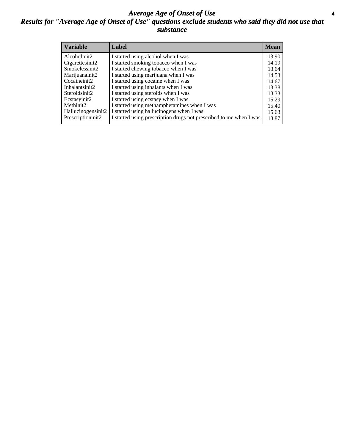#### *Average Age of Onset of Use* **4** *Results for "Average Age of Onset of Use" questions exclude students who said they did not use that substance*

| <b>Variable</b>    | Label                                                              | <b>Mean</b> |
|--------------------|--------------------------------------------------------------------|-------------|
| Alcoholinit2       | I started using alcohol when I was                                 | 13.90       |
| Cigarettesinit2    | I started smoking tobacco when I was                               | 14.19       |
| Smokelessinit2     | I started chewing tobacco when I was                               | 13.64       |
| Marijuanainit2     | I started using marijuana when I was                               | 14.53       |
| Cocaineinit2       | I started using cocaine when I was                                 | 14.67       |
| Inhalantsinit2     | I started using inhalants when I was                               | 13.38       |
| Steroidsinit2      | I started using steroids when I was                                | 13.33       |
| Ecstasyinit2       | I started using ecstasy when I was                                 | 15.29       |
| Methinit2          | I started using methamphetamines when I was                        | 15.40       |
| Hallucinogensinit2 | I started using hallucinogens when I was                           | 15.63       |
| Prescriptioninit2  | I started using prescription drugs not prescribed to me when I was | 13.87       |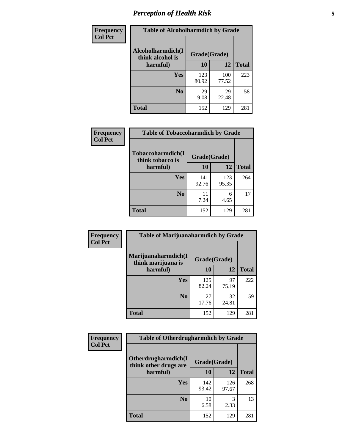# *Perception of Health Risk* **5**

| Frequency      | <b>Table of Alcoholharmdich by Grade</b> |              |              |              |  |
|----------------|------------------------------------------|--------------|--------------|--------------|--|
| <b>Col Pct</b> | Alcoholharmdich(I<br>think alcohol is    | Grade(Grade) |              |              |  |
|                | harmful)                                 | 10           | 12           | <b>Total</b> |  |
|                | <b>Yes</b>                               | 123<br>80.92 | 100<br>77.52 | 223          |  |
|                | N <sub>0</sub>                           | 29<br>19.08  | 29<br>22.48  | 58           |  |
|                | <b>Total</b>                             | 152          | 129          | 281          |  |

| Frequency      | <b>Table of Tobaccoharmdich by Grade</b> |              |              |              |
|----------------|------------------------------------------|--------------|--------------|--------------|
| <b>Col Pct</b> | Tobaccoharmdich(I<br>think tobacco is    | Grade(Grade) |              |              |
|                | harmful)                                 | 10           | 12           | <b>Total</b> |
|                | Yes                                      | 141<br>92.76 | 123<br>95.35 | 264          |
|                | N <sub>0</sub>                           | 11<br>7.24   | 6<br>4.65    | 17           |
|                | <b>Total</b>                             | 152          | 129          | 281          |

| Frequency      | <b>Table of Marijuanaharmdich by Grade</b> |              |             |              |  |
|----------------|--------------------------------------------|--------------|-------------|--------------|--|
| <b>Col Pct</b> | Marijuanaharmdich(I<br>think marijuana is  | Grade(Grade) |             |              |  |
|                | harmful)                                   | 10           | 12          | <b>Total</b> |  |
|                | Yes                                        | 125<br>82.24 | 97<br>75.19 | 222          |  |
|                | N <sub>0</sub>                             | 27<br>17.76  | 32<br>24.81 | 59           |  |
|                | <b>Total</b>                               | 152          | 129         | 281          |  |

| <b>Frequency</b> | <b>Table of Otherdrugharmdich by Grade</b>   |              |              |              |  |  |  |
|------------------|----------------------------------------------|--------------|--------------|--------------|--|--|--|
| <b>Col Pct</b>   | Otherdrugharmdich(I<br>think other drugs are | Grade(Grade) |              |              |  |  |  |
|                  | harmful)                                     | <b>10</b>    | 12           | <b>Total</b> |  |  |  |
|                  | <b>Yes</b>                                   | 142<br>93.42 | 126<br>97.67 | 268          |  |  |  |
|                  | N <sub>0</sub>                               | 10<br>6.58   | 3<br>2.33    | 13           |  |  |  |
|                  | <b>Total</b>                                 | 152          | 129          | 281          |  |  |  |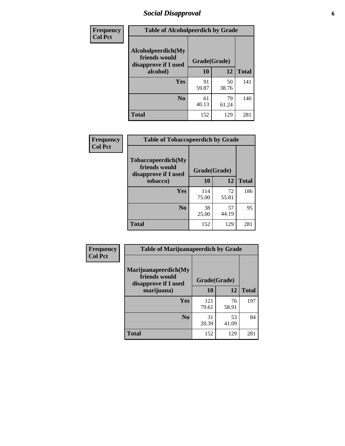# *Social Disapproval* **6**

| <b>Frequency</b> | <b>Table of Alcoholpeerdich by Grade</b>                    |              |             |              |
|------------------|-------------------------------------------------------------|--------------|-------------|--------------|
| <b>Col Pct</b>   | Alcoholpeerdich(My<br>friends would<br>disapprove if I used | Grade(Grade) |             |              |
|                  | alcohol)                                                    | 10           | 12          | <b>Total</b> |
|                  | <b>Yes</b>                                                  | 91<br>59.87  | 50<br>38.76 | 141          |
|                  | N <sub>0</sub>                                              | 61<br>40.13  | 79<br>61.24 | 140          |
|                  | <b>Total</b>                                                | 152          | 129         | 281          |

| <b>Frequency</b> |
|------------------|
| <b>Col Pct</b>   |

| <b>Table of Tobaccopeerdich by Grade</b>                            |              |             |              |  |  |  |
|---------------------------------------------------------------------|--------------|-------------|--------------|--|--|--|
| <b>Tobaccopeerdich</b> (My<br>friends would<br>disapprove if I used | Grade(Grade) |             |              |  |  |  |
| tobacco)                                                            | 10           | 12          | <b>Total</b> |  |  |  |
| Yes                                                                 | 114<br>75.00 | 72<br>55.81 | 186          |  |  |  |
| N <sub>0</sub>                                                      | 38<br>25.00  | 57<br>44.19 | 95           |  |  |  |
| <b>Total</b>                                                        | 152          | 129         | 281          |  |  |  |

| <b>Frequency</b> | <b>Table of Marijuanapeerdich by Grade</b>                    |              |             |              |  |  |  |  |  |
|------------------|---------------------------------------------------------------|--------------|-------------|--------------|--|--|--|--|--|
| <b>Col Pct</b>   | Marijuanapeerdich(My<br>friends would<br>disapprove if I used | Grade(Grade) |             |              |  |  |  |  |  |
|                  | marijuana)                                                    | 10           | 12          | <b>Total</b> |  |  |  |  |  |
|                  | <b>Yes</b>                                                    | 121<br>79.61 | 76<br>58.91 | 197          |  |  |  |  |  |
|                  | N <sub>0</sub>                                                | 31<br>20.39  | 53<br>41.09 | 84           |  |  |  |  |  |
|                  | <b>Total</b>                                                  | 152          | 129         | 281          |  |  |  |  |  |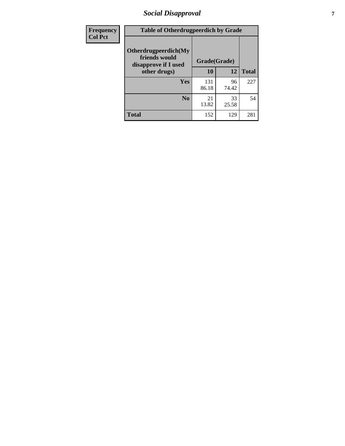# *Social Disapproval* **7**

| Frequency      | <b>Table of Otherdrugpeerdich by Grade</b>                    |              |             |              |  |  |  |  |
|----------------|---------------------------------------------------------------|--------------|-------------|--------------|--|--|--|--|
| <b>Col Pct</b> | Otherdrugpeerdich(My<br>friends would<br>disapprove if I used | Grade(Grade) |             |              |  |  |  |  |
|                | other drugs)                                                  | 10           | 12          | <b>Total</b> |  |  |  |  |
|                | Yes                                                           | 131<br>86.18 | 96<br>74.42 | 227          |  |  |  |  |
|                | N <sub>0</sub>                                                | 21<br>13.82  | 33<br>25.58 | 54           |  |  |  |  |
|                | <b>Total</b>                                                  | 152          | 129         | 281          |  |  |  |  |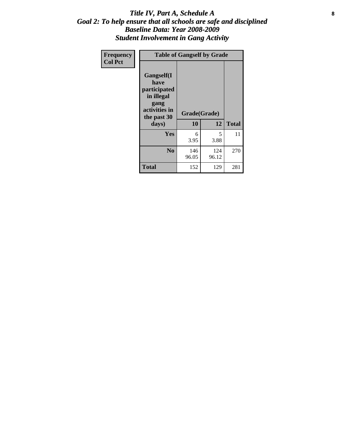#### Title IV, Part A, Schedule A **8** *Goal 2: To help ensure that all schools are safe and disciplined Baseline Data: Year 2008-2009 Student Involvement in Gang Activity*

| Frequency      |                                                                                                   | <b>Table of Gangself by Grade</b> |              |              |
|----------------|---------------------------------------------------------------------------------------------------|-----------------------------------|--------------|--------------|
| <b>Col Pct</b> | Gangself(I<br>have<br>participated<br>in illegal<br>gang<br>activities in<br>the past 30<br>days) | Grade(Grade)<br>10                | 12           | <b>Total</b> |
|                | Yes                                                                                               | 6<br>3.95                         | 5<br>3.88    | 11           |
|                | N <sub>0</sub>                                                                                    | 146<br>96.05                      | 124<br>96.12 | 270          |
|                | <b>Total</b>                                                                                      | 152                               | 129          | 281          |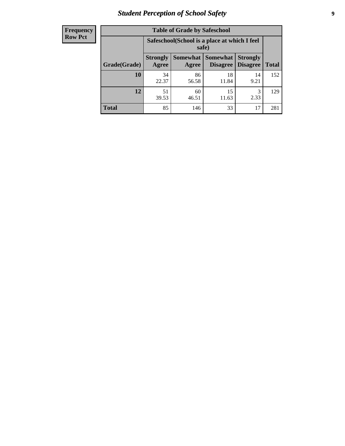# *Student Perception of School Safety* **9**

| <b>Frequency</b><br>Row Pct |
|-----------------------------|
|                             |

| <b>Table of Grade by Safeschool</b> |                                                                                                               |                                                        |             |            |     |  |  |  |
|-------------------------------------|---------------------------------------------------------------------------------------------------------------|--------------------------------------------------------|-------------|------------|-----|--|--|--|
|                                     |                                                                                                               | Safeschool (School is a place at which I feel<br>safe) |             |            |     |  |  |  |
| Grade(Grade)                        | Somewhat  <br>Somewhat<br><b>Strongly</b><br><b>Strongly</b><br><b>Disagree</b><br>Agree<br>Disagree<br>Agree |                                                        |             |            |     |  |  |  |
| 10                                  | 34<br>22.37                                                                                                   | 86<br>56.58                                            | 18<br>11.84 | 14<br>9.21 | 152 |  |  |  |
| 12                                  | 51<br>39.53                                                                                                   | 60<br>46.51                                            | 15<br>11.63 | 3<br>2.33  | 129 |  |  |  |
| <b>Total</b>                        | 85                                                                                                            | 146                                                    | 33          | 17         | 281 |  |  |  |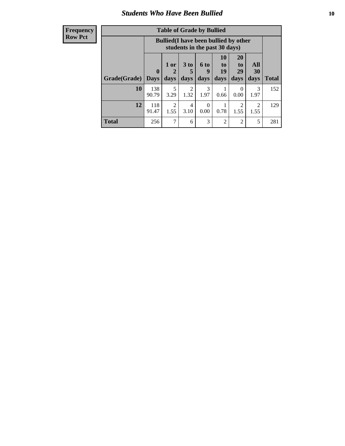### *Students Who Have Been Bullied* **10**

| <b>Frequency</b> |
|------------------|
| Row Pct          |

| <b>Table of Grade by Bullied</b> |                            |                                                                               |                              |                   |                        |                        |                                     |              |
|----------------------------------|----------------------------|-------------------------------------------------------------------------------|------------------------------|-------------------|------------------------|------------------------|-------------------------------------|--------------|
|                                  |                            | <b>Bullied</b> (I have been bullied by other<br>students in the past 30 days) |                              |                   |                        |                        |                                     |              |
| Grade(Grade)                     | $\mathbf 0$<br><b>Days</b> | 1 or<br>2<br>days                                                             | 3 <sub>to</sub><br>5<br>days | 6 to<br>9<br>days | 10<br>to<br>19<br>days | 20<br>to<br>29<br>days | <b>All</b><br>30<br>days            | <b>Total</b> |
| 10                               | 138<br>90.79               | 5<br>3.29                                                                     | 2<br>1.32                    | 3<br>1.97         | 0.66                   | $\theta$<br>0.00       | 3<br>1.97                           | 152          |
| 12                               | 118<br>91.47               | $\overline{2}$<br>1.55                                                        | $\overline{4}$<br>3.10       | $\Omega$<br>0.00  | 0.78                   | 2<br>1.55              | $\mathcal{D}_{\mathcal{L}}$<br>1.55 | 129          |
| <b>Total</b>                     | 256                        | 7                                                                             | 6                            | 3                 | 2                      | $\overline{2}$         | 5                                   | 281          |

 $\blacksquare$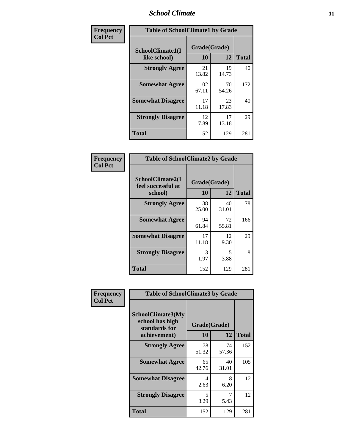### *School Climate* **11**

| <b>Frequency</b> | <b>Table of SchoolClimate1 by Grade</b> |                    |             |              |  |  |
|------------------|-----------------------------------------|--------------------|-------------|--------------|--|--|
| <b>Col Pct</b>   | SchoolClimate1(I<br>like school)        | Grade(Grade)<br>10 | 12          | <b>Total</b> |  |  |
|                  | <b>Strongly Agree</b>                   | 21<br>13.82        | 19<br>14.73 | 40           |  |  |
|                  | <b>Somewhat Agree</b>                   | 102<br>67.11       | 70<br>54.26 | 172          |  |  |
|                  | <b>Somewhat Disagree</b>                | 17<br>11.18        | 23<br>17.83 | 40           |  |  |
|                  | <b>Strongly Disagree</b>                | 12<br>7.89         | 17<br>13.18 | 29           |  |  |
|                  | <b>Total</b>                            | 152                | 129         | 281          |  |  |

| <b>Frequency</b> |
|------------------|
| <b>Col Pct</b>   |

| <b>Table of SchoolClimate2 by Grade</b>           |              |             |     |  |  |
|---------------------------------------------------|--------------|-------------|-----|--|--|
| SchoolClimate2(I<br>feel successful at<br>school) | <b>Total</b> |             |     |  |  |
| <b>Strongly Agree</b>                             | 38<br>25.00  | 40<br>31.01 | 78  |  |  |
| <b>Somewhat Agree</b>                             | 94<br>61.84  | 72<br>55.81 | 166 |  |  |
| <b>Somewhat Disagree</b>                          | 17<br>11.18  | 12<br>9.30  | 29  |  |  |
| <b>Strongly Disagree</b>                          | 3<br>1.97    | 5<br>3.88   | 8   |  |  |
| <b>Total</b>                                      | 152          | 129         | 281 |  |  |

| Frequency      | <b>Table of SchoolClimate3 by Grade</b>                                      |                    |             |              |  |  |
|----------------|------------------------------------------------------------------------------|--------------------|-------------|--------------|--|--|
| <b>Col Pct</b> | <b>SchoolClimate3(My</b><br>school has high<br>standards for<br>achievement) | Grade(Grade)<br>10 | 12          | <b>Total</b> |  |  |
|                | <b>Strongly Agree</b>                                                        | 78<br>51.32        | 74<br>57.36 | 152          |  |  |
|                | <b>Somewhat Agree</b>                                                        | 65<br>42.76        | 40<br>31.01 | 105          |  |  |
|                | <b>Somewhat Disagree</b>                                                     | 4<br>2.63          | 8<br>6.20   | 12           |  |  |
|                | <b>Strongly Disagree</b>                                                     | 5<br>3.29          | 7<br>5.43   | 12           |  |  |
|                | Total                                                                        | 152                | 129         | 281          |  |  |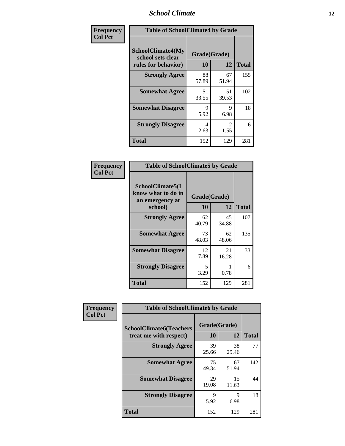### *School Climate* **12**

| Frequency      | <b>Table of SchoolClimate4 by Grade</b>                              |                    |                        |              |  |
|----------------|----------------------------------------------------------------------|--------------------|------------------------|--------------|--|
| <b>Col Pct</b> | <b>SchoolClimate4(My</b><br>school sets clear<br>rules for behavior) | Grade(Grade)<br>10 | 12                     | <b>Total</b> |  |
|                | <b>Strongly Agree</b>                                                | 88<br>57.89        | 67<br>51.94            | 155          |  |
|                | <b>Somewhat Agree</b>                                                | 51<br>33.55        | 51<br>39.53            | 102          |  |
|                | <b>Somewhat Disagree</b>                                             | 9<br>5.92          | 9<br>6.98              | 18           |  |
|                | <b>Strongly Disagree</b>                                             | 4<br>2.63          | $\mathfrak{D}$<br>1.55 | 6            |  |
|                | <b>Total</b>                                                         | 152                | 129                    | 281          |  |

| <b>Table of SchoolClimate5 by Grade</b>                              |                    |             |              |  |  |
|----------------------------------------------------------------------|--------------------|-------------|--------------|--|--|
| SchoolClimate5(I<br>know what to do in<br>an emergency at<br>school) | Grade(Grade)<br>10 | 12          | <b>Total</b> |  |  |
| <b>Strongly Agree</b>                                                | 62<br>40.79        | 45<br>34.88 | 107          |  |  |
| <b>Somewhat Agree</b>                                                | 73<br>48.03        | 62<br>48.06 | 135          |  |  |
| <b>Somewhat Disagree</b>                                             | 12<br>7.89         | 21<br>16.28 | 33           |  |  |
| <b>Strongly Disagree</b>                                             | 5<br>3.29          | 0.78        | 6            |  |  |
| <b>Total</b>                                                         | 152                | 129         | 281          |  |  |

| Frequency      | <b>Table of SchoolClimate6 by Grade</b>                  |                    |             |              |  |  |
|----------------|----------------------------------------------------------|--------------------|-------------|--------------|--|--|
| <b>Col Pct</b> | <b>SchoolClimate6(Teachers</b><br>treat me with respect) | Grade(Grade)<br>10 | 12          | <b>Total</b> |  |  |
|                | <b>Strongly Agree</b>                                    | 39<br>25.66        | 38<br>29.46 | 77           |  |  |
|                | <b>Somewhat Agree</b>                                    | 75<br>49.34        | 67<br>51.94 | 142          |  |  |
|                | <b>Somewhat Disagree</b>                                 | 29<br>19.08        | 15<br>11.63 | 44           |  |  |
|                | <b>Strongly Disagree</b>                                 | 9<br>5.92          | 9<br>6.98   | 18           |  |  |
|                | <b>Total</b>                                             | 152                | 129         | 281          |  |  |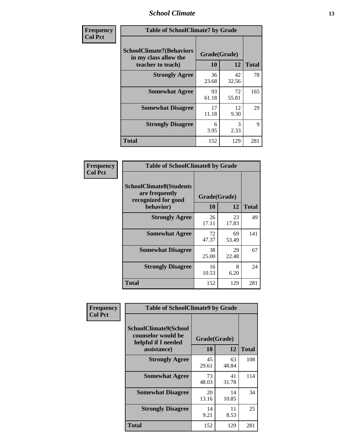### *School Climate* **13**

| Frequency      | <b>Table of SchoolClimate7 by Grade</b>                                       |                    |             |              |  |
|----------------|-------------------------------------------------------------------------------|--------------------|-------------|--------------|--|
| <b>Col Pct</b> | <b>SchoolClimate7(Behaviors</b><br>in my class allow the<br>teacher to teach) | Grade(Grade)<br>10 | 12          | <b>Total</b> |  |
|                | <b>Strongly Agree</b>                                                         | 36<br>23.68        | 42<br>32.56 | 78           |  |
|                | <b>Somewhat Agree</b>                                                         | 93<br>61.18        | 72<br>55.81 | 165          |  |
|                | <b>Somewhat Disagree</b>                                                      | 17<br>11.18        | 12<br>9.30  | 29           |  |
|                | <b>Strongly Disagree</b>                                                      | 6<br>3.95          | 3<br>2.33   | $\mathbf Q$  |  |
|                | <b>Total</b>                                                                  | 152                | 129         | 281          |  |

| Frequency      | <b>Table of SchoolClimate8 by Grade</b>                                              |                    |             |              |  |
|----------------|--------------------------------------------------------------------------------------|--------------------|-------------|--------------|--|
| <b>Col Pct</b> | <b>SchoolClimate8(Students</b><br>are frequently<br>recognized for good<br>behavior) | Grade(Grade)<br>10 | 12          | <b>Total</b> |  |
|                | <b>Strongly Agree</b>                                                                | 26<br>17.11        | 23<br>17.83 | 49           |  |
|                | <b>Somewhat Agree</b>                                                                | 72<br>47.37        | 69<br>53.49 | 141          |  |
|                | <b>Somewhat Disagree</b>                                                             | 38<br>25.00        | 29<br>22.48 | 67           |  |
|                | <b>Strongly Disagree</b>                                                             | 16<br>10.53        | 8<br>6.20   | 24           |  |
|                | <b>Total</b>                                                                         | 152                | 129         | 281          |  |

| Frequency      | <b>Table of SchoolClimate9 by Grade</b>                                                  |                    |             |              |  |
|----------------|------------------------------------------------------------------------------------------|--------------------|-------------|--------------|--|
| <b>Col Pct</b> | <b>SchoolClimate9(School</b><br>counselor would be<br>helpful if I needed<br>assistance) | Grade(Grade)<br>10 | 12          | <b>Total</b> |  |
|                | <b>Strongly Agree</b>                                                                    | 45<br>29.61        | 63<br>48.84 | 108          |  |
|                | <b>Somewhat Agree</b>                                                                    | 73<br>48.03        | 41<br>31.78 | 114          |  |
|                | <b>Somewhat Disagree</b>                                                                 | 20<br>13.16        | 14<br>10.85 | 34           |  |
|                | <b>Strongly Disagree</b>                                                                 | 14<br>9.21         | 11<br>8.53  | 25           |  |
|                | <b>Total</b>                                                                             | 152                | 129         | 281          |  |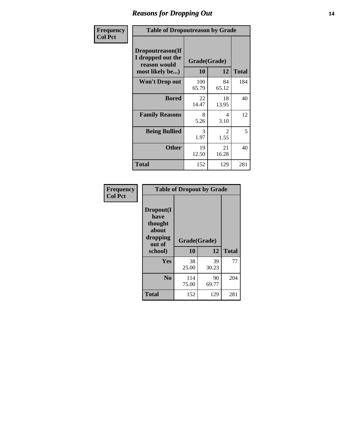### *Reasons for Dropping Out* **14**

| Frequency      | <b>Table of Dropoutreason by Grade</b>                                   |                    |             |              |  |
|----------------|--------------------------------------------------------------------------|--------------------|-------------|--------------|--|
| <b>Col Pct</b> | Dropoutreason(If<br>I dropped out the<br>reason would<br>most likely be) | Grade(Grade)<br>10 | 12          | <b>Total</b> |  |
|                | <b>Won't Drop out</b>                                                    | 100<br>65.79       | 84<br>65.12 | 184          |  |
|                | <b>Bored</b>                                                             | 22<br>14.47        | 18<br>13.95 | 40           |  |
|                | <b>Family Reasons</b>                                                    | 8<br>5.26          | 4<br>3.10   | 12           |  |
|                | <b>Being Bullied</b>                                                     | 3<br>1.97          | 2<br>1.55   | 5            |  |
|                | <b>Other</b>                                                             | 19<br>12.50        | 21<br>16.28 | 40           |  |
|                | <b>Total</b>                                                             | 152                | 129         | 281          |  |

| Frequency<br><b>Col Pct</b> | <b>Table of Dropout by Grade</b>                                       |                    |             |              |  |
|-----------------------------|------------------------------------------------------------------------|--------------------|-------------|--------------|--|
|                             | Dropout(I<br>have<br>thought<br>about<br>dropping<br>out of<br>school) | Grade(Grade)<br>10 | 12          | <b>Total</b> |  |
|                             | Yes                                                                    | 38<br>25.00        | 39<br>30.23 | 77           |  |
|                             | N <sub>0</sub>                                                         | 114<br>75.00       | 90<br>69.77 | 204          |  |
|                             | <b>Total</b>                                                           | 152                | 129         | 281          |  |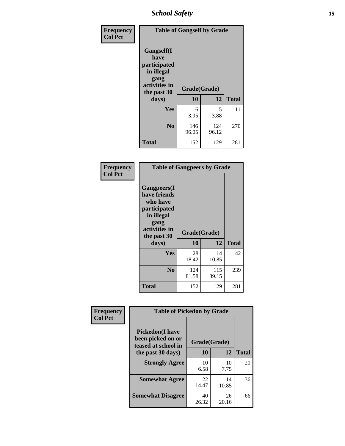*School Safety* **15**

| Frequency      | <b>Table of Gangself by Grade</b>                                                                         |                    |              |              |  |
|----------------|-----------------------------------------------------------------------------------------------------------|--------------------|--------------|--------------|--|
| <b>Col Pct</b> | <b>Gangself</b> (I<br>have<br>participated<br>in illegal<br>gang<br>activities in<br>the past 30<br>days) | Grade(Grade)<br>10 | 12           | <b>Total</b> |  |
|                | Yes                                                                                                       | 6<br>3.95          | 5<br>3.88    | 11           |  |
|                | N <sub>0</sub>                                                                                            | 146<br>96.05       | 124<br>96.12 | 270          |  |
|                | <b>Total</b>                                                                                              | 152                | 129          | 281          |  |

| Frequency<br><b>Col Pct</b> | <b>Table of Gangpeers by Grade</b>                                                                                     |                    |              |              |
|-----------------------------|------------------------------------------------------------------------------------------------------------------------|--------------------|--------------|--------------|
|                             | Gangpeers(I<br>have friends<br>who have<br>participated<br>in illegal<br>gang<br>activities in<br>the past 30<br>days) | Grade(Grade)<br>10 | 12           | <b>Total</b> |
|                             | <b>Yes</b>                                                                                                             | 28<br>18.42        | 14<br>10.85  | 42           |
|                             | N <sub>0</sub>                                                                                                         | 124<br>81.58       | 115<br>89.15 | 239          |
|                             | <b>Total</b>                                                                                                           | 152                | 129          | 281          |

| Frequency      |                                                                     | <b>Table of Pickedon by Grade</b> |             |              |  |  |  |  |  |  |  |
|----------------|---------------------------------------------------------------------|-----------------------------------|-------------|--------------|--|--|--|--|--|--|--|
| <b>Col Pct</b> | <b>Pickedon</b> (I have<br>been picked on or<br>teased at school in | Grade(Grade)                      |             |              |  |  |  |  |  |  |  |
|                | the past 30 days)                                                   | 10                                | 12          | <b>Total</b> |  |  |  |  |  |  |  |
|                | <b>Strongly Agree</b>                                               | 10<br>6.58                        | 10<br>7.75  | 20           |  |  |  |  |  |  |  |
|                | <b>Somewhat Agree</b>                                               | 22<br>14.47                       | 14<br>10.85 | 36           |  |  |  |  |  |  |  |
|                | <b>Somewhat Disagree</b>                                            | 40<br>26.32                       | 26<br>20.16 | 66           |  |  |  |  |  |  |  |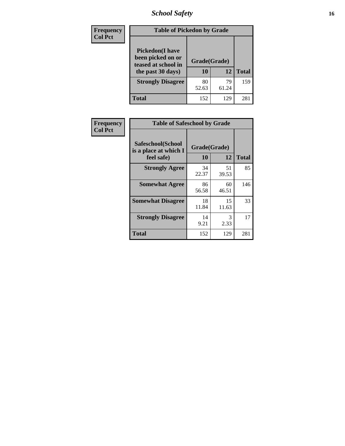# *School Safety* **16**

| Frequency      |                                                                                          | <b>Table of Pickedon by Grade</b> |              |     |  |  |  |  |  |  |  |
|----------------|------------------------------------------------------------------------------------------|-----------------------------------|--------------|-----|--|--|--|--|--|--|--|
| <b>Col Pct</b> | <b>Pickedon</b> (I have<br>been picked on or<br>teased at school in<br>the past 30 days) | Grade(Grade)<br>10                | <b>Total</b> |     |  |  |  |  |  |  |  |
|                | <b>Strongly Disagree</b>                                                                 | 80<br>52.63                       | 79<br>61.24  | 159 |  |  |  |  |  |  |  |
|                | Total                                                                                    | 152                               | 129          | 281 |  |  |  |  |  |  |  |

| Frequency      | <b>Table of Safeschool by Grade</b>                      |                    |             |              |
|----------------|----------------------------------------------------------|--------------------|-------------|--------------|
| <b>Col Pct</b> | Safeschool(School<br>is a place at which I<br>feel safe) | Grade(Grade)<br>10 | 12          | <b>Total</b> |
|                | <b>Strongly Agree</b>                                    | 34<br>22.37        | 51<br>39.53 | 85           |
|                | <b>Somewhat Agree</b>                                    | 86<br>56.58        | 60<br>46.51 | 146          |
|                | <b>Somewhat Disagree</b>                                 | 18<br>11.84        | 15<br>11.63 | 33           |
|                | <b>Strongly Disagree</b>                                 | 14<br>9.21         | 3<br>2.33   | 17           |
|                | <b>Total</b>                                             | 152                | 129         | 281          |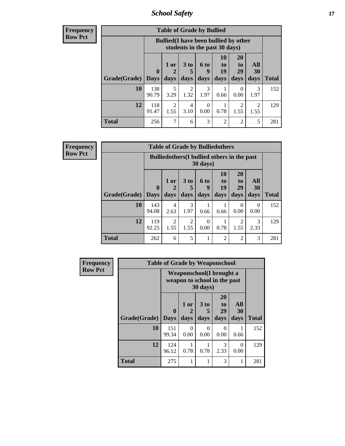*School Safety* **17**

**Frequency Row Pct**

| <b>Table of Grade by Bullied</b> |                        |                                                                               |                              |                   |                        |                               |                                  |              |  |  |  |
|----------------------------------|------------------------|-------------------------------------------------------------------------------|------------------------------|-------------------|------------------------|-------------------------------|----------------------------------|--------------|--|--|--|
|                                  |                        | <b>Bullied</b> (I have been bullied by other<br>students in the past 30 days) |                              |                   |                        |                               |                                  |              |  |  |  |
| Grade(Grade)                     | $\mathbf{0}$<br>  Days | 1 or<br>2<br>days                                                             | 3 <sub>to</sub><br>5<br>days | 6 to<br>9<br>days | 10<br>to<br>19<br>days | <b>20</b><br>to<br>29<br>days | All<br><b>30</b><br>days         | <b>Total</b> |  |  |  |
| <b>10</b>                        | 138<br>90.79           | 5<br>3.29                                                                     | 2<br>1.32                    | 3<br>1.97         | 0.66                   | $\theta$<br>0.00              | 3<br>1.97                        | 152          |  |  |  |
| 12                               | 118<br>91.47           | 2<br>1.55                                                                     | 4<br>3.10                    | 0<br>0.00         | 0.78                   | 2<br>1.55                     | $\overline{\mathcal{L}}$<br>1.55 | 129          |  |  |  |
| <b>Total</b>                     | 256                    | 7                                                                             | 6                            | 3                 | $\overline{2}$         | 2                             | 5                                | 281          |  |  |  |

| <b>Table of Grade by Bulliedothers</b> |                             |                                                                         |                   |                   |                        |                        |                   |              |  |  |  |
|----------------------------------------|-----------------------------|-------------------------------------------------------------------------|-------------------|-------------------|------------------------|------------------------|-------------------|--------------|--|--|--|
|                                        |                             | <b>Bulliedothers</b> (I bullied others in the past<br>$30 \text{ days}$ |                   |                   |                        |                        |                   |              |  |  |  |
| Grade(Grade)                           | $\mathbf{0}$<br><b>Days</b> | 1 or<br>$\overline{2}$<br>days                                          | 3 to<br>5<br>days | 6 to<br>9<br>days | 10<br>to<br>19<br>days | 20<br>to<br>29<br>days | All<br>30<br>days | <b>Total</b> |  |  |  |
| 10                                     | 143<br>94.08                | 4<br>2.63                                                               | 3<br>1.97         | 0.66              | 0.66                   | $\Omega$<br>0.00       | 0<br>0.00         | 152          |  |  |  |
| 12                                     | 119<br>92.25                | 2<br>1.55                                                               | 2<br>1.55         | $\Omega$<br>0.00  | 0.78                   | 2<br>1.55              | 3<br>2.33         | 129          |  |  |  |
| <b>Total</b>                           | 262                         | 6                                                                       | 5                 |                   | $\overline{2}$         | $\overline{2}$         | 3                 | 281          |  |  |  |

| Frequency      |                     | <b>Table of Grade by Weaponschool</b>                            |                   |                   |                        |                          |              |
|----------------|---------------------|------------------------------------------------------------------|-------------------|-------------------|------------------------|--------------------------|--------------|
| <b>Row Pct</b> |                     | <b>Weaponschool</b> (I brought a<br>weapon to school in the past |                   |                   |                        |                          |              |
|                | <b>Grade(Grade)</b> | $\bf{0}$<br><b>Days</b>                                          | 1 or<br>2<br>days | 3 to<br>5<br>days | 20<br>to<br>29<br>days | All<br><b>30</b><br>days | <b>Total</b> |
|                | 10                  | 151<br>99.34                                                     | $\Omega$<br>0.00  | $\Omega$<br>0.00  | $\Omega$<br>0.00       | 0.66                     | 152          |
|                | 12                  | 124<br>96.12                                                     | 0.78              | 0.78              | 3<br>2.33              | 0<br>0.00                | 129          |
|                | <b>Total</b>        | 275                                                              |                   | 1                 | 3                      | 1                        | 281          |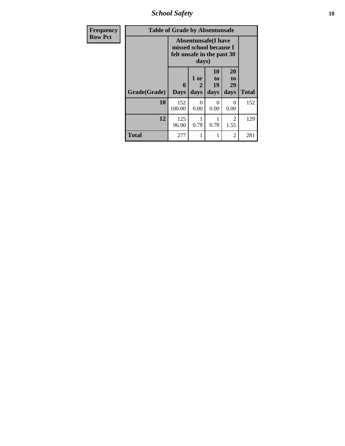*School Safety* **18**

| <b>Frequency</b> | <b>Table of Grade by Absentunsafe</b> |                                                                                      |                   |                               |                        |              |  |  |  |  |  |
|------------------|---------------------------------------|--------------------------------------------------------------------------------------|-------------------|-------------------------------|------------------------|--------------|--|--|--|--|--|
| <b>Row Pct</b>   |                                       | <b>Absentunsafe</b> (I have<br>missed school because I<br>felt unsafe in the past 30 |                   |                               |                        |              |  |  |  |  |  |
|                  | Grade(Grade)                          | 0<br><b>Days</b>                                                                     | 1 or<br>2<br>days | <b>10</b><br>to<br>19<br>days | 20<br>to<br>29<br>days | <b>Total</b> |  |  |  |  |  |
|                  | 10                                    | 152<br>100.00                                                                        | 0<br>0.00         | 0<br>0.00                     | 0<br>0.00              | 152          |  |  |  |  |  |
|                  | 12                                    | 125<br>96.90                                                                         | 0.78              | 0.78                          | $\overline{2}$<br>1.55 | 129          |  |  |  |  |  |
|                  | <b>Total</b>                          | 277                                                                                  | 1                 |                               | $\mathfrak{D}$         | 281          |  |  |  |  |  |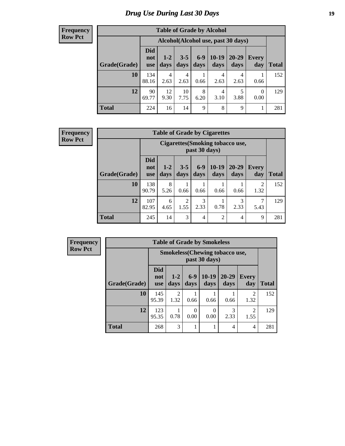# *Drug Use During Last 30 Days* **19**

#### **Frequency Row Pct**

| <b>Table of Grade by Alcohol</b> |                                 |                                    |                 |                 |                 |               |                  |              |  |  |  |  |
|----------------------------------|---------------------------------|------------------------------------|-----------------|-----------------|-----------------|---------------|------------------|--------------|--|--|--|--|
|                                  |                                 | Alcohol(Alcohol use, past 30 days) |                 |                 |                 |               |                  |              |  |  |  |  |
| Grade(Grade)                     | <b>Did</b><br>not<br><b>use</b> | $1-2$<br>days                      | $3 - 5$<br>days | $6 - 9$<br>days | $10-19$<br>days | 20-29<br>days | Every<br>day     | <b>Total</b> |  |  |  |  |
| 10                               | 134<br>88.16                    | $\overline{4}$<br>2.63             | 4<br>2.63       | 0.66            | 4<br>2.63       | 4<br>2.63     | 0.66             | 152          |  |  |  |  |
| 12                               | 90<br>69.77                     | 12<br>9.30                         | 10<br>7.75      | 8<br>6.20       | 4<br>3.10       | 5<br>3.88     | $\Omega$<br>0.00 | 129          |  |  |  |  |
| <b>Total</b>                     | 224                             | 16                                 | 14              | 9               | 8               | 9             |                  | 281          |  |  |  |  |

#### **Frequency Row Pct**

| <b>Table of Grade by Cigarettes</b> |                                 |                                                         |                 |                 |                 |                |                     |       |  |  |  |
|-------------------------------------|---------------------------------|---------------------------------------------------------|-----------------|-----------------|-----------------|----------------|---------------------|-------|--|--|--|
|                                     |                                 | <b>Cigarettes(Smoking tobacco use,</b><br>past 30 days) |                 |                 |                 |                |                     |       |  |  |  |
| Grade(Grade)                        | <b>Did</b><br>not<br><b>use</b> | $1 - 2$<br>days                                         | $3 - 5$<br>days | $6 - 9$<br>days | $10-19$<br>days | 20-29<br>days  | <b>Every</b><br>day | Total |  |  |  |
| 10                                  | 138<br>90.79                    | 8<br>5.26                                               | 0.66            | 0.66            | 0.66            | 0.66           | 2<br>1.32           | 152   |  |  |  |
| 12                                  | 107<br>82.95                    | 6<br>4.65                                               | 2<br>1.55       | 3<br>2.33       | 0.78            | 3<br>2.33      | 7<br>5.43           | 129   |  |  |  |
| <b>Total</b>                        | 245                             | 14                                                      | 3               | $\overline{4}$  | $\overline{2}$  | $\overline{4}$ | 9                   | 281   |  |  |  |

|              |                          |                                                        | <b>Table of Grade by Smokeless</b> |                 |                   |                     |              |  |  |  |  |
|--------------|--------------------------|--------------------------------------------------------|------------------------------------|-----------------|-------------------|---------------------|--------------|--|--|--|--|
|              |                          | <b>Smokeless</b> (Chewing tobaccouse,<br>past 30 days) |                                    |                 |                   |                     |              |  |  |  |  |
| Grade(Grade) | <b>Did</b><br>not<br>use | $1 - 2$<br>days                                        | $6-9$<br>days                      | $10-19$<br>days | $20 - 29$<br>days | <b>Every</b><br>day | <b>Total</b> |  |  |  |  |
| 10           | 145<br>95.39             | $\overline{c}$<br>1.32                                 | 0.66                               | 0.66            | 0.66              | 2<br>1.32           | 152          |  |  |  |  |
| 12           | 123<br>95.35             | 0.78                                                   | $\Omega$<br>0.00                   | 0<br>0.00       | 3<br>2.33         | 2<br>1.55           | 129          |  |  |  |  |
| <b>Total</b> | 268                      | 3                                                      |                                    |                 | 4                 | 4                   | 281          |  |  |  |  |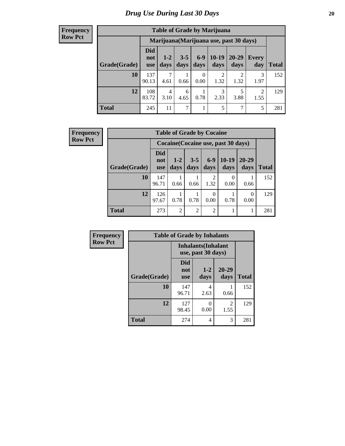| <b>Table of Grade by Marijuana</b> |                                 |                                         |                 |                  |                       |               |                        |              |  |  |  |  |
|------------------------------------|---------------------------------|-----------------------------------------|-----------------|------------------|-----------------------|---------------|------------------------|--------------|--|--|--|--|
|                                    |                                 | Marijuana (Marijuana use, past 30 days) |                 |                  |                       |               |                        |              |  |  |  |  |
| Grade(Grade)                       | <b>Did</b><br>not<br><b>use</b> | $1 - 2$<br>days                         | $3 - 5$<br>days | $6-9$<br>days    | $10-19$<br>days       | 20-29<br>days | Every<br>day           | <b>Total</b> |  |  |  |  |
| 10                                 | 137<br>90.13                    | 4.61                                    | 0.66            | $\theta$<br>0.00 | $\mathcal{D}$<br>1.32 | 2<br>1.32     | 3<br>1.97              | 152          |  |  |  |  |
| 12                                 | 108<br>83.72                    | 4<br>3.10                               | 6<br>4.65       | 0.78             | 3<br>2.33             | 3.88          | $\overline{2}$<br>1.55 | 129          |  |  |  |  |
| <b>Total</b>                       | 245                             | 11                                      | 7               | 1                | 5                     | 7             | 5                      | 281          |  |  |  |  |

| <b>Frequency</b> |              |                                     | <b>Table of Grade by Cocaine</b> |                 |                |                 |                   |              |  |
|------------------|--------------|-------------------------------------|----------------------------------|-----------------|----------------|-----------------|-------------------|--------------|--|
| <b>Row Pct</b>   |              | Cocaine (Cocaine use, past 30 days) |                                  |                 |                |                 |                   |              |  |
|                  | Grade(Grade) | <b>Did</b><br>not<br><b>use</b>     | $1 - 2$<br>days                  | $3 - 5$<br>days | $6-9$<br>days  | $10-19$<br>days | $20 - 29$<br>days | <b>Total</b> |  |
|                  | 10           | 147<br>96.71                        | 0.66                             | 0.66            | 2<br>1.32      | 0.00            | 0.66              | 152          |  |
|                  | 12           | 126<br>97.67                        | 0.78                             | 0.78            | 0<br>0.00      | 0.78            | $\Omega$<br>0.00  | 129          |  |
|                  | <b>Total</b> | 273                                 | $\overline{2}$                   | $\overline{2}$  | $\overline{2}$ |                 | 1                 | 281          |  |

| Frequency      | <b>Table of Grade by Inhalants</b> |                                 |                                                  |                        |              |  |
|----------------|------------------------------------|---------------------------------|--------------------------------------------------|------------------------|--------------|--|
| <b>Row Pct</b> |                                    |                                 | <b>Inhalants</b> (Inhalant<br>use, past 30 days) |                        |              |  |
|                | Grade(Grade)                       | <b>Did</b><br>not<br><b>use</b> | $1 - 2$<br>days                                  | $20 - 29$<br>days      | <b>Total</b> |  |
|                | 10                                 | 147<br>96.71                    | 4<br>2.63                                        | 0.66                   | 152          |  |
|                | 12                                 | 127<br>98.45                    | 0<br>0.00                                        | $\mathfrak{D}$<br>1.55 | 129          |  |
|                | <b>Total</b>                       | 274                             | 4                                                | 3                      | 281          |  |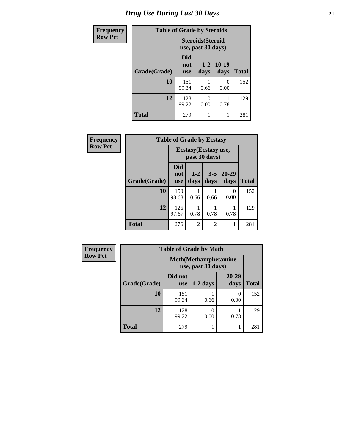# *Drug Use During Last 30 Days* **21**

| <b>Frequency</b> | <b>Table of Grade by Steroids</b> |                          |                                                |                       |              |  |
|------------------|-----------------------------------|--------------------------|------------------------------------------------|-----------------------|--------------|--|
| <b>Row Pct</b>   |                                   |                          | <b>Steroids</b> (Steroid<br>use, past 30 days) |                       |              |  |
|                  | Grade(Grade)                      | Did<br>not<br><b>use</b> | $1-2$<br>days                                  | $10-19$<br>days       | <b>Total</b> |  |
|                  | 10                                | 151<br>99.34             | 0.66                                           | $\mathcal{O}$<br>0.00 | 152          |  |
|                  | 12                                | 128<br>99.22             | 0<br>0.00                                      | 0.78                  | 129          |  |
|                  | <b>Total</b>                      | 279                      | 1                                              |                       | 281          |  |

| Frequency      | <b>Table of Grade by Ecstasy</b> |                          |                                        |                 |                   |              |
|----------------|----------------------------------|--------------------------|----------------------------------------|-----------------|-------------------|--------------|
| <b>Row Pct</b> |                                  |                          | Ecstasy (Ecstasy use,<br>past 30 days) |                 |                   |              |
|                | Grade(Grade)                     | Did<br>not<br><b>use</b> | $1 - 2$<br>days                        | $3 - 5$<br>days | $20 - 29$<br>days | <b>Total</b> |
|                | 10                               | 150<br>98.68             | 0.66                                   | 0.66            | $\Omega$<br>0.00  | 152          |
|                | 12                               | 126<br>97.67             | 0.78                                   | 0.78            | 0.78              | 129          |
|                | <b>Total</b>                     | 276                      | $\overline{c}$                         | 2               | 1                 | 281          |

| <b>Frequency</b> | <b>Table of Grade by Meth</b> |                       |                                                    |                   |              |  |  |  |
|------------------|-------------------------------|-----------------------|----------------------------------------------------|-------------------|--------------|--|--|--|
| <b>Row Pct</b>   |                               |                       | <b>Meth</b> (Methamphetamine<br>use, past 30 days) |                   |              |  |  |  |
|                  | Grade(Grade)                  | Did not<br><b>use</b> | $1-2$ days                                         | $20 - 29$<br>days | <b>Total</b> |  |  |  |
|                  | 10                            | 151<br>99.34          | 0.66                                               | $\theta$<br>0.00  | 152          |  |  |  |
|                  | 12                            | 128<br>99.22          | 0.00                                               | 0.78              | 129          |  |  |  |
|                  | <b>Total</b>                  | 279                   |                                                    |                   | 281          |  |  |  |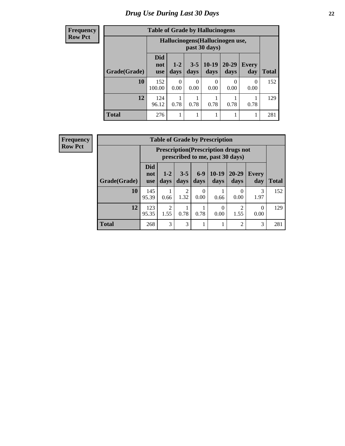#### **Frequency Row Pct**

| <b>Table of Grade by Hallucinogens</b> |                                                                                                                                                  |                                                   |           |           |      |           |     |  |  |
|----------------------------------------|--------------------------------------------------------------------------------------------------------------------------------------------------|---------------------------------------------------|-----------|-----------|------|-----------|-----|--|--|
|                                        |                                                                                                                                                  | Hallucinogens (Hallucinogen use,<br>past 30 days) |           |           |      |           |     |  |  |
| Grade(Grade)                           | <b>Did</b><br>$10-19$<br>20-29<br>$3 - 5$<br>$1 - 2$<br><b>Every</b><br>not<br>days<br><b>Total</b><br>days<br>days<br>day<br>davs<br><b>use</b> |                                                   |           |           |      |           |     |  |  |
| 10                                     | 152<br>100.00                                                                                                                                    | $\Omega$<br>0.00                                  | 0<br>0.00 | 0<br>0.00 | 0.00 | 0<br>0.00 | 152 |  |  |
| 12                                     | 124<br>0.78<br>0.78<br>0.78<br>0.78<br>0.78<br>96.12                                                                                             |                                                   |           |           |      |           |     |  |  |
| <b>Total</b>                           | 276                                                                                                                                              |                                                   | 1         | 1         | 1    |           | 281 |  |  |

| <b>Table of Grade by Prescription</b> |                                                                                                                                                       |                                                                                |                        |                  |      |                |              |     |
|---------------------------------------|-------------------------------------------------------------------------------------------------------------------------------------------------------|--------------------------------------------------------------------------------|------------------------|------------------|------|----------------|--------------|-----|
|                                       |                                                                                                                                                       | <b>Prescription</b> (Prescription drugs not<br>prescribed to me, past 30 days) |                        |                  |      |                |              |     |
| Grade(Grade)                          | <b>Did</b><br>$10-19$<br>$6-9$<br>$20 - 29$<br>$3 - 5$<br>$1 - 2$<br><b>Every</b><br>not<br>days<br>days<br>days<br>days<br>day<br>days<br><b>use</b> |                                                                                |                        |                  |      |                | <b>Total</b> |     |
| 10                                    | 145<br>95.39                                                                                                                                          | 0.66                                                                           | $\overline{2}$<br>1.32 | $\Omega$<br>0.00 | 0.66 | 0.00           | 3<br>1.97    | 152 |
| 12                                    | 123<br>95.35                                                                                                                                          | 0<br>$\Omega$<br>0.78<br>0.78<br>0.00<br>0.00<br>1.55<br>1.55                  |                        |                  |      |                |              |     |
| <b>Total</b>                          | 268                                                                                                                                                   | 3                                                                              | 3                      |                  | 1    | $\overline{2}$ | 3            | 281 |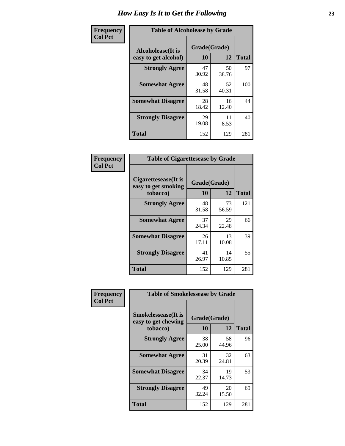| Frequency      | <b>Table of Alcoholease by Grade</b>              |                    |             |              |
|----------------|---------------------------------------------------|--------------------|-------------|--------------|
| <b>Col Pct</b> | <b>Alcoholease</b> (It is<br>easy to get alcohol) | Grade(Grade)<br>10 | 12          | <b>Total</b> |
|                | <b>Strongly Agree</b>                             | 47<br>30.92        | 50<br>38.76 | 97           |
|                | <b>Somewhat Agree</b>                             | 48<br>31.58        | 52<br>40.31 | 100          |
|                | <b>Somewhat Disagree</b>                          | 28<br>18.42        | 16<br>12.40 | 44           |
|                | <b>Strongly Disagree</b>                          | 29<br>19.08        | 11<br>8.53  | 40           |
|                | <b>Total</b>                                      | 152                | 129         | 281          |

| Frequency      | <b>Table of Cigarettesease by Grade</b>                 |                    |             |              |  |
|----------------|---------------------------------------------------------|--------------------|-------------|--------------|--|
| <b>Col Pct</b> | Cigarettesease(It is<br>easy to get smoking<br>tobacco) | Grade(Grade)<br>10 | 12          | <b>Total</b> |  |
|                | <b>Strongly Agree</b>                                   | 48<br>31.58        | 73<br>56.59 | 121          |  |
|                | <b>Somewhat Agree</b>                                   | 37<br>24.34        | 29<br>22.48 | 66           |  |
|                | <b>Somewhat Disagree</b>                                | 26<br>17.11        | 13<br>10.08 | 39           |  |
|                | <b>Strongly Disagree</b>                                | 41<br>26.97        | 14<br>10.85 | 55           |  |
|                | <b>Total</b>                                            | 152                | 129         | 281          |  |

| Frequency      | <b>Table of Smokelessease by Grade</b>             |              |             |              |  |  |  |  |
|----------------|----------------------------------------------------|--------------|-------------|--------------|--|--|--|--|
| <b>Col Pct</b> | <b>Smokelessease</b> (It is<br>easy to get chewing | Grade(Grade) |             |              |  |  |  |  |
|                | tobacco)                                           | 10           | 12          | <b>Total</b> |  |  |  |  |
|                | <b>Strongly Agree</b>                              | 38<br>25.00  | 58<br>44.96 | 96           |  |  |  |  |
|                | <b>Somewhat Agree</b>                              | 31<br>20.39  | 32<br>24.81 | 63           |  |  |  |  |
|                | <b>Somewhat Disagree</b>                           | 34<br>22.37  | 19<br>14.73 | 53           |  |  |  |  |
|                | <b>Strongly Disagree</b>                           | 49<br>32.24  | 20<br>15.50 | 69           |  |  |  |  |
|                | Total                                              | 152          | 129         | 281          |  |  |  |  |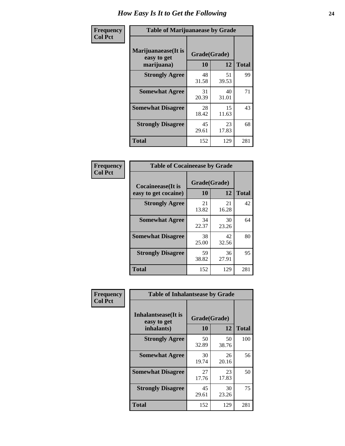| Frequency      | <b>Table of Marijuanaease by Grade</b>           |                    |             |              |  |  |
|----------------|--------------------------------------------------|--------------------|-------------|--------------|--|--|
| <b>Col Pct</b> | Marijuanaease(It is<br>easy to get<br>marijuana) | Grade(Grade)<br>10 | 12          | <b>Total</b> |  |  |
|                | <b>Strongly Agree</b>                            | 48<br>31.58        | 51<br>39.53 | 99           |  |  |
|                | <b>Somewhat Agree</b>                            | 31<br>20.39        | 40<br>31.01 | 71           |  |  |
|                | <b>Somewhat Disagree</b>                         | 28<br>18.42        | 15<br>11.63 | 43           |  |  |
|                | <b>Strongly Disagree</b>                         | 45<br>29.61        | 23<br>17.83 | 68           |  |  |
|                | Total                                            | 152                | 129         | 281          |  |  |

| <b>Table of Cocaineease by Grade</b>              |                    |             |              |  |  |  |
|---------------------------------------------------|--------------------|-------------|--------------|--|--|--|
| <b>Cocaineease</b> (It is<br>easy to get cocaine) | Grade(Grade)<br>10 | 12          | <b>Total</b> |  |  |  |
| <b>Strongly Agree</b>                             | 21<br>13.82        | 21<br>16.28 | 42           |  |  |  |
| <b>Somewhat Agree</b>                             | 34<br>22.37        | 30<br>23.26 | 64           |  |  |  |
| <b>Somewhat Disagree</b>                          | 38<br>25.00        | 42<br>32.56 | 80           |  |  |  |
| <b>Strongly Disagree</b>                          | 59<br>38.82        | 36<br>27.91 | 95           |  |  |  |
| <b>Total</b>                                      | 152                | 129         | 281          |  |  |  |

| Frequency      | <b>Table of Inhalantsease by Grade</b>                   |                           |             |              |  |  |  |  |  |
|----------------|----------------------------------------------------------|---------------------------|-------------|--------------|--|--|--|--|--|
| <b>Col Pct</b> | <b>Inhalantsease</b> (It is<br>easy to get<br>inhalants) | Grade(Grade)<br><b>10</b> | 12          | <b>Total</b> |  |  |  |  |  |
|                | <b>Strongly Agree</b>                                    | 50<br>32.89               | 50<br>38.76 | 100          |  |  |  |  |  |
|                | <b>Somewhat Agree</b>                                    | 30<br>19.74               | 26<br>20.16 | 56           |  |  |  |  |  |
|                | <b>Somewhat Disagree</b>                                 | 27<br>17.76               | 23<br>17.83 | 50           |  |  |  |  |  |
|                | <b>Strongly Disagree</b>                                 | 45<br>29.61               | 30<br>23.26 | 75           |  |  |  |  |  |
|                | <b>Total</b>                                             | 152                       | 129         | 281          |  |  |  |  |  |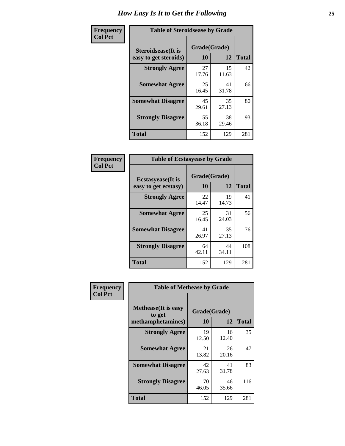| Frequency      | <b>Table of Steroidsease by Grade</b>               |                    |             |              |  |  |  |  |  |  |
|----------------|-----------------------------------------------------|--------------------|-------------|--------------|--|--|--|--|--|--|
| <b>Col Pct</b> | <b>Steroidsease</b> (It is<br>easy to get steroids) | Grade(Grade)<br>10 | 12          | <b>Total</b> |  |  |  |  |  |  |
|                | <b>Strongly Agree</b>                               | 27<br>17.76        | 15<br>11.63 | 42           |  |  |  |  |  |  |
|                | <b>Somewhat Agree</b>                               | 25<br>16.45        | 41<br>31.78 | 66           |  |  |  |  |  |  |
|                | <b>Somewhat Disagree</b>                            | 45<br>29.61        | 35<br>27.13 | 80           |  |  |  |  |  |  |
|                | <b>Strongly Disagree</b>                            | 55<br>36.18        | 38<br>29.46 | 93           |  |  |  |  |  |  |
|                | <b>Total</b>                                        | 152                | 129         | 281          |  |  |  |  |  |  |

| Frequency      | <b>Table of Ecstasyease by Grade</b>              |                           |             |              |  |  |  |  |  |
|----------------|---------------------------------------------------|---------------------------|-------------|--------------|--|--|--|--|--|
| <b>Col Pct</b> | <b>Ecstasyease</b> (It is<br>easy to get ecstasy) | Grade(Grade)<br><b>10</b> | 12          | <b>Total</b> |  |  |  |  |  |
|                | <b>Strongly Agree</b>                             | 22<br>14.47               | 19<br>14.73 | 41           |  |  |  |  |  |
|                | <b>Somewhat Agree</b>                             | 25<br>16.45               | 31<br>24.03 | 56           |  |  |  |  |  |
|                | <b>Somewhat Disagree</b>                          | 41<br>26.97               | 35<br>27.13 | 76           |  |  |  |  |  |
|                | <b>Strongly Disagree</b>                          | 64<br>42.11               | 44<br>34.11 | 108          |  |  |  |  |  |
|                | <b>Total</b>                                      | 152                       | 129         | 281          |  |  |  |  |  |

| Frequency      | <b>Table of Methease by Grade</b>                          |                    |             |              |
|----------------|------------------------------------------------------------|--------------------|-------------|--------------|
| <b>Col Pct</b> | <b>Methease</b> (It is easy<br>to get<br>methamphetamines) | Grade(Grade)<br>10 | 12          | <b>Total</b> |
|                | <b>Strongly Agree</b>                                      | 19<br>12.50        | 16<br>12.40 | 35           |
|                | <b>Somewhat Agree</b>                                      | 21<br>13.82        | 26<br>20.16 | 47           |
|                | <b>Somewhat Disagree</b>                                   | 42<br>27.63        | 41<br>31.78 | 83           |
|                | <b>Strongly Disagree</b>                                   | 70<br>46.05        | 46<br>35.66 | 116          |
|                | Total                                                      | 152                | 129         | 281          |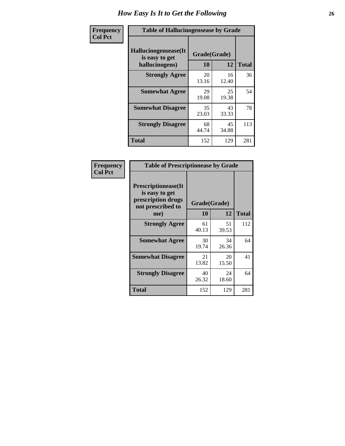| <b>Frequency</b> | <b>Table of Hallucinogensease by Grade</b>               |                    |             |              |  |  |  |  |  |  |
|------------------|----------------------------------------------------------|--------------------|-------------|--------------|--|--|--|--|--|--|
| <b>Col Pct</b>   | Hallucinogensease(It<br>is easy to get<br>hallucinogens) | Grade(Grade)<br>10 | 12          | <b>Total</b> |  |  |  |  |  |  |
|                  | <b>Strongly Agree</b>                                    | 20<br>13.16        | 16<br>12.40 | 36           |  |  |  |  |  |  |
|                  | <b>Somewhat Agree</b>                                    | 29<br>19.08        | 25<br>19.38 | 54           |  |  |  |  |  |  |
|                  | <b>Somewhat Disagree</b>                                 | 35<br>23.03        | 43<br>33.33 | 78           |  |  |  |  |  |  |
|                  | <b>Strongly Disagree</b>                                 | 68<br>44.74        | 45<br>34.88 | 113          |  |  |  |  |  |  |
|                  | <b>Total</b>                                             | 152                | 129         | 281          |  |  |  |  |  |  |

| <b>Frequency</b> |
|------------------|
| Col Pct          |

| <b>Table of Prescriptionease by Grade</b>                                                |              |             |              |
|------------------------------------------------------------------------------------------|--------------|-------------|--------------|
| <b>Prescriptionease</b> (It<br>is easy to get<br>prescription drugs<br>not prescribed to | Grade(Grade) |             |              |
| me)                                                                                      | 10           | 12          | <b>Total</b> |
| <b>Strongly Agree</b>                                                                    | 61<br>40.13  | 51<br>39.53 | 112          |
| <b>Somewhat Agree</b>                                                                    | 30<br>19.74  | 34<br>26.36 | 64           |
| <b>Somewhat Disagree</b>                                                                 | 21<br>13.82  | 20<br>15.50 | 41           |
| <b>Strongly Disagree</b>                                                                 | 40<br>26.32  | 24<br>18.60 | 64           |
| <b>Total</b>                                                                             | 152          | 129         | 281          |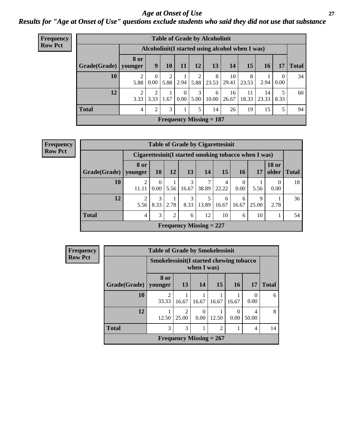### *Age at Onset of Use* **27** *Results for "Age at Onset of Use" questions exclude students who said they did not use that substance*

| Frequency      | <b>Table of Grade by Alcoholinit</b> |                        |                        |           |                                     |           |                                                  |             |             |             |           |              |
|----------------|--------------------------------------|------------------------|------------------------|-----------|-------------------------------------|-----------|--------------------------------------------------|-------------|-------------|-------------|-----------|--------------|
| <b>Row Pct</b> |                                      |                        |                        |           |                                     |           | Alcoholinit (I started using alcohol when I was) |             |             |             |           |              |
|                | Grade(Grade)   younger               | <b>8 or</b>            | 9                      | 10        | 11                                  | 12        | <b>13</b>                                        | <b>14</b>   | 15          | 16          | 17        | <b>Total</b> |
|                | 10                                   | 2<br>5.88              | $\theta$<br>0.00       | 2<br>5.88 | 2.94                                |           | 8<br>5.88 23.53                                  | 10<br>29.41 | 8<br>23.53  | 2.94        | 0<br>0.00 | 34           |
|                | 12                                   | $\overline{c}$<br>3.33 | $\overline{2}$<br>3.33 | 1.67      | $\overline{0}$<br>0.00 <sub>1</sub> | 3<br>5.00 | 6<br>10.00                                       | 16<br>26.67 | 11<br>18.33 | 14<br>23.33 | 5<br>8.33 | 60           |
|                | <b>Total</b>                         | 4                      | $\overline{2}$         | 3         |                                     | 5         | 14                                               | 26          | 19          | 15          | 5         | 94           |
|                |                                      |                        |                        |           |                                     |           | Frequency Missing $= 187$                        |             |             |             |           |              |

| Frequency      | <b>Table of Grade by Cigarettesinit</b> |                        |                                                       |      |            |                           |            |                  |            |                       |              |  |
|----------------|-----------------------------------------|------------------------|-------------------------------------------------------|------|------------|---------------------------|------------|------------------|------------|-----------------------|--------------|--|
| <b>Row Pct</b> |                                         |                        | Cigarettesinit (I started smoking tobacco when I was) |      |            |                           |            |                  |            |                       |              |  |
|                | Grade(Grade)                            | <b>8 or</b><br>vounger | <b>10</b>                                             | 12   | 13         | 14                        | 15         | <b>16</b>        | 17         | <b>18 or</b><br>older | <b>Total</b> |  |
|                | 10                                      | 2<br>11.11             | $\Omega$<br>0.00                                      | 5.56 | 3<br>16.67 | 38.89                     | 4<br>22.22 | $\Omega$<br>0.00 | 5.56       | $\Omega$<br>0.00      | 18           |  |
|                | 12                                      | $\overline{2}$<br>5.56 | 8.33                                                  | 2.78 | 3<br>8.33  | 5<br>13.89                | 6<br>16.67 | 6<br>16.67       | 9<br>25.00 | 2.78                  | 36           |  |
|                | <b>Total</b>                            | $\overline{4}$         | 3                                                     | 2    | 6          | 12                        | 10         | 6                | 10         |                       | 54           |  |
|                |                                         |                        |                                                       |      |            | Frequency Missing $= 227$ |            |                  |            |                       |              |  |

| Frequency      | <b>Table of Grade by Smokelessinit</b> |                                          |            |                           |                |                 |                  |              |  |  |
|----------------|----------------------------------------|------------------------------------------|------------|---------------------------|----------------|-----------------|------------------|--------------|--|--|
| <b>Row Pct</b> |                                        | Smokelessinit (I started chewing tobacco |            | when I was)               |                |                 |                  |              |  |  |
|                | Grade(Grade)   younger                 | 8 or                                     | 13         | 14                        | 15             | 16 <sup>1</sup> | 17               | <b>Total</b> |  |  |
|                | 10                                     | ി<br>33.33                               | 16.67      | 16.67                     | 16.67          | 16.67           | $\Omega$<br>0.00 | 6            |  |  |
|                | 12                                     | 12.50                                    | っ<br>25.00 | 0.00                      | 12.50          | 0.00            | 50.00            | 8            |  |  |
|                | <b>Total</b>                           | 3                                        | 3          |                           | $\overline{2}$ |                 | 4                | 14           |  |  |
|                |                                        |                                          |            | Frequency Missing $= 267$ |                |                 |                  |              |  |  |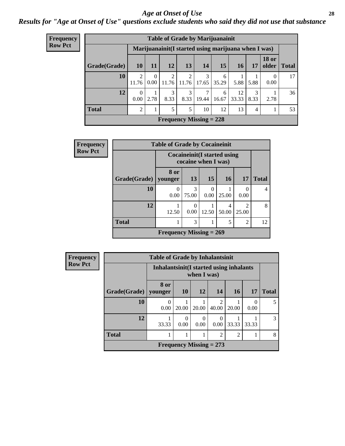#### *Age at Onset of Use* **28**

*Results for "Age at Onset of Use" questions exclude students who said they did not use that substance*

| <b>Frequency</b> | <b>Table of Grade by Marijuanainit</b> |                                                      |                  |                                |                         |            |            |                 |                |                       |              |
|------------------|----------------------------------------|------------------------------------------------------|------------------|--------------------------------|-------------------------|------------|------------|-----------------|----------------|-----------------------|--------------|
| <b>Row Pct</b>   |                                        | Marijuanainit (I started using marijuana when I was) |                  |                                |                         |            |            |                 |                |                       |              |
|                  | Grade(Grade)                           | <b>10</b>                                            | <b>11</b>        | <b>12</b>                      | 13                      | 14         | 15         | 16 <sup>1</sup> | 17             | <b>18 or</b><br>older | <b>Total</b> |
|                  | 10                                     | 2<br>11.76                                           | $\Omega$<br>0.00 | $\overline{2}$<br>11.76        | $\overline{2}$<br>11.76 | 3<br>17.65 | 6<br>35.29 | 5.88            | 5.88           | $\theta$<br>0.00      | 17           |
|                  | 12                                     | $\theta$<br>0.00                                     | 2.78             | 3<br>8.33                      | 3<br>8.33               | 19.44      | 6<br>16.67 | 12<br>33.33     | 3<br>8.33      | 2.78                  | 36           |
|                  | <b>Total</b>                           | $\overline{2}$                                       |                  | 5                              | 5                       | 10         | 12         | 13              | $\overline{4}$ |                       | 53           |
|                  |                                        |                                                      |                  | <b>Frequency Missing = 228</b> |                         |            |            |                 |                |                       |              |

| Frequency      | <b>Table of Grade by Cocaineinit</b> |                           |                                                            |           |            |                         |              |  |  |  |  |
|----------------|--------------------------------------|---------------------------|------------------------------------------------------------|-----------|------------|-------------------------|--------------|--|--|--|--|
| <b>Row Pct</b> |                                      |                           | <b>Cocaineinit</b> (I started using<br>cocaine when I was) |           |            |                         |              |  |  |  |  |
|                | Grade(Grade)                         | 8 or<br>younger           | 13                                                         | <b>15</b> | <b>16</b>  | 17                      | <b>Total</b> |  |  |  |  |
|                | 10                                   | 0<br>0.00                 | 3<br>75.00                                                 | 0<br>0.00 | 25.00      | 0<br>0.00               |              |  |  |  |  |
|                | 12                                   | 12.50                     | 0<br>0.00                                                  | 12.50     | 4<br>50.00 | $\mathfrak{D}$<br>25.00 | 8            |  |  |  |  |
|                | <b>Total</b>                         |                           | 3                                                          |           | 5          | $\overline{2}$          | 12           |  |  |  |  |
|                |                                      | Frequency Missing $= 269$ |                                                            |           |            |                         |              |  |  |  |  |

| <b>Frequency</b> | <b>Table of Grade by Inhalantsinit</b> |                 |                                                         |                           |                         |                |           |               |  |
|------------------|----------------------------------------|-----------------|---------------------------------------------------------|---------------------------|-------------------------|----------------|-----------|---------------|--|
| <b>Row Pct</b>   |                                        |                 | Inhalantsinit (I started using inhalants<br>when I was) |                           |                         |                |           |               |  |
|                  | Grade(Grade)                           | 8 or<br>younger | <b>10</b>                                               | <b>12</b>                 | 14                      | <b>16</b>      | <b>17</b> | <b>Total</b>  |  |
|                  | 10                                     | 0.00            | 20.00                                                   | 20.00                     | $\mathfrak{D}$<br>40.00 | 20.00          | 0<br>0.00 | 5             |  |
|                  | 12                                     | 33.33           | $\Omega$<br>0.00                                        | 0<br>0.00                 | 0.00                    | 33.33          | 33.33     | $\mathcal{R}$ |  |
|                  | <b>Total</b>                           |                 |                                                         |                           | $\overline{2}$          | $\overline{2}$ |           | 8             |  |
|                  |                                        |                 |                                                         | Frequency Missing $= 273$ |                         |                |           |               |  |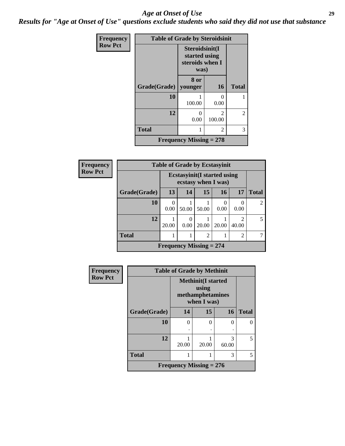#### *Age at Onset of Use* **29**

*Results for "Age at Onset of Use" questions exclude students who said they did not use that substance*

| Frequency      | <b>Table of Grade by Steroidsinit</b> |                                                            |                                       |              |  |  |  |
|----------------|---------------------------------------|------------------------------------------------------------|---------------------------------------|--------------|--|--|--|
| <b>Row Pct</b> |                                       | Steroidsinit(I<br>started using<br>steroids when I<br>was) |                                       |              |  |  |  |
|                | Grade(Grade)                          | 8 or<br>younger                                            | <b>16</b>                             | <b>Total</b> |  |  |  |
|                | 10                                    | 100.00                                                     | ∩<br>0.00                             |              |  |  |  |
|                | 12                                    | 0<br>0.00                                                  | $\mathcal{D}_{\mathcal{L}}$<br>100.00 | 2            |  |  |  |
|                | <b>Total</b>                          | 1                                                          | 2                                     | 3            |  |  |  |
|                | <b>Frequency Missing = 278</b>        |                                                            |                                       |              |  |  |  |

| <b>Frequency</b> | <b>Table of Grade by Ecstasyinit</b> |       |                                                            |                |       |            |                          |
|------------------|--------------------------------------|-------|------------------------------------------------------------|----------------|-------|------------|--------------------------|
| <b>Row Pct</b>   |                                      |       | <b>Ecstasyinit</b> (I started using<br>ecstasy when I was) |                |       |            |                          |
|                  | Grade(Grade)                         | 13    | 14                                                         | 15             | 16    | 17         | <b>Total</b>             |
|                  | 10                                   | 0.00  | 50.00                                                      | 50.00          | 0.00  | 0.00       | $\overline{c}$           |
|                  | 12                                   | 20.00 | 0.00                                                       | 20.00          | 20.00 | っ<br>40.00 | $\overline{\phantom{0}}$ |
|                  | <b>Total</b>                         |       | 1                                                          | $\overline{2}$ |       | 2          |                          |
|                  |                                      |       | Frequency Missing $= 274$                                  |                |       |            |                          |

| Frequency      |              | <b>Table of Grade by Methinit</b>                            |       |            |              |  |  |  |
|----------------|--------------|--------------------------------------------------------------|-------|------------|--------------|--|--|--|
| <b>Row Pct</b> |              | <b>Methinit(I started</b><br>methamphetamines<br>when I was) |       |            |              |  |  |  |
|                | Grade(Grade) | 14                                                           | 15    | 16         | <b>Total</b> |  |  |  |
|                | 10           | $\theta$                                                     | 0     | 0          | 0            |  |  |  |
|                |              | ٠                                                            | ٠     |            |              |  |  |  |
|                | 12           | 20.00                                                        | 20.00 | 3<br>60.00 | 5            |  |  |  |
|                | <b>Total</b> |                                                              |       | 3          | 5            |  |  |  |
|                |              | Frequency Missing $= 276$                                    |       |            |              |  |  |  |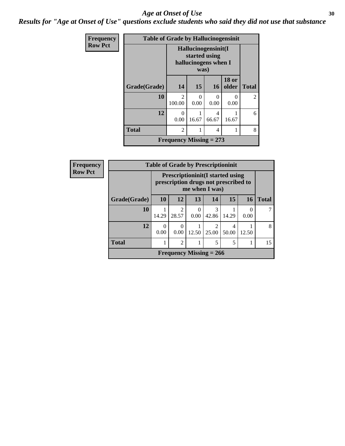#### Age at Onset of Use **30**

*Results for "Age at Onset of Use" questions exclude students who said they did not use that substance*

| <b>Frequency</b> | <b>Table of Grade by Hallucinogensinit</b> |                                                                      |           |            |                       |                |  |
|------------------|--------------------------------------------|----------------------------------------------------------------------|-----------|------------|-----------------------|----------------|--|
| <b>Row Pct</b>   |                                            | Hallucinogensinit(I<br>started using<br>hallucinogens when I<br>was) |           |            |                       |                |  |
|                  | Grade(Grade)                               | 14                                                                   | 15        | 16         | <b>18 or</b><br>older | <b>Total</b>   |  |
|                  | 10                                         | $\mathfrak{D}$<br>100.00                                             | ∩<br>0.00 | 0<br>0.00  | ∩<br>0.00             | $\mathfrak{D}$ |  |
|                  | 12                                         | 0<br>0.00                                                            | 16.67     | 4<br>66.67 | 16.67                 | 6              |  |
|                  | <b>Total</b>                               | $\overline{2}$                                                       | 8         |            |                       |                |  |
|                  |                                            | Frequency Missing $= 273$                                            |           |            |                       |                |  |

| Frequency      | <b>Table of Grade by Prescriptioninit</b> |                                                                                                    |                         |                  |                           |            |           |              |  |
|----------------|-------------------------------------------|----------------------------------------------------------------------------------------------------|-------------------------|------------------|---------------------------|------------|-----------|--------------|--|
| <b>Row Pct</b> |                                           | <b>Prescriptioninit (I started using</b><br>prescription drugs not prescribed to<br>me when I was) |                         |                  |                           |            |           |              |  |
|                | Grade(Grade)                              | <b>10</b>                                                                                          | 12                      | 13               | 14                        | 15         | <b>16</b> | <b>Total</b> |  |
|                | 10                                        | 14.29                                                                                              | $\mathfrak{D}$<br>28.57 | $\theta$<br>0.00 | 3<br>42.86                | 14.29      | 0.00      |              |  |
|                | 12                                        | $\Omega$<br>0.00                                                                                   | $\Omega$<br>0.00        | 12.50            | $\mathfrak{D}$<br>25.00   | 4<br>50.00 | 12.50     | 8            |  |
|                | <b>Total</b>                              |                                                                                                    | $\overline{2}$          |                  | 5                         | 5          |           | 15           |  |
|                |                                           |                                                                                                    |                         |                  | Frequency Missing $= 266$ |            |           |              |  |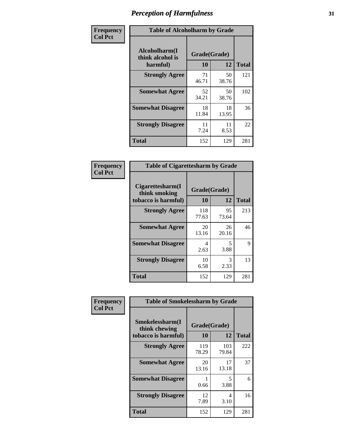| Frequency      | <b>Table of Alcoholharm by Grade</b>          |                    |             |              |  |
|----------------|-----------------------------------------------|--------------------|-------------|--------------|--|
| <b>Col Pct</b> | Alcoholharm(I<br>think alcohol is<br>harmful) | Grade(Grade)<br>10 | 12          | <b>Total</b> |  |
|                | <b>Strongly Agree</b>                         | 71<br>46.71        | 50<br>38.76 | 121          |  |
|                | <b>Somewhat Agree</b>                         | 52<br>34.21        | 50<br>38.76 | 102          |  |
|                | <b>Somewhat Disagree</b>                      | 18<br>11.84        | 18<br>13.95 | 36           |  |
|                | <b>Strongly Disagree</b>                      | 11<br>7.24         | 11<br>8.53  | 22           |  |
|                | <b>Total</b>                                  | 152                | 129         | 281          |  |

| <b>Table of Cigarettesharm by Grade</b>                  |                    |             |              |  |  |  |  |
|----------------------------------------------------------|--------------------|-------------|--------------|--|--|--|--|
| Cigarettesharm(I<br>think smoking<br>tobacco is harmful) | Grade(Grade)<br>10 | 12          | <b>Total</b> |  |  |  |  |
| <b>Strongly Agree</b>                                    | 118<br>77.63       | 95<br>73.64 | 213          |  |  |  |  |
| <b>Somewhat Agree</b>                                    | 20<br>13.16        | 26<br>20.16 | 46           |  |  |  |  |
| <b>Somewhat Disagree</b>                                 | 4<br>2.63          | 5<br>3.88   | 9            |  |  |  |  |
| <b>Strongly Disagree</b>                                 | 10<br>6.58         | 3<br>2.33   | 13           |  |  |  |  |
| <b>Total</b>                                             | 152                | 129         | 281          |  |  |  |  |

| Frequency      | <b>Table of Smokelessharm by Grade</b>                  |                    |              |              |  |
|----------------|---------------------------------------------------------|--------------------|--------------|--------------|--|
| <b>Col Pct</b> | Smokelessharm(I<br>think chewing<br>tobacco is harmful) | Grade(Grade)<br>10 | 12           | <b>Total</b> |  |
|                | <b>Strongly Agree</b>                                   | 119<br>78.29       | 103<br>79.84 | 222          |  |
|                | <b>Somewhat Agree</b>                                   | 20<br>13.16        | 17<br>13.18  | 37           |  |
|                | <b>Somewhat Disagree</b>                                | 0.66               | 5<br>3.88    | 6            |  |
|                | <b>Strongly Disagree</b>                                | 12<br>7.89         | 4<br>3.10    | 16           |  |
|                | <b>Total</b>                                            | 152                | 129          | 281          |  |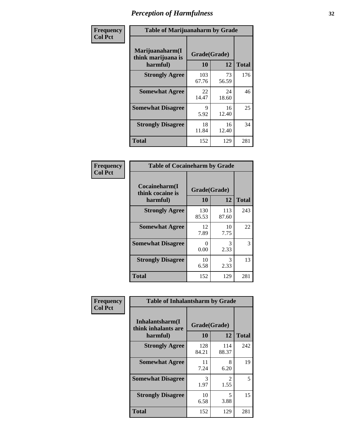| Frequency      |                                                   | <b>Table of Marijuanaharm by Grade</b> |             |              |  |  |
|----------------|---------------------------------------------------|----------------------------------------|-------------|--------------|--|--|
| <b>Col Pct</b> | Marijuanaharm(I<br>think marijuana is<br>harmful) | Grade(Grade)<br>10                     | 12          | <b>Total</b> |  |  |
|                | <b>Strongly Agree</b>                             | 103<br>67.76                           | 73<br>56.59 | 176          |  |  |
|                | <b>Somewhat Agree</b>                             | 22<br>14.47                            | 24<br>18.60 | 46           |  |  |
|                | <b>Somewhat Disagree</b>                          | 9<br>5.92                              | 16<br>12.40 | 25           |  |  |
|                | <b>Strongly Disagree</b>                          | 18<br>11.84                            | 16<br>12.40 | 34           |  |  |
|                | <b>Total</b>                                      | 152                                    | 129         | 281          |  |  |

| <b>Table of Cocaineharm by Grade</b>          |                    |              |              |  |  |  |  |  |
|-----------------------------------------------|--------------------|--------------|--------------|--|--|--|--|--|
| Cocaineharm(I<br>think cocaine is<br>harmful) | Grade(Grade)<br>10 | 12           | <b>Total</b> |  |  |  |  |  |
| <b>Strongly Agree</b>                         | 130<br>85.53       | 113<br>87.60 | 243          |  |  |  |  |  |
| <b>Somewhat Agree</b>                         | 12<br>7.89         | 10<br>7.75   | 22           |  |  |  |  |  |
| <b>Somewhat Disagree</b>                      | 0<br>0.00          | 3<br>2.33    | 3            |  |  |  |  |  |
| <b>Strongly Disagree</b>                      | 10<br>6.58         | 3<br>2.33    | 13           |  |  |  |  |  |
| Total                                         | 152                | 129          | 281          |  |  |  |  |  |

| Frequency      | <b>Table of Inhalantsharm by Grade</b>              |                    |                        |              |  |
|----------------|-----------------------------------------------------|--------------------|------------------------|--------------|--|
| <b>Col Pct</b> | Inhalantsharm(I)<br>think inhalants are<br>harmful) | Grade(Grade)<br>10 | 12                     | <b>Total</b> |  |
|                | <b>Strongly Agree</b>                               | 128<br>84.21       | 114<br>88.37           | 242          |  |
|                | <b>Somewhat Agree</b>                               | 11<br>7.24         | 8<br>6.20              | 19           |  |
|                | <b>Somewhat Disagree</b>                            | 3<br>1.97          | $\mathfrak{D}$<br>1.55 | 5            |  |
|                | <b>Strongly Disagree</b>                            | 10<br>6.58         | 5<br>3.88              | 15           |  |
|                | <b>Total</b>                                        | 152                | 129                    | 281          |  |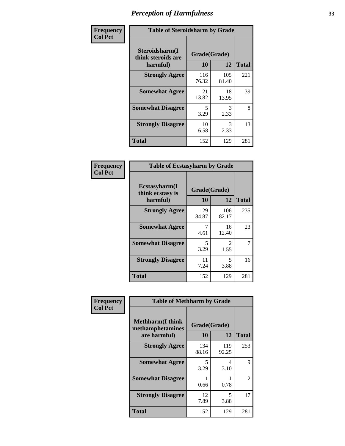| Frequency      | <b>Table of Steroidsharm by Grade</b>            |                    |              |              |
|----------------|--------------------------------------------------|--------------------|--------------|--------------|
| <b>Col Pct</b> | Steroidsharm(I<br>think steroids are<br>harmful) | Grade(Grade)<br>10 | 12           | <b>Total</b> |
|                | <b>Strongly Agree</b>                            | 116<br>76.32       | 105<br>81.40 | 221          |
|                | <b>Somewhat Agree</b>                            | 21<br>13.82        | 18<br>13.95  | 39           |
|                | <b>Somewhat Disagree</b>                         | 5<br>3.29          | 3<br>2.33    | 8            |
|                | <b>Strongly Disagree</b>                         | 10<br>6.58         | 3<br>2.33    | 13           |
|                | <b>Total</b>                                     | 152                | 129          | 281          |

| <b>Table of Ecstasyharm by Grade</b>          |                    |                        |     |  |  |
|-----------------------------------------------|--------------------|------------------------|-----|--|--|
| Ecstasyharm(I<br>think ecstasy is<br>harmful) | Grade(Grade)<br>10 | <b>Total</b>           |     |  |  |
| <b>Strongly Agree</b>                         | 129<br>84.87       | 106<br>82.17           | 235 |  |  |
| <b>Somewhat Agree</b>                         | 7<br>4.61          | 16<br>12.40            | 23  |  |  |
| <b>Somewhat Disagree</b>                      | 5<br>3.29          | $\mathfrak{D}$<br>1.55 | 7   |  |  |
| <b>Strongly Disagree</b>                      | 11<br>7.24         | 5<br>3.88              | 16  |  |  |
| Total                                         | 152                | 129                    | 281 |  |  |

| Frequency      | <b>Table of Methharm by Grade</b>                           |                           |              |              |
|----------------|-------------------------------------------------------------|---------------------------|--------------|--------------|
| <b>Col Pct</b> | <b>Methharm(I think</b><br>methamphetamines<br>are harmful) | Grade(Grade)<br><b>10</b> | 12           | <b>Total</b> |
|                | <b>Strongly Agree</b>                                       | 134<br>88.16              | 119<br>92.25 | 253          |
|                | <b>Somewhat Agree</b>                                       | 5<br>3.29                 | 4<br>3.10    | 9            |
|                | <b>Somewhat Disagree</b>                                    | 0.66                      | 0.78         | 2            |
|                | <b>Strongly Disagree</b>                                    | 12<br>7.89                | 5<br>3.88    | 17           |
|                | <b>Total</b>                                                | 152                       | 129          | 281          |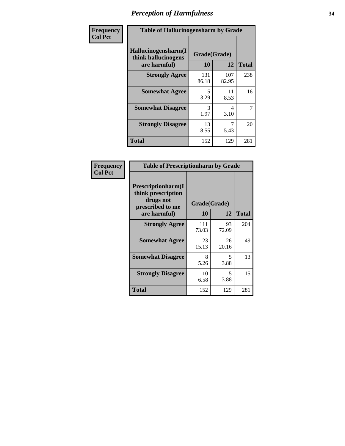| Frequency | <b>Table of Hallucinogensharm by Grade</b>                 |                       |              |                |
|-----------|------------------------------------------------------------|-----------------------|--------------|----------------|
| Col Pct   | Hallucinogensharm(I<br>think hallucinogens<br>are harmful) | Grade(Grade)<br>10    | 12           | <b>Total</b>   |
|           | <b>Strongly Agree</b>                                      | 131<br>86.18          | 107<br>82.95 | 238            |
|           | <b>Somewhat Agree</b>                                      | 5<br>3.29             | 11<br>8.53   | 16             |
|           | <b>Somewhat Disagree</b>                                   | $\mathcal{R}$<br>1.97 | 4<br>3.10    | $\overline{7}$ |
|           | <b>Strongly Disagree</b>                                   | 13<br>8.55            | 7<br>5.43    | 20             |
|           | <b>Total</b>                                               | 152                   | 129          | 281            |

| <b>Table of Prescriptionharm by Grade</b>                                                         |                    |             |              |  |
|---------------------------------------------------------------------------------------------------|--------------------|-------------|--------------|--|
| <b>Prescriptionharm</b> (I<br>think prescription<br>drugs not<br>prescribed to me<br>are harmful) | Grade(Grade)<br>10 | 12          | <b>Total</b> |  |
| <b>Strongly Agree</b>                                                                             | 111<br>73.03       | 93<br>72.09 | 204          |  |
| <b>Somewhat Agree</b>                                                                             | 23<br>15.13        | 26<br>20.16 | 49           |  |
| <b>Somewhat Disagree</b>                                                                          | 8<br>5.26          | 5<br>3.88   | 13           |  |
| <b>Strongly Disagree</b>                                                                          | 10<br>6.58         | 5<br>3.88   | 15           |  |
| <b>Total</b>                                                                                      | 152                | 129         | 281          |  |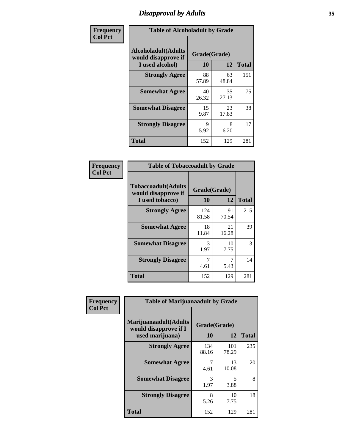# *Disapproval by Adults* **35**

| Frequency      | <b>Table of Alcoholadult by Grade</b>                                 |                    |             |              |
|----------------|-----------------------------------------------------------------------|--------------------|-------------|--------------|
| <b>Col Pct</b> | <b>Alcoholadult</b> (Adults<br>would disapprove if<br>I used alcohol) | Grade(Grade)<br>10 | 12          | <b>Total</b> |
|                | <b>Strongly Agree</b>                                                 | 88<br>57.89        | 63<br>48.84 | 151          |
|                | <b>Somewhat Agree</b>                                                 | 40<br>26.32        | 35<br>27.13 | 75           |
|                | <b>Somewhat Disagree</b>                                              | 15<br>9.87         | 23<br>17.83 | 38           |
|                | <b>Strongly Disagree</b>                                              | 9<br>5.92          | 8<br>6.20   | 17           |
|                | <b>Total</b>                                                          | 152                | 129         | 281          |

| <b>Table of Tobaccoadult by Grade</b>                                 |                    |              |     |  |
|-----------------------------------------------------------------------|--------------------|--------------|-----|--|
| <b>Tobaccoadult</b> (Adults<br>would disapprove if<br>I used tobacco) | Grade(Grade)<br>10 | <b>Total</b> |     |  |
| <b>Strongly Agree</b>                                                 | 124<br>81.58       | 91<br>70.54  | 215 |  |
| <b>Somewhat Agree</b>                                                 | 18<br>11.84        | 21<br>16.28  | 39  |  |
| <b>Somewhat Disagree</b>                                              | 3<br>1.97          | 10<br>7.75   | 13  |  |
| <b>Strongly Disagree</b>                                              | 7<br>4.61          | 5.43         | 14  |  |
| Total                                                                 | 152                | 129          | 281 |  |

| Frequency      | <b>Table of Marijuanaadult by Grade</b>                           |                    |              |              |
|----------------|-------------------------------------------------------------------|--------------------|--------------|--------------|
| <b>Col Pct</b> | Marijuanaadult(Adults<br>would disapprove if I<br>used marijuana) | Grade(Grade)<br>10 | 12           | <b>Total</b> |
|                | <b>Strongly Agree</b>                                             | 134<br>88.16       | 101<br>78.29 | 235          |
|                | <b>Somewhat Agree</b>                                             | 7<br>4.61          | 13<br>10.08  | 20           |
|                | <b>Somewhat Disagree</b>                                          | 3<br>1.97          | 5<br>3.88    | 8            |
|                | <b>Strongly Disagree</b>                                          | 8<br>5.26          | 10<br>7.75   | 18           |
|                | <b>Total</b>                                                      | 152                | 129          | 281          |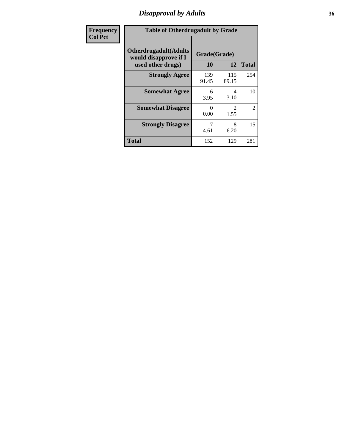# *Disapproval by Adults* **36**

| Frequency      | <b>Table of Otherdrugadult by Grade</b>                                     |                    |              |                |
|----------------|-----------------------------------------------------------------------------|--------------------|--------------|----------------|
| <b>Col Pct</b> | <b>Otherdrugadult</b> (Adults<br>would disapprove if I<br>used other drugs) | Grade(Grade)<br>10 | 12           | <b>Total</b>   |
|                | <b>Strongly Agree</b>                                                       | 139<br>91.45       | 115<br>89.15 | 254            |
|                | <b>Somewhat Agree</b>                                                       | 6<br>3.95          | 4<br>3.10    | 10             |
|                | <b>Somewhat Disagree</b>                                                    | 0<br>0.00          | 2<br>1.55    | $\overline{2}$ |
|                | <b>Strongly Disagree</b>                                                    | 4.61               | 8<br>6.20    | 15             |
|                | <b>Total</b>                                                                | 152                | 129          | 281            |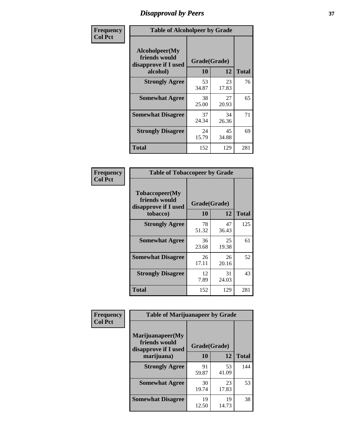# *Disapproval by Peers* **37**

| Frequency      | <b>Table of Alcoholpeer by Grade</b>                    |              |             |              |  |
|----------------|---------------------------------------------------------|--------------|-------------|--------------|--|
| <b>Col Pct</b> | Alcoholpeer(My<br>friends would<br>disapprove if I used | Grade(Grade) |             |              |  |
|                | alcohol)                                                | 10           | 12          | <b>Total</b> |  |
|                | <b>Strongly Agree</b>                                   | 53<br>34.87  | 23<br>17.83 | 76           |  |
|                | <b>Somewhat Agree</b>                                   | 38<br>25.00  | 27<br>20.93 | 65           |  |
|                | <b>Somewhat Disagree</b>                                | 37<br>24.34  | 34<br>26.36 | 71           |  |
|                | <b>Strongly Disagree</b>                                | 24<br>15.79  | 45<br>34.88 | 69           |  |
|                | Total                                                   | 152          | 129         | 281          |  |

| Frequency      | <b>Table of Tobaccopeer by Grade</b>                                |                           |             |              |  |
|----------------|---------------------------------------------------------------------|---------------------------|-------------|--------------|--|
| <b>Col Pct</b> | Tobaccopeer(My<br>friends would<br>disapprove if I used<br>tobacco) | Grade(Grade)<br><b>10</b> | 12          | <b>Total</b> |  |
|                | <b>Strongly Agree</b>                                               | 78<br>51.32               | 47<br>36.43 | 125          |  |
|                | <b>Somewhat Agree</b>                                               | 36<br>23.68               | 25<br>19.38 | 61           |  |
|                | <b>Somewhat Disagree</b>                                            | 26<br>17.11               | 26<br>20.16 | 52           |  |
|                | <b>Strongly Disagree</b>                                            | 12<br>7.89                | 31<br>24.03 | 43           |  |
|                | Total                                                               | 152                       | 129         | 281          |  |

| Frequency      | <b>Table of Marijuanapeer by Grade</b>                    |              |             |              |
|----------------|-----------------------------------------------------------|--------------|-------------|--------------|
| <b>Col Pct</b> | Marijuanapeer(My<br>friends would<br>disapprove if I used | Grade(Grade) |             |              |
|                | marijuana)                                                | <b>10</b>    | 12          | <b>Total</b> |
|                | <b>Strongly Agree</b>                                     | 91<br>59.87  | 53<br>41.09 | 144          |
|                | <b>Somewhat Agree</b>                                     | 30<br>19.74  | 23<br>17.83 | 53           |
|                | <b>Somewhat Disagree</b>                                  | 19<br>12.50  | 19<br>14.73 | 38           |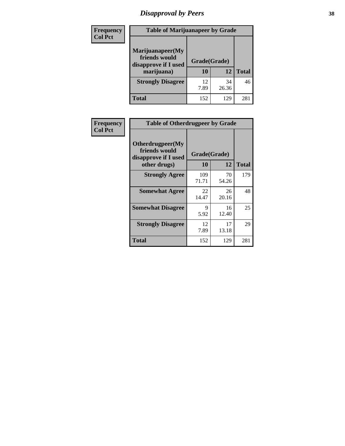# *Disapproval by Peers* **38**

| <b>Frequency</b> | <b>Table of Marijuanapeer by Grade</b>                                  |                    |             |              |  |
|------------------|-------------------------------------------------------------------------|--------------------|-------------|--------------|--|
| <b>Col Pct</b>   | Marijuanapeer(My<br>friends would<br>disapprove if I used<br>marijuana) | Grade(Grade)<br>10 | 12          | <b>Total</b> |  |
|                  | <b>Strongly Disagree</b>                                                | 12<br>7.89         | 34<br>26.36 | 46           |  |
|                  | <b>Total</b>                                                            | 152                | 129         | 281          |  |

| <b>Frequency</b> | <b>Table of Otherdrugpeer by Grade</b>                                    |                    |             |              |
|------------------|---------------------------------------------------------------------------|--------------------|-------------|--------------|
| <b>Col Pct</b>   | Otherdrugpeer(My<br>friends would<br>disapprove if I used<br>other drugs) | Grade(Grade)<br>10 | 12          | <b>Total</b> |
|                  |                                                                           |                    |             |              |
|                  | <b>Strongly Agree</b>                                                     | 109<br>71.71       | 70<br>54.26 | 179          |
|                  | <b>Somewhat Agree</b>                                                     | 22<br>14.47        | 26<br>20.16 | 48           |
|                  | <b>Somewhat Disagree</b>                                                  | 9<br>5.92          | 16<br>12.40 | 25           |
|                  | <b>Strongly Disagree</b>                                                  | 12<br>7.89         | 17<br>13.18 | 29           |
|                  | Total                                                                     | 152                | 129         | 281          |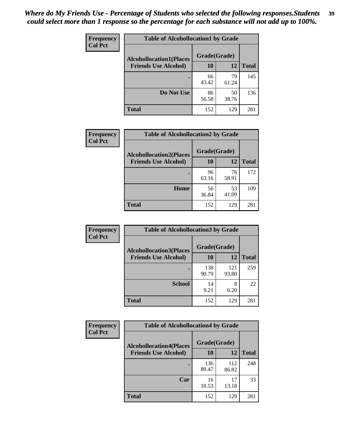| Frequency      | <b>Table of Alcohollocation1 by Grade</b> |              |             |              |
|----------------|-------------------------------------------|--------------|-------------|--------------|
| <b>Col Pct</b> | <b>Alcohollocation1(Places</b>            | Grade(Grade) |             |              |
|                | <b>Friends Use Alcohol)</b>               | 10           | 12          | <b>Total</b> |
|                |                                           | 66<br>43.42  | 79<br>61.24 | 145          |
|                | Do Not Use                                | 86<br>56.58  | 50<br>38.76 | 136          |
|                | <b>Total</b>                              | 152          | 129         | 281          |

| <b>Frequency</b> | <b>Table of Alcohollocation2 by Grade</b>                     |                    |             |              |
|------------------|---------------------------------------------------------------|--------------------|-------------|--------------|
| <b>Col Pct</b>   | <b>Alcohollocation2(Places</b><br><b>Friends Use Alcohol)</b> | Grade(Grade)<br>10 | 12          | <b>Total</b> |
|                  |                                                               | 96<br>63.16        | 76<br>58.91 | 172          |
|                  | Home                                                          | 56<br>36.84        | 53<br>41.09 | 109          |
|                  | <b>Total</b>                                                  | 152                | 129         | 281          |

| Frequency<br><b>Col Pct</b> | <b>Table of Alcohollocation3 by Grade</b> |                    |           |              |
|-----------------------------|-------------------------------------------|--------------------|-----------|--------------|
| <b>Friends Use Alcohol)</b> | <b>Alcohollocation3(Places</b>            | Grade(Grade)<br>10 | 12        | <b>Total</b> |
|                             |                                           | 138                | 121       | 259          |
|                             |                                           | 90.79              | 93.80     |              |
|                             | <b>School</b>                             | 14<br>9.21         | 8<br>6.20 | 22           |
|                             | Total                                     | 152                | 129       | 281          |

| <b>Frequency</b> | <b>Table of Alcohollocation4 by Grade</b> |              |              |              |  |
|------------------|-------------------------------------------|--------------|--------------|--------------|--|
| <b>Col Pct</b>   | <b>Alcohollocation4(Places</b>            | Grade(Grade) |              |              |  |
|                  | <b>Friends Use Alcohol)</b>               | 10           | 12           | <b>Total</b> |  |
|                  |                                           | 136<br>89.47 | 112<br>86.82 | 248          |  |
|                  | Car                                       | 16<br>10.53  | 17<br>13.18  | 33           |  |
|                  | <b>Total</b>                              | 152          | 129          | 281          |  |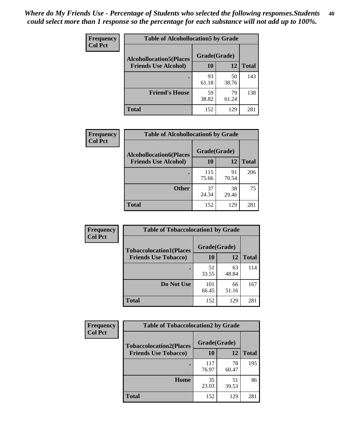| Frequency<br><b>Col Pct</b> | <b>Table of Alcohollocation5 by Grade</b> |              |             |              |
|-----------------------------|-------------------------------------------|--------------|-------------|--------------|
|                             | <b>Alcohollocation5(Places</b>            | Grade(Grade) |             |              |
|                             | <b>Friends Use Alcohol)</b>               | 10           | 12          | <b>Total</b> |
|                             |                                           | 93<br>61.18  | 50<br>38.76 | 143          |
|                             | <b>Friend's House</b>                     | 59<br>38.82  | 79<br>61.24 | 138          |
|                             | <b>Total</b>                              | 152          | 129         | 281          |

| <b>Frequency</b>                                 | <b>Table of Alcohollocation6 by Grade</b> |              |             |              |
|--------------------------------------------------|-------------------------------------------|--------------|-------------|--------------|
| <b>Col Pct</b><br><b>Alcohollocation6(Places</b> |                                           | Grade(Grade) |             |              |
|                                                  | <b>Friends Use Alcohol)</b>               | 10           | 12          | <b>Total</b> |
|                                                  |                                           | 115<br>75.66 | 91<br>70.54 | 206          |
|                                                  | <b>Other</b>                              | 37<br>24.34  | 38<br>29.46 | 75           |
|                                                  | <b>Total</b>                              | 152          | 129         | 281          |

| Frequency      | <b>Table of Tobaccolocation1 by Grade</b> |              |             |              |
|----------------|-------------------------------------------|--------------|-------------|--------------|
| <b>Col Pct</b> | <b>Tobaccolocation1(Places</b>            | Grade(Grade) |             |              |
|                | <b>Friends Use Tobacco)</b>               | 10           | 12          | <b>Total</b> |
|                |                                           | 51<br>33.55  | 63<br>48.84 | 114          |
|                | Do Not Use                                | 101<br>66.45 | 66<br>51.16 | 167          |
|                | <b>Total</b>                              | 152          | 129         | 281          |

| <b>Frequency</b> | <b>Table of Tobaccolocation2 by Grade</b> |              |             |              |  |
|------------------|-------------------------------------------|--------------|-------------|--------------|--|
| <b>Col Pct</b>   | <b>Tobaccolocation2(Places</b>            | Grade(Grade) |             |              |  |
|                  | <b>Friends Use Tobacco)</b>               | 10           | 12          | <b>Total</b> |  |
|                  |                                           | 117<br>76.97 | 78<br>60.47 | 195          |  |
|                  | Home                                      | 35<br>23.03  | 51<br>39.53 | 86           |  |
|                  | <b>Total</b>                              | 152          | 129         | 281          |  |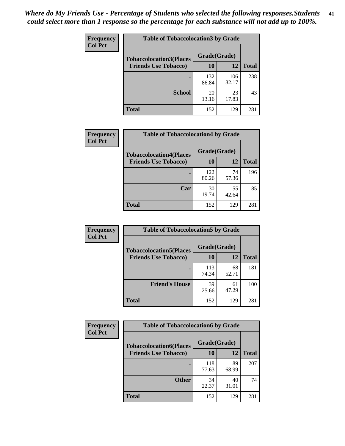| Frequency      | <b>Table of Tobaccolocation 3 by Grade</b> |              |              |              |  |
|----------------|--------------------------------------------|--------------|--------------|--------------|--|
| <b>Col Pct</b> | <b>Tobaccolocation3(Places</b>             | Grade(Grade) |              |              |  |
|                | <b>Friends Use Tobacco)</b>                | 10           | 12           | <b>Total</b> |  |
|                |                                            | 132<br>86.84 | 106<br>82.17 | 238          |  |
|                | <b>School</b>                              | 20<br>13.16  | 23<br>17.83  | 43           |  |
|                | <b>Total</b>                               | 152          | 129          | 281          |  |

| Frequency      | <b>Table of Tobaccolocation4 by Grade</b> |              |             |              |
|----------------|-------------------------------------------|--------------|-------------|--------------|
| <b>Col Pct</b> | <b>Tobaccolocation4(Places</b>            | Grade(Grade) |             |              |
|                | <b>Friends Use Tobacco)</b>               | 10           | 12          | <b>Total</b> |
|                |                                           | 122<br>80.26 | 74<br>57.36 | 196          |
|                | Car                                       | 30<br>19.74  | 55<br>42.64 | 85           |
|                | <b>Total</b>                              | 152          | 129         | 281          |

| Frequency      | <b>Table of Tobaccolocation5 by Grade</b>                     |                    |             |              |
|----------------|---------------------------------------------------------------|--------------------|-------------|--------------|
| <b>Col Pct</b> | <b>Tobaccolocation5(Places</b><br><b>Friends Use Tobacco)</b> | Grade(Grade)<br>10 | 12          | <b>Total</b> |
|                |                                                               | 113                | 68          | 181          |
|                |                                                               | 74.34              | 52.71       |              |
|                | <b>Friend's House</b>                                         | 39<br>25.66        | 61<br>47.29 | 100          |
|                | <b>Total</b>                                                  | 152                | 129         | 281          |

| Frequency      | <b>Table of Tobaccolocation6 by Grade</b> |              |             |              |  |
|----------------|-------------------------------------------|--------------|-------------|--------------|--|
| <b>Col Pct</b> | <b>Tobaccolocation6(Places</b>            | Grade(Grade) |             |              |  |
|                | <b>Friends Use Tobacco)</b>               | 10           | 12          | <b>Total</b> |  |
|                |                                           | 118<br>77.63 | 89<br>68.99 | 207          |  |
|                | <b>Other</b>                              | 34<br>22.37  | 40<br>31.01 | 74           |  |
|                | <b>Total</b>                              | 152          | 129         | 281          |  |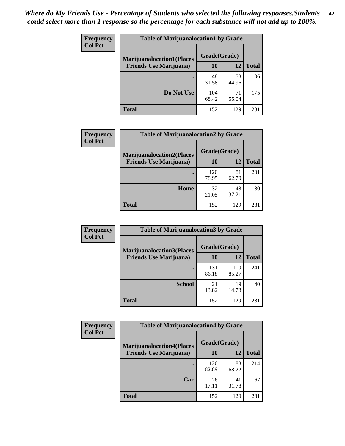| <b>Frequency</b> | <b>Table of Marijuanalocation1 by Grade</b> |              |             |              |
|------------------|---------------------------------------------|--------------|-------------|--------------|
| <b>Col Pct</b>   | <b>Marijuanalocation1(Places</b>            | Grade(Grade) |             |              |
|                  | <b>Friends Use Marijuana</b> )              | <b>10</b>    | 12          | <b>Total</b> |
|                  |                                             | 48<br>31.58  | 58<br>44.96 | 106          |
|                  | Do Not Use                                  | 104<br>68.42 | 71<br>55.04 | 175          |
|                  | <b>Total</b>                                | 152          | 129         | 281          |

| <b>Frequency</b> | <b>Table of Marijuanalocation2 by Grade</b>                        |                    |             |              |
|------------------|--------------------------------------------------------------------|--------------------|-------------|--------------|
| <b>Col Pct</b>   | <b>Marijuanalocation2(Places</b><br><b>Friends Use Marijuana</b> ) | Grade(Grade)<br>10 | 12          | <b>Total</b> |
|                  |                                                                    | 120<br>78.95       | 81<br>62.79 | 201          |
|                  | Home                                                               | 32<br>21.05        | 48<br>37.21 | 80           |
|                  | <b>Total</b>                                                       | 152                | 129         | 281          |

| Frequency<br><b>Col Pct</b> | <b>Table of Marijuanalocation3 by Grade</b> |              |              |              |
|-----------------------------|---------------------------------------------|--------------|--------------|--------------|
|                             | <b>Marijuanalocation3</b> (Places           | Grade(Grade) |              |              |
|                             | <b>Friends Use Marijuana</b> )              | <b>10</b>    | 12           | <b>Total</b> |
|                             |                                             | 131<br>86.18 | 110<br>85.27 | 241          |
|                             | <b>School</b>                               | 21<br>13.82  | 19<br>14.73  | 40           |
|                             | <b>Total</b>                                | 152          | 129          | 281          |

| <b>Frequency</b> | <b>Table of Marijuanalocation4 by Grade</b> |              |             |              |  |
|------------------|---------------------------------------------|--------------|-------------|--------------|--|
| <b>Col Pct</b>   | <b>Marijuanalocation4(Places</b>            | Grade(Grade) |             |              |  |
|                  | <b>Friends Use Marijuana</b> )              | <b>10</b>    | 12          | <b>Total</b> |  |
|                  |                                             | 126<br>82.89 | 88<br>68.22 | 214          |  |
|                  | Car                                         | 26<br>17.11  | 41<br>31.78 | 67           |  |
|                  | <b>Total</b>                                | 152          | 129         | 281          |  |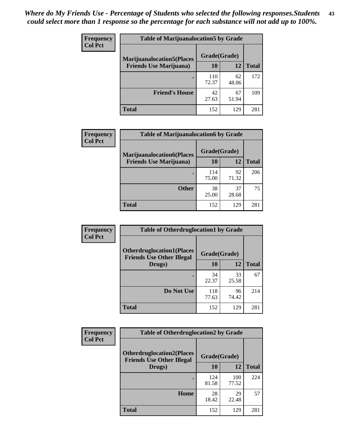| <b>Frequency</b> | <b>Table of Marijuanalocation5 by Grade</b> |              |             |              |
|------------------|---------------------------------------------|--------------|-------------|--------------|
| <b>Col Pct</b>   | <b>Marijuanalocation5(Places)</b>           | Grade(Grade) |             |              |
|                  | <b>Friends Use Marijuana</b> )              | 10           | 12          | <b>Total</b> |
|                  |                                             | 110<br>72.37 | 62<br>48.06 | 172          |
|                  | <b>Friend's House</b>                       | 42<br>27.63  | 67<br>51.94 | 109          |
|                  | <b>Total</b>                                | 152          | 129         | 281          |

| <b>Frequency</b> | <b>Table of Marijuanalocation6 by Grade</b>                        |                           |             |       |
|------------------|--------------------------------------------------------------------|---------------------------|-------------|-------|
| <b>Col Pct</b>   | <b>Marijuanalocation6(Places</b><br><b>Friends Use Marijuana</b> ) | Grade(Grade)<br><b>10</b> | 12          | Total |
|                  |                                                                    | 114<br>75.00              | 92<br>71.32 | 206   |
|                  | <b>Other</b>                                                       | 38<br>25.00               | 37<br>28.68 | 75    |
|                  | <b>Total</b>                                                       | 152                       | 129         | 281   |

| <b>Frequency</b> | <b>Table of Otherdruglocation1 by Grade</b>                          |              |             |              |
|------------------|----------------------------------------------------------------------|--------------|-------------|--------------|
| <b>Col Pct</b>   | <b>Otherdruglocation1(Places</b><br><b>Friends Use Other Illegal</b> | Grade(Grade) |             |              |
|                  | Drugs)                                                               | 10           | 12          | <b>Total</b> |
|                  |                                                                      | 34<br>22.37  | 33<br>25.58 | 67           |
|                  | Do Not Use                                                           | 118<br>77.63 | 96<br>74.42 | 214          |
|                  | <b>Total</b>                                                         | 152          | 129         | 281          |

| Frequency      | <b>Table of Otherdruglocation2 by Grade</b>                          |              |              |              |
|----------------|----------------------------------------------------------------------|--------------|--------------|--------------|
| <b>Col Pct</b> | <b>Otherdruglocation2(Places</b><br><b>Friends Use Other Illegal</b> | Grade(Grade) |              |              |
|                | Drugs)                                                               | 10           | 12           | <b>Total</b> |
|                |                                                                      | 124<br>81.58 | 100<br>77.52 | 224          |
|                | <b>Home</b>                                                          | 28<br>18.42  | 29<br>22.48  | 57           |
|                | <b>Total</b>                                                         | 152          | 129          | 281          |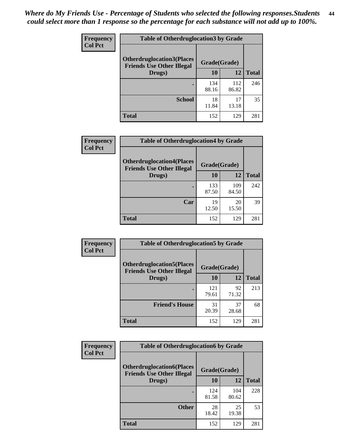| <b>Frequency</b> | <b>Table of Otherdruglocation3 by Grade</b>                          |              |              |              |
|------------------|----------------------------------------------------------------------|--------------|--------------|--------------|
| <b>Col Pct</b>   | <b>Otherdruglocation3(Places</b><br><b>Friends Use Other Illegal</b> | Grade(Grade) |              |              |
|                  | Drugs)                                                               | <b>10</b>    | 12           | <b>Total</b> |
|                  |                                                                      | 134<br>88.16 | 112<br>86.82 | 246          |
|                  | <b>School</b>                                                        | 18<br>11.84  | 17<br>13.18  | 35           |
|                  | <b>Total</b>                                                         | 152          | 129          | 281          |

| <b>Frequency</b> | <b>Table of Otherdruglocation4 by Grade</b>                          |              |              |              |
|------------------|----------------------------------------------------------------------|--------------|--------------|--------------|
| <b>Col Pct</b>   | <b>Otherdruglocation4(Places</b><br><b>Friends Use Other Illegal</b> | Grade(Grade) |              |              |
|                  | Drugs)                                                               | 10           | 12           | <b>Total</b> |
|                  |                                                                      | 133<br>87.50 | 109<br>84.50 | 242          |
|                  | Car                                                                  | 19<br>12.50  | 20<br>15.50  | 39           |
|                  | <b>Total</b>                                                         | 152          | 129          | 281          |

| <b>Frequency</b> | <b>Table of Otherdruglocation5 by Grade</b>                          |              |             |              |
|------------------|----------------------------------------------------------------------|--------------|-------------|--------------|
| <b>Col Pct</b>   | <b>Otherdruglocation5(Places</b><br><b>Friends Use Other Illegal</b> | Grade(Grade) |             |              |
|                  | Drugs)                                                               | 10           | 12          | <b>Total</b> |
|                  |                                                                      | 121<br>79.61 | 92<br>71.32 | 213          |
|                  | <b>Friend's House</b>                                                | 31<br>20.39  | 37<br>28.68 | 68           |
|                  | <b>Total</b>                                                         | 152          | 129         | 281          |

| <b>Frequency</b> | <b>Table of Otherdruglocation6 by Grade</b>                          |              |              |              |
|------------------|----------------------------------------------------------------------|--------------|--------------|--------------|
| <b>Col Pct</b>   | <b>Otherdruglocation6(Places</b><br><b>Friends Use Other Illegal</b> | Grade(Grade) |              |              |
|                  | Drugs)                                                               | <b>10</b>    | 12           | <b>Total</b> |
|                  |                                                                      | 124<br>81.58 | 104<br>80.62 | 228          |
|                  | <b>Other</b>                                                         | 28<br>18.42  | 25<br>19.38  | 53           |
|                  | <b>Total</b>                                                         | 152          | 129          | 281          |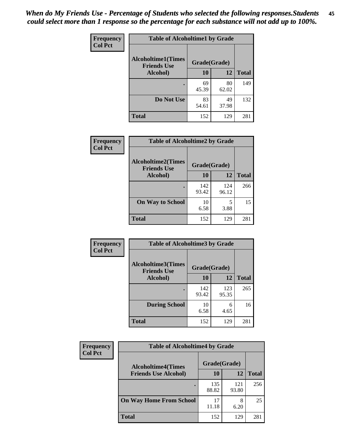| Frequency      | <b>Table of Alcoholtime1 by Grade</b>           |              |             |              |
|----------------|-------------------------------------------------|--------------|-------------|--------------|
| <b>Col Pct</b> | <b>Alcoholtime1(Times</b><br><b>Friends Use</b> | Grade(Grade) |             |              |
|                | Alcohol)                                        | <b>10</b>    | <b>12</b>   | <b>Total</b> |
|                |                                                 | 69<br>45.39  | 80<br>62.02 | 149          |
|                | Do Not Use                                      | 83<br>54.61  | 49<br>37.98 | 132          |
|                | <b>Total</b>                                    | 152          | 129         | 281          |

| Frequency      | <b>Table of Alcoholtime2 by Grade</b>           |              |              |              |
|----------------|-------------------------------------------------|--------------|--------------|--------------|
| <b>Col Pct</b> | <b>Alcoholtime2(Times</b><br><b>Friends Use</b> | Grade(Grade) |              |              |
|                | Alcohol)                                        | 10           | 12           | <b>Total</b> |
|                |                                                 | 142<br>93.42 | 124<br>96.12 | 266          |
|                | <b>On Way to School</b>                         | 10<br>6.58   | 5<br>3.88    | 15           |
|                | <b>Total</b>                                    | 152          | 129          | 281          |

| Frequency      | <b>Table of Alcoholtime3 by Grade</b>           |              |              |              |
|----------------|-------------------------------------------------|--------------|--------------|--------------|
| <b>Col Pct</b> | <b>Alcoholtime3(Times</b><br><b>Friends Use</b> | Grade(Grade) |              |              |
|                | Alcohol)                                        | 10           | 12           | <b>Total</b> |
|                |                                                 | 142<br>93.42 | 123<br>95.35 | 265          |
|                | <b>During School</b>                            | 10<br>6.58   | 6<br>4.65    | 16           |
|                | Total                                           | 152          | 129          | 281          |

| <b>Frequency</b><br><b>Col Pct</b> | <b>Table of Alcoholtime4 by Grade</b> |              |              |              |
|------------------------------------|---------------------------------------|--------------|--------------|--------------|
|                                    | <b>Alcoholtime4(Times</b>             | Grade(Grade) |              |              |
|                                    | <b>Friends Use Alcohol)</b>           | 10           | 12           | <b>Total</b> |
|                                    |                                       | 135<br>88.82 | 121<br>93.80 | 256          |
|                                    | <b>On Way Home From School</b>        | 17<br>11.18  | 8<br>6.20    | 25           |
|                                    | <b>Total</b>                          | 152          | 129          | 281          |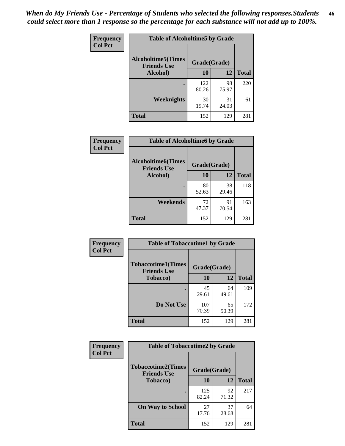*When do My Friends Use - Percentage of Students who selected the following responses.Students could select more than 1 response so the percentage for each substance will not add up to 100%.* **46**

| <b>Frequency</b> | <b>Table of Alcoholtime5 by Grade</b>           |              |             |              |
|------------------|-------------------------------------------------|--------------|-------------|--------------|
| <b>Col Pct</b>   | <b>Alcoholtime5(Times</b><br><b>Friends Use</b> | Grade(Grade) |             |              |
|                  | Alcohol)                                        | 10           | 12          | <b>Total</b> |
|                  |                                                 | 122<br>80.26 | 98<br>75.97 | 220          |
|                  | Weeknights                                      | 30<br>19.74  | 31<br>24.03 | 61           |
|                  | <b>Total</b>                                    | 152          | 129         | 281          |

| Frequency      | <b>Table of Alcoholtime6 by Grade</b>           |              |             |              |
|----------------|-------------------------------------------------|--------------|-------------|--------------|
| <b>Col Pct</b> | <b>Alcoholtime6(Times</b><br><b>Friends Use</b> | Grade(Grade) |             |              |
|                | Alcohol)                                        | 10           | 12          | <b>Total</b> |
|                |                                                 | 80<br>52.63  | 38<br>29.46 | 118          |
|                | Weekends                                        | 72<br>47.37  | 91<br>70.54 | 163          |
|                | <b>Total</b>                                    | 152          | 129         | 281          |

| Frequency<br><b>Col Pct</b> | <b>Table of Tobaccotime1 by Grade</b>                           |              |             |              |
|-----------------------------|-----------------------------------------------------------------|--------------|-------------|--------------|
|                             | <b>Tobaccotime1(Times</b><br>Grade(Grade)<br><b>Friends Use</b> |              |             |              |
|                             | <b>Tobacco</b> )                                                | 10           | 12          | <b>Total</b> |
|                             |                                                                 | 45<br>29.61  | 64<br>49.61 | 109          |
|                             | Do Not Use                                                      | 107<br>70.39 | 65<br>50.39 | 172          |
|                             | <b>Total</b>                                                    | 152          | 129         | 281          |

| <b>Frequency</b> | <b>Table of Tobaccotime2 by Grade</b>           |              |             |              |
|------------------|-------------------------------------------------|--------------|-------------|--------------|
| <b>Col Pct</b>   | <b>Tobaccotime2(Times</b><br><b>Friends Use</b> | Grade(Grade) |             |              |
|                  | <b>Tobacco</b> )                                | 10           | 12          | <b>Total</b> |
|                  |                                                 | 125<br>82.24 | 92<br>71.32 | 217          |
|                  | <b>On Way to School</b>                         | 27<br>17.76  | 37<br>28.68 | 64           |
|                  | <b>Total</b>                                    | 152          | 129         | 281          |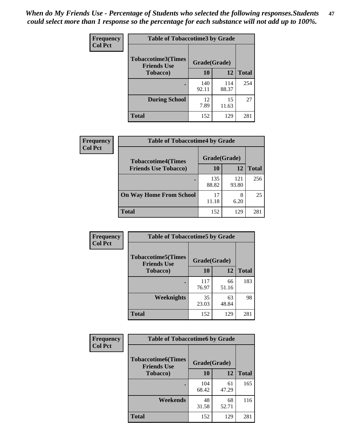*When do My Friends Use - Percentage of Students who selected the following responses.Students could select more than 1 response so the percentage for each substance will not add up to 100%.* **47**

| <b>Frequency</b> | <b>Table of Tobaccotime3 by Grade</b>           |              |              |              |  |
|------------------|-------------------------------------------------|--------------|--------------|--------------|--|
| <b>Col Pct</b>   | <b>Tobaccotime3(Times</b><br><b>Friends Use</b> |              | Grade(Grade) |              |  |
|                  | <b>Tobacco</b> )                                | 10           | 12           | <b>Total</b> |  |
|                  |                                                 | 140<br>92.11 | 114<br>88.37 | 254          |  |
|                  | <b>During School</b>                            | 12<br>7.89   | 15<br>11.63  | 27           |  |
|                  | <b>Total</b>                                    | 152          | 129          | 281          |  |

| <b>Frequency</b><br><b>Col Pct</b> | <b>Table of Tobaccotime4 by Grade</b> |              |              |              |
|------------------------------------|---------------------------------------|--------------|--------------|--------------|
|                                    | <b>Tobaccotime4(Times</b>             | Grade(Grade) |              |              |
|                                    | <b>Friends Use Tobacco)</b>           | 10           | 12           | <b>Total</b> |
|                                    |                                       | 135<br>88.82 | 121<br>93.80 | 256          |
|                                    | <b>On Way Home From School</b>        | 17<br>11.18  | 8<br>6.20    | 25           |
|                                    | <b>Total</b>                          | 152          | 129          | 281          |

| <b>Frequency</b> | <b>Table of Tobaccotime5 by Grade</b>           |              |             |              |
|------------------|-------------------------------------------------|--------------|-------------|--------------|
| <b>Col Pct</b>   | <b>Tobaccotime5(Times</b><br><b>Friends Use</b> | Grade(Grade) |             |              |
|                  | <b>Tobacco</b> )                                | 10           | 12          | <b>Total</b> |
|                  |                                                 | 117<br>76.97 | 66<br>51.16 | 183          |
|                  | Weeknights                                      | 35<br>23.03  | 63<br>48.84 | 98           |
|                  | <b>Total</b>                                    | 152          | 129         | 281          |

| Frequency<br><b>Col Pct</b> | <b>Table of Tobaccotime6 by Grade</b>                           |              |             |              |
|-----------------------------|-----------------------------------------------------------------|--------------|-------------|--------------|
|                             | <b>Tobaccotime6(Times</b><br>Grade(Grade)<br><b>Friends Use</b> |              |             |              |
|                             | <b>Tobacco</b> )                                                | 10           | 12          | <b>Total</b> |
|                             | ٠                                                               | 104<br>68.42 | 61<br>47.29 | 165          |
|                             | Weekends                                                        | 48<br>31.58  | 68<br>52.71 | 116          |
|                             | <b>Total</b>                                                    | 152          | 129         | 281          |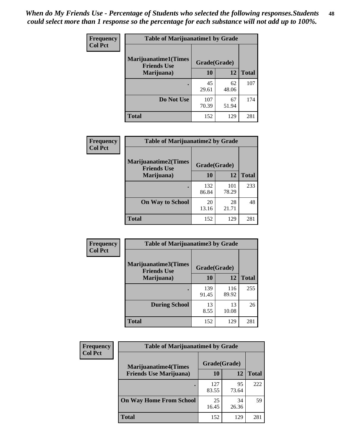| Frequency<br><b>Col Pct</b> | <b>Table of Marijuanatime1 by Grade</b>           |              |             |              |
|-----------------------------|---------------------------------------------------|--------------|-------------|--------------|
|                             | <b>Marijuanatime1(Times</b><br><b>Friends Use</b> | Grade(Grade) |             |              |
|                             | Marijuana)                                        | 10           | 12          | <b>Total</b> |
|                             |                                                   | 45<br>29.61  | 62<br>48.06 | 107          |
|                             | Do Not Use                                        | 107<br>70.39 | 67<br>51.94 | 174          |
|                             | <b>Total</b>                                      | 152          | 129         | 281          |

| <b>Frequency</b> | <b>Table of Marijuanatime2 by Grade</b>           |              |              |              |
|------------------|---------------------------------------------------|--------------|--------------|--------------|
| <b>Col Pct</b>   | <b>Marijuanatime2(Times</b><br><b>Friends Use</b> | Grade(Grade) |              |              |
|                  | Marijuana)                                        | 10           | 12           | <b>Total</b> |
|                  |                                                   | 132<br>86.84 | 101<br>78.29 | 233          |
|                  | <b>On Way to School</b>                           | 20<br>13.16  | 28<br>21.71  | 48           |
|                  | <b>Total</b>                                      | 152          | 129          | 281          |

| Frequency      | <b>Table of Marijuanatime3 by Grade</b>    |              |              |              |  |
|----------------|--------------------------------------------|--------------|--------------|--------------|--|
| <b>Col Pct</b> | Marijuanatime3(Times<br><b>Friends Use</b> | Grade(Grade) |              |              |  |
|                | Marijuana)                                 | 10           | 12           | <b>Total</b> |  |
|                |                                            | 139<br>91.45 | 116<br>89.92 | 255          |  |
|                | <b>During School</b>                       | 13<br>8.55   | 13<br>10.08  | 26           |  |
|                | Total                                      | 152          | 129          | 281          |  |

| <b>Frequency</b><br><b>Col Pct</b> | <b>Table of Marijuanatime4 by Grade</b> |              |             |              |
|------------------------------------|-----------------------------------------|--------------|-------------|--------------|
|                                    | <b>Marijuanatime4</b> (Times            | Grade(Grade) |             |              |
|                                    | <b>Friends Use Marijuana</b> )          | 10           | 12          | <b>Total</b> |
|                                    |                                         | 127<br>83.55 | 95<br>73.64 | 222          |
|                                    | <b>On Way Home From School</b>          | 25<br>16.45  | 34<br>26.36 | 59           |
|                                    | <b>Total</b>                            | 152          | 129         | 281          |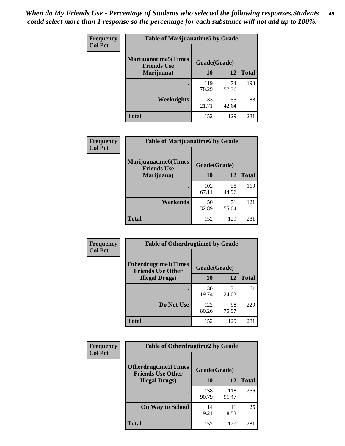| Frequency      | <b>Table of Marijuanatime5 by Grade</b>            |              |             |              |
|----------------|----------------------------------------------------|--------------|-------------|--------------|
| <b>Col Pct</b> | <b>Marijuanatime5</b> (Times<br><b>Friends Use</b> | Grade(Grade) |             |              |
|                | Marijuana)                                         | 10           | 12          | <b>Total</b> |
|                |                                                    | 119<br>78.29 | 74<br>57.36 | 193          |
|                | Weeknights                                         | 33<br>21.71  | 55<br>42.64 | 88           |
|                | <b>Total</b>                                       | 152          | 129         | 281          |

| <b>Frequency</b><br><b>Col Pct</b> | <b>Table of Marijuanatime6 by Grade</b>            |              |             |              |
|------------------------------------|----------------------------------------------------|--------------|-------------|--------------|
|                                    | <b>Marijuanatime6</b> (Times<br><b>Friends Use</b> | Grade(Grade) |             |              |
|                                    | Marijuana)                                         | 10           | 12          | <b>Total</b> |
|                                    |                                                    | 102<br>67.11 | 58<br>44.96 | 160          |
|                                    | Weekends                                           | 50<br>32.89  | 71<br>55.04 | 121          |
|                                    | <b>Total</b>                                       | 152          | 129         | 281          |

| <b>Frequency</b> | <b>Table of Otherdrugtime1 by Grade</b>                  |              |             |              |
|------------------|----------------------------------------------------------|--------------|-------------|--------------|
| <b>Col Pct</b>   | <b>Otherdrugtime1</b> (Times<br><b>Friends Use Other</b> | Grade(Grade) |             |              |
|                  | <b>Illegal Drugs</b> )                                   | 10           | 12          | <b>Total</b> |
|                  |                                                          | 30<br>19.74  | 31<br>24.03 | 61           |
|                  | Do Not Use                                               | 122<br>80.26 | 98<br>75.97 | 220          |
|                  | <b>Total</b>                                             | 152          | 129         | 281          |

| <b>Frequency</b> | <b>Table of Otherdrugtime2 by Grade</b>                 |              |              |              |  |  |  |
|------------------|---------------------------------------------------------|--------------|--------------|--------------|--|--|--|
| <b>Col Pct</b>   | <b>Otherdrugtime2(Times</b><br><b>Friends Use Other</b> | Grade(Grade) |              |              |  |  |  |
|                  | <b>Illegal Drugs</b> )                                  | 10           | 12           | <b>Total</b> |  |  |  |
|                  |                                                         | 138<br>90.79 | 118<br>91.47 | 256          |  |  |  |
|                  | <b>On Way to School</b>                                 | 14<br>9.21   | 11<br>8.53   | 25           |  |  |  |
|                  | <b>Total</b>                                            | 152          | 129          | 281          |  |  |  |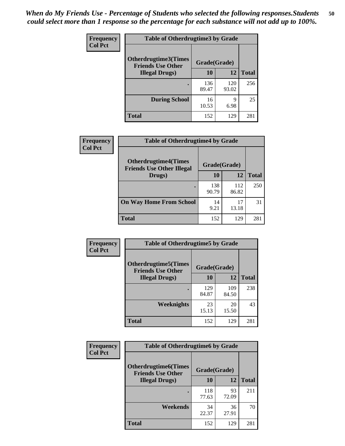| <b>Frequency</b> | <b>Table of Otherdrugtime3 by Grade</b>          |              |              |              |  |  |
|------------------|--------------------------------------------------|--------------|--------------|--------------|--|--|
| <b>Col Pct</b>   | Otherdrugtime3(Times<br><b>Friends Use Other</b> | Grade(Grade) |              |              |  |  |
|                  | <b>Illegal Drugs</b> )                           | 10           | 12           | <b>Total</b> |  |  |
|                  |                                                  | 136<br>89.47 | 120<br>93.02 | 256          |  |  |
|                  | <b>During School</b>                             | 16<br>10.53  | 9<br>6.98    | 25           |  |  |
|                  | Total                                            | 152          | 129          | 281          |  |  |

| Frequency      | <b>Table of Otherdrugtime4 by Grade</b>                         |              |              |              |  |  |
|----------------|-----------------------------------------------------------------|--------------|--------------|--------------|--|--|
| <b>Col Pct</b> | <b>Otherdrugtime4(Times</b><br><b>Friends Use Other Illegal</b> | Grade(Grade) |              |              |  |  |
|                | Drugs)                                                          | 10           | 12           | <b>Total</b> |  |  |
|                | $\bullet$                                                       | 138<br>90.79 | 112<br>86.82 | 250          |  |  |
|                | <b>On Way Home From School</b>                                  | 14<br>9.21   | 17<br>13.18  | 31           |  |  |
|                | <b>Total</b>                                                    | 152          | 129          | 281          |  |  |

| <b>Frequency</b> | <b>Table of Otherdrugtime5 by Grade</b>                  |              |              |              |  |  |  |
|------------------|----------------------------------------------------------|--------------|--------------|--------------|--|--|--|
| <b>Col Pct</b>   | <b>Otherdrugtime5</b> (Times<br><b>Friends Use Other</b> | Grade(Grade) |              |              |  |  |  |
|                  | <b>Illegal Drugs</b> )                                   | 10           | 12           | <b>Total</b> |  |  |  |
|                  |                                                          | 129<br>84.87 | 109<br>84.50 | 238          |  |  |  |
|                  | Weeknights                                               | 23<br>15.13  | 20<br>15.50  | 43           |  |  |  |
|                  | Total                                                    | 152          | 129          | 281          |  |  |  |

| <b>Frequency</b> | <b>Table of Otherdrugtime6 by Grade</b>                 |              |             |              |  |  |
|------------------|---------------------------------------------------------|--------------|-------------|--------------|--|--|
| <b>Col Pct</b>   | <b>Otherdrugtime6(Times</b><br><b>Friends Use Other</b> | Grade(Grade) |             |              |  |  |
|                  | <b>Illegal Drugs</b> )                                  | 10           | 12          | <b>Total</b> |  |  |
|                  |                                                         | 118<br>77.63 | 93<br>72.09 | 211          |  |  |
|                  | Weekends                                                | 34<br>22.37  | 36<br>27.91 | 70           |  |  |
|                  | <b>Total</b>                                            | 152          | 129         | 281          |  |  |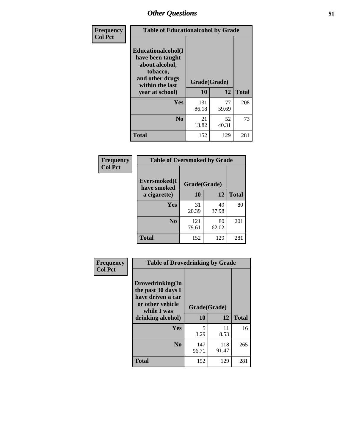| Frequency      | <b>Table of Educationalcohol by Grade</b>                                                                  |              |             |              |  |  |
|----------------|------------------------------------------------------------------------------------------------------------|--------------|-------------|--------------|--|--|
| <b>Col Pct</b> | Educationalcohol(I<br>have been taught<br>about alcohol,<br>tobacco,<br>and other drugs<br>within the last | Grade(Grade) |             |              |  |  |
|                | year at school)                                                                                            | 10           | 12          | <b>Total</b> |  |  |
|                | Yes                                                                                                        | 131<br>86.18 | 77<br>59.69 | 208          |  |  |
|                | N <sub>0</sub>                                                                                             | 21<br>13.82  | 52<br>40.31 | 73           |  |  |
|                | <b>Total</b>                                                                                               | 152          | 129         | 281          |  |  |

| Frequency      | <b>Table of Eversmoked by Grade</b> |              |             |              |  |  |  |
|----------------|-------------------------------------|--------------|-------------|--------------|--|--|--|
| <b>Col Pct</b> | Eversmoked(I<br>have smoked         | Grade(Grade) |             |              |  |  |  |
|                | a cigarette)                        | 10           | 12          | <b>Total</b> |  |  |  |
|                | Yes                                 | 31<br>20.39  | 49<br>37.98 | 80           |  |  |  |
|                | N <sub>0</sub>                      | 121<br>79.61 | 80<br>62.02 | 201          |  |  |  |
|                | <b>Total</b>                        | 152          | 129         | 281          |  |  |  |

| Frequency      | <b>Table of Drovedrinking by Grade</b>                                                                              |                    |              |              |  |  |
|----------------|---------------------------------------------------------------------------------------------------------------------|--------------------|--------------|--------------|--|--|
| <b>Col Pct</b> | Drovedrinking(In<br>the past 30 days I<br>have driven a car<br>or other vehicle<br>while I was<br>drinking alcohol) | Grade(Grade)<br>10 | 12           | <b>Total</b> |  |  |
|                | <b>Yes</b>                                                                                                          | 5<br>3.29          | 11<br>8.53   | 16           |  |  |
|                | N <sub>0</sub>                                                                                                      | 147<br>96.71       | 118<br>91.47 | 265          |  |  |
|                | <b>Total</b>                                                                                                        | 152                | 129          | 281          |  |  |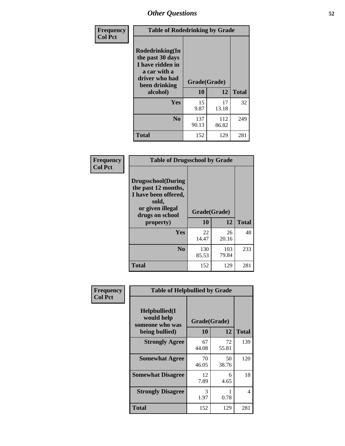| Frequency<br><b>Col Pct</b> | <b>Table of Rodedrinking by Grade</b>                                                                                             |              |              |              |  |  |  |
|-----------------------------|-----------------------------------------------------------------------------------------------------------------------------------|--------------|--------------|--------------|--|--|--|
|                             | <b>Rodedrinking(In</b><br>the past 30 days<br>I have ridden in<br>a car with a<br>driver who had<br>Grade(Grade)<br>been drinking |              |              |              |  |  |  |
|                             | alcohol)                                                                                                                          | 10           | 12           | <b>Total</b> |  |  |  |
|                             | Yes                                                                                                                               | 15<br>9.87   | 17<br>13.18  | 32           |  |  |  |
|                             | N <sub>0</sub>                                                                                                                    | 137<br>90.13 | 112<br>86.82 | 249          |  |  |  |
|                             | <b>Total</b>                                                                                                                      | 152          | 129          | 281          |  |  |  |

#### **Frequency Col Pct**

| <b>Table of Drugsschool by Grade</b>                                                                                      |              |              |              |  |  |  |  |
|---------------------------------------------------------------------------------------------------------------------------|--------------|--------------|--------------|--|--|--|--|
| <b>Drugsschool</b> (During<br>the past 12 months,<br>I have been offered,<br>sold,<br>or given illegal<br>drugs on school | Grade(Grade) |              |              |  |  |  |  |
| property)                                                                                                                 | 10           | 12           | <b>Total</b> |  |  |  |  |
| Yes                                                                                                                       | 22<br>14.47  | 26<br>20.16  | 48           |  |  |  |  |
| N <sub>0</sub>                                                                                                            | 130<br>85.53 | 103<br>79.84 | 233          |  |  |  |  |
| Total                                                                                                                     | 152          | 129          | 281          |  |  |  |  |

| Frequency      | <b>Table of Helpbullied by Grade</b>           |              |             |              |  |  |  |
|----------------|------------------------------------------------|--------------|-------------|--------------|--|--|--|
| <b>Col Pct</b> | Helpbullied(I<br>would help<br>someone who was | Grade(Grade) |             |              |  |  |  |
|                | being bullied)                                 | <b>10</b>    | 12          | <b>Total</b> |  |  |  |
|                | <b>Strongly Agree</b>                          | 67<br>44.08  | 72<br>55.81 | 139          |  |  |  |
|                | <b>Somewhat Agree</b>                          | 70<br>46.05  | 50<br>38.76 | 120          |  |  |  |
|                | <b>Somewhat Disagree</b>                       | 12<br>7.89   | 6<br>4.65   | 18           |  |  |  |
|                | <b>Strongly Disagree</b>                       | 3<br>1.97    | 0.78        | 4            |  |  |  |
|                | <b>Total</b>                                   | 152          | 129         | 281          |  |  |  |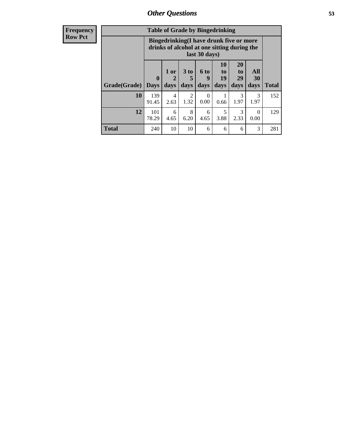| Frequency      | <b>Table of Grade by Bingedrinking</b>                                                                  |                         |                |                        |                              |                        |                               |                   |              |
|----------------|---------------------------------------------------------------------------------------------------------|-------------------------|----------------|------------------------|------------------------------|------------------------|-------------------------------|-------------------|--------------|
| <b>Row Pct</b> | Bingedrinking(I have drunk five or more<br>drinks of alcohol at one sitting during the<br>last 30 days) |                         |                |                        |                              |                        |                               |                   |              |
|                | Grade(Grade)                                                                                            | $\bf{0}$<br><b>Days</b> | $1$ or<br>days | 3 to<br>5<br>days      | 6 <sub>to</sub><br>9<br>days | 10<br>to<br>19<br>days | <b>20</b><br>to<br>29<br>days | All<br>30<br>days | <b>Total</b> |
|                | 10                                                                                                      | 139<br>91.45            | 4<br>2.63      | $\overline{2}$<br>1.32 | 0<br>0.00                    | 0.66                   | $\mathcal{R}$<br>1.97         | 3<br>1.97         | 152          |
|                | 12                                                                                                      | 101<br>78.29            | 6<br>4.65      | 8<br>6.20              | 6<br>4.65                    | 5<br>3.88              | 3<br>2.33                     | $\Omega$<br>0.00  | 129          |
|                | <b>Total</b>                                                                                            | 240                     | 10             | 10                     | 6                            | 6                      | 6                             | 3                 | 281          |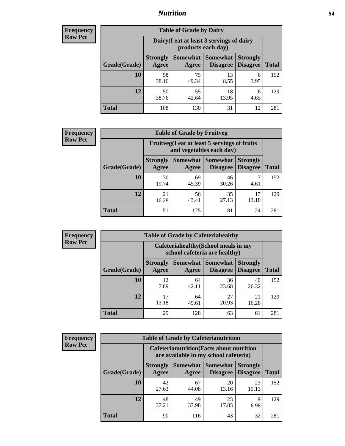### *Nutrition* **54**

| <b>Frequency</b><br>Row Pct |
|-----------------------------|
|                             |

| <b>Table of Grade by Dairy</b> |                          |                                                                 |                                    |                                    |              |
|--------------------------------|--------------------------|-----------------------------------------------------------------|------------------------------------|------------------------------------|--------------|
|                                |                          | Dairy (I eat at least 3 servings of dairy<br>products each day) |                                    |                                    |              |
| Grade(Grade)                   | <b>Strongly</b><br>Agree | <b>Somewhat</b><br>Agree                                        | <b>Somewhat</b><br><b>Disagree</b> | <b>Strongly</b><br><b>Disagree</b> | <b>Total</b> |
| 10                             | 58<br>38.16              | 75<br>49.34                                                     | 13<br>8.55                         | 6<br>3.95                          | 152          |
| 12                             | 50<br>38.76              | 55<br>42.64                                                     | 18<br>13.95                        | 6<br>4.65                          | 129          |
| <b>Total</b>                   | 108                      | 130                                                             | 31                                 | 12                                 | 281          |

| <b>Frequency</b> |  |
|------------------|--|
| <b>Row Pct</b>   |  |

| <b>Table of Grade by Fruitveg</b> |                          |                                                                          |                                 |                                    |              |
|-----------------------------------|--------------------------|--------------------------------------------------------------------------|---------------------------------|------------------------------------|--------------|
|                                   |                          | Fruitveg(I eat at least 5 servings of fruits<br>and vegetables each day) |                                 |                                    |              |
| Grade(Grade)                      | <b>Strongly</b><br>Agree | Agree                                                                    | Somewhat   Somewhat<br>Disagree | <b>Strongly</b><br><b>Disagree</b> | <b>Total</b> |
| 10                                | 30<br>19.74              | 69<br>45.39                                                              | 46<br>30.26                     | 4.61                               | 152          |
| 12                                | 21<br>16.28              | 56<br>43.41                                                              | 35<br>27.13                     | 17<br>13.18                        | 129          |
| <b>Total</b>                      | 51                       | 125                                                                      | 81                              | 24                                 | 281          |

| <b>Frequency</b> | <b>Table of Grade by Cafeteriahealthy</b> |                          |                                                                       |                             |                                    |              |  |
|------------------|-------------------------------------------|--------------------------|-----------------------------------------------------------------------|-----------------------------|------------------------------------|--------------|--|
| <b>Row Pct</b>   |                                           |                          | Cafeteriahealthy (School meals in my<br>school cafeteria are healthy) |                             |                                    |              |  |
|                  | Grade(Grade)                              | <b>Strongly</b><br>Agree | Somewhat<br>Agree                                                     | Somewhat<br><b>Disagree</b> | <b>Strongly</b><br><b>Disagree</b> | <b>Total</b> |  |
|                  | 10                                        | 12<br>7.89               | 64<br>42.11                                                           | 36<br>23.68                 | 40<br>26.32                        | 152          |  |
|                  | 12                                        | 17<br>13.18              | 64<br>49.61                                                           | 27<br>20.93                 | 21<br>16.28                        | 129          |  |
|                  | Total                                     | 29                       | 128                                                                   | 63                          | 61                                 | 281          |  |

| <b>Frequency</b> |
|------------------|
| <b>Row Pct</b>   |

| <b>Table of Grade by Cafeterianutrition</b> |                          |                                                                                           |                             |                                    |              |  |
|---------------------------------------------|--------------------------|-------------------------------------------------------------------------------------------|-----------------------------|------------------------------------|--------------|--|
|                                             |                          | <b>Cafeterianutrition</b> (Facts about nutrition<br>are available in my school cafeteria) |                             |                                    |              |  |
| Grade(Grade)                                | <b>Strongly</b><br>Agree | Somewhat<br>Agree                                                                         | <b>Somewhat</b><br>Disagree | <b>Strongly</b><br><b>Disagree</b> | <b>Total</b> |  |
| 10                                          | 42<br>27.63              | 67<br>44.08                                                                               | 20<br>13.16                 | 23<br>15.13                        | 152          |  |
| 12                                          | 48<br>37.21              | 49<br>37.98                                                                               | 23<br>17.83                 | 9<br>6.98                          | 129          |  |
| <b>Total</b>                                | 90                       | 116                                                                                       | 43                          | 32                                 | 281          |  |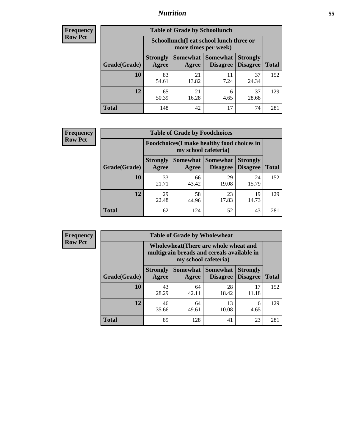### *Nutrition* **55**

| Frequency |
|-----------|
| Row Pct   |

| <b>Table of Grade by Schoollunch</b> |                          |                                                                 |                               |                                    |              |  |
|--------------------------------------|--------------------------|-----------------------------------------------------------------|-------------------------------|------------------------------------|--------------|--|
|                                      |                          | Schoollunch(I eat school lunch three or<br>more times per week) |                               |                                    |              |  |
| Grade(Grade)                         | <b>Strongly</b><br>Agree | Agree                                                           | Somewhat Somewhat<br>Disagree | <b>Strongly</b><br><b>Disagree</b> | <b>Total</b> |  |
| 10                                   | 83<br>54.61              | 21<br>13.82                                                     | 11<br>7.24                    | 37<br>24.34                        | 152          |  |
| 12                                   | 65<br>50.39              | 21<br>16.28                                                     | 6<br>4.65                     | 37<br>28.68                        | 129          |  |
| <b>Total</b>                         | 148                      | 42                                                              | 17                            | 74                                 | 281          |  |

| <b>Frequency</b> |  |
|------------------|--|
| <b>Row Pct</b>   |  |

| <b>Table of Grade by Foodchoices</b> |                          |                                                                     |                                               |                                    |              |  |
|--------------------------------------|--------------------------|---------------------------------------------------------------------|-----------------------------------------------|------------------------------------|--------------|--|
|                                      |                          | Foodchoices (I make healthy food choices in<br>my school cafeteria) |                                               |                                    |              |  |
| Grade(Grade)                         | <b>Strongly</b><br>Agree | Agree                                                               | <b>Somewhat   Somewhat</b><br><b>Disagree</b> | <b>Strongly</b><br><b>Disagree</b> | <b>Total</b> |  |
| 10                                   | 33<br>21.71              | 66<br>43.42                                                         | 29<br>19.08                                   | 24<br>15.79                        | 152          |  |
| 12                                   | 29<br>22.48              | 58<br>44.96                                                         | 23<br>17.83                                   | 19<br>14.73                        | 129          |  |
| Total                                | 62                       | 124                                                                 | 52                                            | 43                                 | 281          |  |

| Frequency      |
|----------------|
| <b>Row Pct</b> |

п

| <b>Table of Grade by Wholewheat</b> |                                                                                                             |                          |                             |                                    |              |  |
|-------------------------------------|-------------------------------------------------------------------------------------------------------------|--------------------------|-----------------------------|------------------------------------|--------------|--|
|                                     | Wholewheat (There are whole wheat and<br>multigrain breads and cereals available in<br>my school cafeteria) |                          |                             |                                    |              |  |
| Grade(Grade)                        | <b>Strongly</b><br>Agree                                                                                    | <b>Somewhat</b><br>Agree | Somewhat<br><b>Disagree</b> | <b>Strongly</b><br><b>Disagree</b> | <b>Total</b> |  |
| 10                                  | 43<br>28.29                                                                                                 | 64<br>42.11              | 28<br>18.42                 | 17<br>11.18                        | 152          |  |
| 12                                  | 46<br>35.66                                                                                                 | 64<br>49.61              | 13<br>10.08                 | 6<br>4.65                          | 129          |  |
| <b>Total</b>                        | 89                                                                                                          | 128                      | 41                          | 23                                 | 281          |  |

Ē,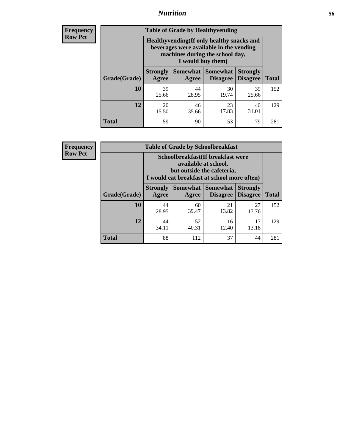### *Nutrition* **56**

**Frequency Row Pct**

| <b>Table of Grade by Healthyvending</b> |                                                                                                                                               |                          |                                    |                                    |              |  |
|-----------------------------------------|-----------------------------------------------------------------------------------------------------------------------------------------------|--------------------------|------------------------------------|------------------------------------|--------------|--|
|                                         | Healthyvending (If only healthy snacks and<br>beverages were available in the vending<br>machines during the school day,<br>I would buy them) |                          |                                    |                                    |              |  |
| Grade(Grade)                            | <b>Strongly</b><br>Agree                                                                                                                      | <b>Somewhat</b><br>Agree | <b>Somewhat</b><br><b>Disagree</b> | <b>Strongly</b><br><b>Disagree</b> | <b>Total</b> |  |
| 10                                      | 39<br>25.66                                                                                                                                   | 44<br>28.95              | 30<br>19.74                        | 39<br>25.66                        | 152          |  |
| 12                                      | 20<br>15.50                                                                                                                                   | 46<br>35.66              | 23<br>17.83                        | 40<br>31.01                        | 129          |  |
| <b>Total</b>                            | 59                                                                                                                                            | 90                       | 53                                 | 79                                 | 281          |  |

**Frequency Row Pct**

| <b>Table of Grade by Schoolbreakfast</b> |                                                                                                                                        |             |                     |                                        |              |  |
|------------------------------------------|----------------------------------------------------------------------------------------------------------------------------------------|-------------|---------------------|----------------------------------------|--------------|--|
|                                          | Schoolbreakfast(If breakfast were<br>available at school,<br>but outside the cafeteria,<br>I would eat breakfast at school more often) |             |                     |                                        |              |  |
| Grade(Grade)                             | <b>Strongly</b><br>Agree                                                                                                               | Agree       | Somewhat   Somewhat | <b>Strongly</b><br>Disagree   Disagree | <b>Total</b> |  |
| 10                                       | 44<br>28.95                                                                                                                            | 60<br>39.47 | 21<br>13.82         | 27<br>17.76                            | 152          |  |
| 12                                       | 44<br>34.11                                                                                                                            | 52<br>40.31 | 16<br>12.40         | 17<br>13.18                            | 129          |  |
| <b>Total</b>                             | 88                                                                                                                                     | 112         | 37                  | 44                                     | 281          |  |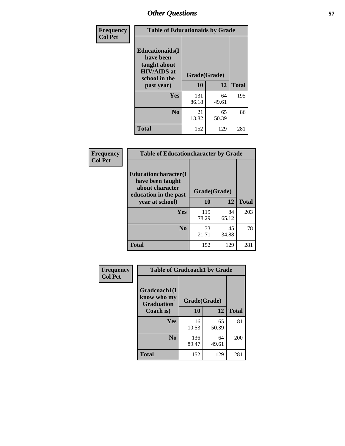| Frequency<br><b>Col Pct</b> | <b>Table of Educationaids by Grade</b>                                                                    |                    |             |              |
|-----------------------------|-----------------------------------------------------------------------------------------------------------|--------------------|-------------|--------------|
|                             | <b>Educationaids</b> (I<br>have been<br>taught about<br><b>HIV/AIDS</b> at<br>school in the<br>past year) | Grade(Grade)<br>10 | 12          | <b>Total</b> |
|                             | Yes                                                                                                       | 131<br>86.18       | 64<br>49.61 | 195          |
|                             | N <sub>0</sub>                                                                                            | 21<br>13.82        | 65<br>50.39 | 86           |
|                             | <b>Total</b>                                                                                              | 152                | 129         | 281          |

| Frequency      | <b>Table of Educationcharacter by Grade</b>                                                  |              |             |              |
|----------------|----------------------------------------------------------------------------------------------|--------------|-------------|--------------|
| <b>Col Pct</b> | <b>Educationcharacter(I)</b><br>have been taught<br>about character<br>education in the past | Grade(Grade) |             |              |
|                | year at school)                                                                              | 10           | 12          | <b>Total</b> |
|                | Yes                                                                                          | 119<br>78.29 | 84<br>65.12 | 203          |
|                | N <sub>0</sub>                                                                               | 33<br>21.71  | 45<br>34.88 | 78           |
|                | <b>Total</b>                                                                                 | 152          | 129         | 281          |

| Frequency      | <b>Table of Gradcoach1 by Grade</b>              |              |             |              |
|----------------|--------------------------------------------------|--------------|-------------|--------------|
| <b>Col Pct</b> | Gradcoach1(I<br>know who my<br><b>Graduation</b> | Grade(Grade) |             |              |
|                | Coach is)                                        | 10           | 12          | <b>Total</b> |
|                | <b>Yes</b>                                       | 16<br>10.53  | 65<br>50.39 | 81           |
|                | N <sub>0</sub>                                   | 136<br>89.47 | 64<br>49.61 | 200          |
|                | <b>Total</b>                                     | 152          | 129         | 281          |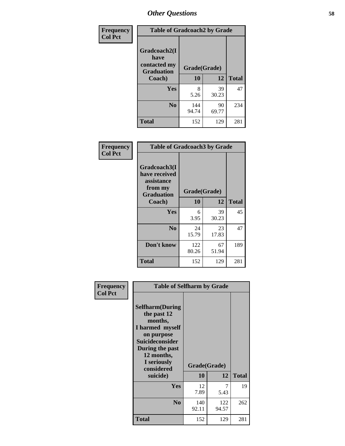| Frequency      | <b>Table of Gradcoach2 by Grade</b> |              |             |              |
|----------------|-------------------------------------|--------------|-------------|--------------|
| <b>Col Pct</b> |                                     |              |             |              |
|                | Gradcoach2(I<br>have                |              |             |              |
|                | contacted my<br><b>Graduation</b>   | Grade(Grade) |             |              |
|                | Coach)                              | 10           | 12          | <b>Total</b> |
|                | Yes                                 | 8<br>5.26    | 39<br>30.23 | 47           |
|                | N <sub>0</sub>                      | 144<br>94.74 | 90<br>69.77 | 234          |
|                | <b>Total</b>                        | 152          | 129         | 281          |

| Frequency<br><b>Col Pct</b> | <b>Table of Gradcoach3 by Grade</b>                                         |              |             |              |
|-----------------------------|-----------------------------------------------------------------------------|--------------|-------------|--------------|
|                             | Gradcoach3(I<br>have received<br>assistance<br>from my<br><b>Graduation</b> | Grade(Grade) |             |              |
|                             | Coach)                                                                      | 10           | 12          | <b>Total</b> |
|                             | <b>Yes</b>                                                                  | 6            | 39          | 45           |
|                             |                                                                             | 3.95         | 30.23       |              |
|                             | N <sub>0</sub>                                                              | 24           | 23          | 47           |
|                             |                                                                             | 15.79        | 17.83       |              |
|                             | Don't know                                                                  | 122<br>80.26 | 67<br>51.94 | 189          |
|                             | <b>Total</b>                                                                | 152          | 129         | 281          |

| Frequency<br><b>Col Pct</b> | <b>Table of Selfharm by Grade</b>                                                                                                                                                      |                    |              |              |
|-----------------------------|----------------------------------------------------------------------------------------------------------------------------------------------------------------------------------------|--------------------|--------------|--------------|
|                             | <b>Selfharm</b> (During<br>the past 12<br>months,<br>I harmed myself<br>on purpose<br><b>Suicideconsider</b><br>During the past<br>12 months,<br>I seriously<br>considered<br>suicide) | Grade(Grade)<br>10 | 12           | <b>Total</b> |
|                             |                                                                                                                                                                                        |                    |              |              |
|                             | Yes                                                                                                                                                                                    | 12<br>7.89         | 7<br>5.43    | 19           |
|                             | N <sub>0</sub>                                                                                                                                                                         | 140<br>92.11       | 122<br>94.57 | 262          |
|                             | <b>Total</b>                                                                                                                                                                           | 152                | 129          | 281          |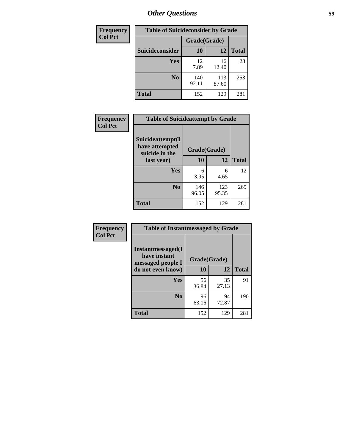| <b>Frequency</b> | <b>Table of Suicideconsider by Grade</b> |              |              |              |
|------------------|------------------------------------------|--------------|--------------|--------------|
| <b>Col Pct</b>   |                                          | Grade(Grade) |              |              |
|                  | Suicideconsider                          | <b>10</b>    | 12           | <b>Total</b> |
|                  | Yes                                      | 12<br>7.89   | 16<br>12.40  | 28           |
|                  | N <sub>0</sub>                           | 140<br>92.11 | 113<br>87.60 | 253          |
|                  | <b>Total</b>                             | 152          | 129          | 281          |

| Frequency      | <b>Table of Suicideattempt by Grade</b>              |              |              |              |
|----------------|------------------------------------------------------|--------------|--------------|--------------|
| <b>Col Pct</b> | Suicideattempt(I<br>have attempted<br>suicide in the | Grade(Grade) |              |              |
|                | last year)                                           | 10           | 12           | <b>Total</b> |
|                | Yes                                                  | 6<br>3.95    | 6<br>4.65    | 12           |
|                | N <sub>0</sub>                                       | 146<br>96.05 | 123<br>95.35 | 269          |
|                | <b>Total</b>                                         | 152          | 129          | 281          |

| Frequency      | <b>Table of Instantmessaged by Grade</b>                       |              |             |              |
|----------------|----------------------------------------------------------------|--------------|-------------|--------------|
| <b>Col Pct</b> | <b>Instantmessaged</b> (I<br>have instant<br>messaged people I | Grade(Grade) |             |              |
|                | do not even know)                                              | 10           | 12          | <b>Total</b> |
|                | Yes                                                            | 56<br>36.84  | 35<br>27.13 | 91           |
|                | N <sub>0</sub>                                                 | 96<br>63.16  | 94<br>72.87 | 190          |
|                | <b>Total</b>                                                   | 152          | 129         | 281          |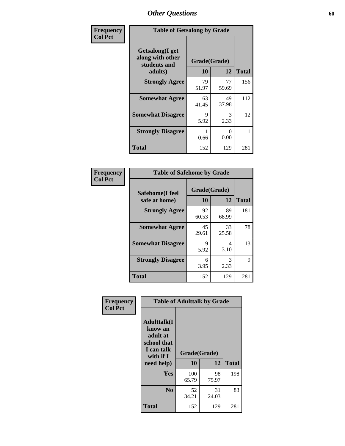| Frequency      | <b>Table of Getsalong by Grade</b>                          |              |             |              |  |  |  |
|----------------|-------------------------------------------------------------|--------------|-------------|--------------|--|--|--|
| <b>Col Pct</b> | <b>Getsalong</b> (I get<br>along with other<br>students and | Grade(Grade) |             |              |  |  |  |
|                | adults)                                                     | 10           | 12          | <b>Total</b> |  |  |  |
|                | <b>Strongly Agree</b>                                       | 79<br>51.97  | 77<br>59.69 | 156          |  |  |  |
|                | <b>Somewhat Agree</b>                                       | 63<br>41.45  | 49<br>37.98 | 112          |  |  |  |
|                | <b>Somewhat Disagree</b>                                    | 9<br>5.92    | 3<br>2.33   | 12           |  |  |  |
|                | <b>Strongly Disagree</b>                                    | 0.66         | 0<br>0.00   |              |  |  |  |
|                | <b>Total</b>                                                | 152          | 129         | 281          |  |  |  |

| Frequency      | <b>Table of Safehome by Grade</b> |                           |             |              |  |  |  |
|----------------|-----------------------------------|---------------------------|-------------|--------------|--|--|--|
| <b>Col Pct</b> | Safehome(I feel<br>safe at home)  | Grade(Grade)<br><b>10</b> | 12          | <b>Total</b> |  |  |  |
|                | <b>Strongly Agree</b>             | 92<br>60.53               | 89<br>68.99 | 181          |  |  |  |
|                | <b>Somewhat Agree</b>             | 45<br>29.61               | 33<br>25.58 | 78           |  |  |  |
|                | <b>Somewhat Disagree</b>          | 9<br>5.92                 | 4<br>3.10   | 13           |  |  |  |
|                | <b>Strongly Disagree</b>          | 6<br>3.95                 | 3<br>2.33   | 9            |  |  |  |
|                | <b>Total</b>                      | 152                       | 129         | 281          |  |  |  |

| Frequency      |                                                                                     | <b>Table of Adulttalk by Grade</b> |             |              |
|----------------|-------------------------------------------------------------------------------------|------------------------------------|-------------|--------------|
| <b>Col Pct</b> | <b>Adulttalk(I</b><br>know an<br>adult at<br>school that<br>I can talk<br>with if I | Grade(Grade)                       |             |              |
|                | need help)                                                                          | 10                                 | 12          | <b>Total</b> |
|                | <b>Yes</b>                                                                          | 100<br>65.79                       | 98<br>75.97 | 198          |
|                | N <sub>0</sub>                                                                      | 52<br>34.21                        | 31<br>24.03 | 83           |
|                | <b>Total</b>                                                                        | 152                                | 129         | 281          |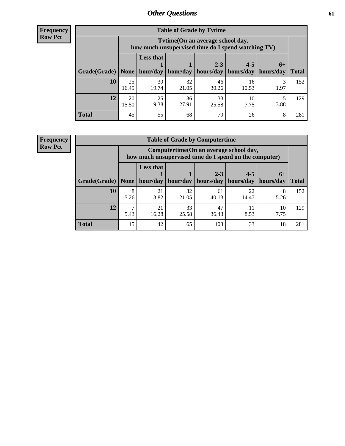**Frequency Row Pct**

| <b>Table of Grade by Tvtime</b> |             |                                                                                         |             |                                 |                       |      |              |  |  |  |
|---------------------------------|-------------|-----------------------------------------------------------------------------------------|-------------|---------------------------------|-----------------------|------|--------------|--|--|--|
|                                 |             | Tvtime (On an average school day,<br>how much unsupervised time do I spend watching TV) |             |                                 |                       |      |              |  |  |  |
|                                 |             | <b>Less that</b>                                                                        |             | $2 - 3$                         | $4 - 5$               | $6+$ |              |  |  |  |
| Grade(Grade)   None             |             |                                                                                         |             | hour/day   hour/day   hours/day | hours/day   hours/day |      | <b>Total</b> |  |  |  |
| 10                              | 25<br>16.45 | 30<br>19.74                                                                             | 32<br>21.05 | 46<br>30.26                     | 16<br>10.53           | 1.97 | 152          |  |  |  |
| 12                              | 20<br>15.50 | 25<br>19.38                                                                             | 36<br>27.91 | 33<br>25.58                     | 10<br>7.75            | 3.88 | 129          |  |  |  |
| <b>Total</b>                    | 45          | 55                                                                                      | 68          | 79                              | 26                    | 8    | 281          |  |  |  |

**Frequency Row Pct**

| <b>Table of Grade by Computertime</b> |           |                                                                                                   |             |                      |                      |                   |              |  |  |  |
|---------------------------------------|-----------|---------------------------------------------------------------------------------------------------|-------------|----------------------|----------------------|-------------------|--------------|--|--|--|
|                                       |           | Computertime (On an average school day,<br>how much unsupervised time do I spend on the computer) |             |                      |                      |                   |              |  |  |  |
| Grade(Grade)                          | None      | <b>Less that</b><br>hour/day                                                                      | hour/day    | $2 - 3$<br>hours/day | $4 - 5$<br>hours/day | $6+$<br>hours/day | <b>Total</b> |  |  |  |
| 10                                    | 8<br>5.26 | 21<br>13.82                                                                                       | 32<br>21.05 | 61<br>40.13          | 22<br>14.47          | 8<br>5.26         | 152          |  |  |  |
| 12                                    | ┑<br>5.43 | 33<br>47<br>21<br>10<br>11<br>16.28<br>25.58<br>8.53<br>7.75<br>36.43                             |             |                      |                      |                   |              |  |  |  |
| <b>Total</b>                          | 15        | 42                                                                                                | 65          | 108                  | 33                   | 18                | 281          |  |  |  |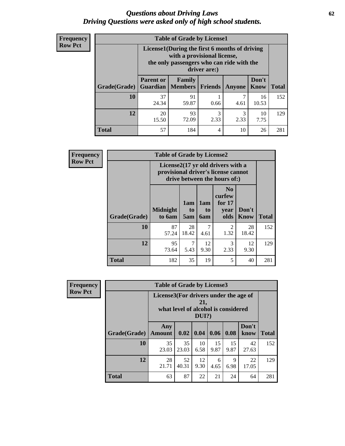#### *Questions about Driving Laws* **62** *Driving Questions were asked only of high school students.*

| <b>Frequency</b> |
|------------------|
| <b>Row Pct</b>   |

| <b>Table of Grade by License1</b> |                                     |                                                                                                                                           |         |        |                      |              |  |  |  |  |
|-----------------------------------|-------------------------------------|-------------------------------------------------------------------------------------------------------------------------------------------|---------|--------|----------------------|--------------|--|--|--|--|
|                                   |                                     | License1(During the first 6 months of driving<br>with a provisional license,<br>the only passengers who can ride with the<br>driver are:) |         |        |                      |              |  |  |  |  |
| <b>Grade</b> (Grade)              | <b>Parent or</b><br><b>Guardian</b> | Family<br>  Members                                                                                                                       | Friends | Anyone | Don't<br><b>Know</b> | <b>Total</b> |  |  |  |  |
| 10                                | 37<br>24.34                         | 91<br>59.87                                                                                                                               | 0.66    | 4.61   | 16<br>10.53          | 152          |  |  |  |  |
| 12                                | 20<br>15.50                         | 3<br>10<br>93<br>3<br>2.33<br>72.09<br>2.33<br>7.75                                                                                       |         |        |                      |              |  |  |  |  |
| <b>Total</b>                      | 57                                  | 184                                                                                                                                       | 4       | 10     | 26                   | 281          |  |  |  |  |

| <b>Frequency</b> | <b>Table of Grade by License2</b>                                                                        |                           |                  |                  |                                                      |                      |              |  |
|------------------|----------------------------------------------------------------------------------------------------------|---------------------------|------------------|------------------|------------------------------------------------------|----------------------|--------------|--|
| <b>Row Pct</b>   | License2(17 yr old drivers with a<br>provisional driver's license cannot<br>drive between the hours of:) |                           |                  |                  |                                                      |                      |              |  |
|                  | Grade(Grade)                                                                                             | <b>Midnight</b><br>to 6am | 1am<br>to<br>5am | 1am<br>to<br>6am | N <sub>0</sub><br>curfew<br>for $17$<br>year<br>olds | Don't<br><b>Know</b> | <b>Total</b> |  |
|                  | 10                                                                                                       | 87<br>57.24               | 28<br>18.42      | 7<br>4.61        | 2<br>1.32                                            | 28<br>18.42          | 152          |  |
|                  | 12                                                                                                       | 95<br>73.64               | 7<br>5.43        | 12<br>9.30       | 3<br>2.33                                            | 12<br>9.30           | 129          |  |
|                  | <b>Total</b>                                                                                             | 182                       | 35               | 19               | 5                                                    | 40                   | 281          |  |

| Frequency      | <b>Table of Grade by License3</b> |                                       |                                     |                 |            |            |               |              |  |
|----------------|-----------------------------------|---------------------------------------|-------------------------------------|-----------------|------------|------------|---------------|--------------|--|
| <b>Row Pct</b> |                                   | License3(For drivers under the age of | what level of alcohol is considered | 21,<br>$DUI$ ?) |            |            |               |              |  |
|                | Grade(Grade)                      | Any<br><b>Amount</b>                  | 0.02                                | 0.04            | 0.06       | 0.08       | Don't<br>know | <b>Total</b> |  |
|                | 10                                | 35<br>23.03                           | 35<br>23.03                         | 10<br>6.58      | 15<br>9.87 | 15<br>9.87 | 42<br>27.63   | 152          |  |
|                | 12                                | 28<br>21.71                           | 52<br>40.31                         | 12<br>9.30      | 6<br>4.65  | 9<br>6.98  | 22<br>17.05   | 129          |  |
|                | <b>Total</b>                      | 63                                    | 87                                  | 22              | 21         | 24         | 64            | 281          |  |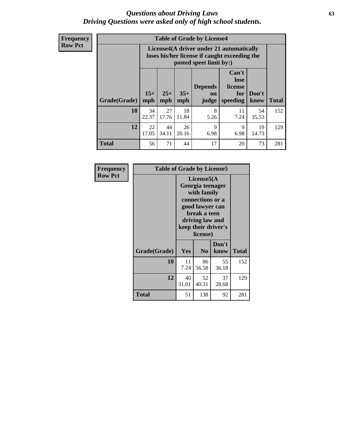#### *Questions about Driving Laws* **63** *Driving Questions were asked only of high school students.*

**Frequency Row Pct**

| <b>Table of Grade by License4</b> |             |                                                                                                                                                                                                                                                                                       |             |           |            |             |     |  |  |
|-----------------------------------|-------------|---------------------------------------------------------------------------------------------------------------------------------------------------------------------------------------------------------------------------------------------------------------------------------------|-------------|-----------|------------|-------------|-----|--|--|
|                                   |             | License4(A driver under 21 automatically<br>loses his/her license if caught exceeding the<br>posted speet limit by:)<br>Can't<br>lose<br><b>Depends</b><br>license<br>$15+$<br>$25+$<br>$35+$<br>Don't<br>for<br><b>on</b><br><b>Total</b><br>mph<br>speeding<br>mph<br>know<br>judge |             |           |            |             |     |  |  |
| Grade(Grade)                      | mph         |                                                                                                                                                                                                                                                                                       |             |           |            |             |     |  |  |
| 10                                | 34<br>22.37 | 27<br>17.76                                                                                                                                                                                                                                                                           | 18<br>11.84 | 8<br>5.26 | 11<br>7.24 | 54<br>35.53 | 152 |  |  |
| 12                                | 22<br>17.05 | 44<br>$\mathbf Q$<br>19<br>26<br>9<br>34.11<br>20.16<br>6.98<br>6.98<br>14.73                                                                                                                                                                                                         |             |           |            |             |     |  |  |
| <b>Total</b>                      | 56          | 71                                                                                                                                                                                                                                                                                    | 44          | 17        | 20         | 73          | 281 |  |  |

| Frequency      | <b>Table of Grade by License5</b> |             |                                                                                                                                                             |               |       |  |
|----------------|-----------------------------------|-------------|-------------------------------------------------------------------------------------------------------------------------------------------------------------|---------------|-------|--|
| <b>Row Pct</b> |                                   |             | License5(A)<br>Georgia teenager<br>with family<br>connections or a<br>good lawyer can<br>break a teen<br>driving law and<br>keep their driver's<br>license) |               |       |  |
|                | Grade(Grade)                      | Yes         | N <sub>0</sub>                                                                                                                                              | Don't<br>know | Total |  |
|                | 10                                | 11<br>7.24  | 86<br>56.58                                                                                                                                                 | 55<br>36.18   | 152   |  |
|                | 12                                | 40<br>31.01 | 52<br>40.31                                                                                                                                                 | 37<br>28.68   | 129   |  |
|                | <b>Total</b>                      | 51          | 138                                                                                                                                                         | 92            | 281   |  |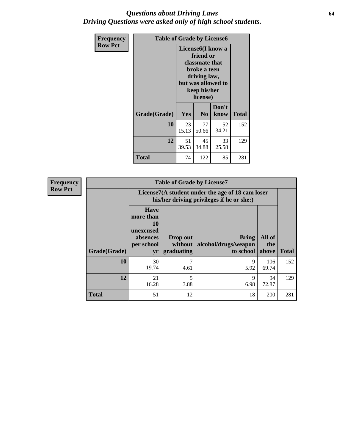#### *Questions about Driving Laws* **64** *Driving Questions were asked only of high school students.*

| <b>Frequency</b> | <b>Table of Grade by License6</b> |                                                                                                                                                 |                |               |              |
|------------------|-----------------------------------|-------------------------------------------------------------------------------------------------------------------------------------------------|----------------|---------------|--------------|
| <b>Row Pct</b>   |                                   | License <sub>6</sub> (I know a<br>friend or<br>classmate that<br>broke a teen<br>driving law,<br>but was allowed to<br>keep his/her<br>license) |                |               |              |
|                  | Grade(Grade)                      | <b>Yes</b>                                                                                                                                      | N <sub>0</sub> | Don't<br>know | <b>Total</b> |
|                  | 10                                | 23<br>15.13                                                                                                                                     | 77<br>50.66    | 52<br>34.21   | 152          |
|                  | 12                                | 51<br>45<br>33<br>39.53<br>34.88<br>25.58                                                                                                       |                |               | 129          |
|                  | <b>Total</b>                      | 74                                                                                                                                              | 122            | 85            | 281          |

| <b>Frequency</b> |              |                                                                             | <b>Table of Grade by License7</b>                                                             |                                                   |                        |              |  |
|------------------|--------------|-----------------------------------------------------------------------------|-----------------------------------------------------------------------------------------------|---------------------------------------------------|------------------------|--------------|--|
| <b>Row Pct</b>   |              |                                                                             | License7(A student under the age of 18 cam loser<br>his/her driving privileges if he or she:) |                                                   |                        |              |  |
|                  | Grade(Grade) | <b>Have</b><br>more than<br>10<br>unexcused<br>absences<br>per school<br>yr | Drop out<br>without  <br>graduating                                                           | <b>Bring</b><br>alcohol/drugs/weapon<br>to school | All of<br>the<br>above | <b>Total</b> |  |
|                  | 10           | 30<br>19.74                                                                 | 7<br>4.61                                                                                     | 9<br>5.92                                         | 106<br>69.74           | 152          |  |
|                  | 12           | 21<br>16.28                                                                 | 5<br>3.88                                                                                     | 9<br>6.98                                         | 94<br>72.87            | 129          |  |
|                  | <b>Total</b> | 51                                                                          | 12                                                                                            | 18                                                | <b>200</b>             | 281          |  |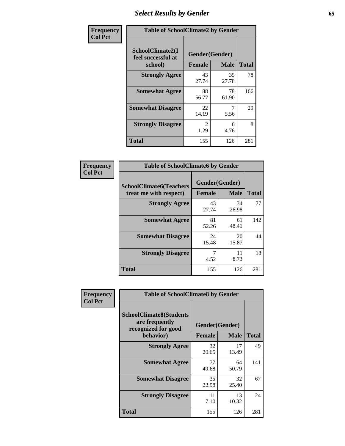# *Select Results by Gender* **65**

| Frequency      | <b>Table of SchoolClimate2 by Gender</b>          |                       |                               |              |
|----------------|---------------------------------------------------|-----------------------|-------------------------------|--------------|
| <b>Col Pct</b> | SchoolClimate2(I<br>feel successful at<br>school) | <b>Female</b>         | Gender(Gender)<br><b>Male</b> | <b>Total</b> |
|                | <b>Strongly Agree</b>                             | 43<br>27.74           | 35<br>27.78                   | 78           |
|                | <b>Somewhat Agree</b>                             | 88<br>56.77           | 78<br>61.90                   | 166          |
|                | <b>Somewhat Disagree</b>                          | 22<br>14.19           | 5.56                          | 29           |
|                | <b>Strongly Disagree</b>                          | $\mathcal{L}$<br>1.29 | 6<br>4.76                     | 8            |
|                | <b>Total</b>                                      | 155                   | 126                           | 281          |

| Frequency      | <b>Table of SchoolClimate6 by Gender</b>                 |                                 |             |              |  |
|----------------|----------------------------------------------------------|---------------------------------|-------------|--------------|--|
| <b>Col Pct</b> | <b>SchoolClimate6(Teachers</b><br>treat me with respect) | Gender(Gender)<br><b>Female</b> | <b>Male</b> | <b>Total</b> |  |
|                | <b>Strongly Agree</b>                                    | 43<br>27.74                     | 34<br>26.98 | 77           |  |
|                | <b>Somewhat Agree</b>                                    | 81<br>52.26                     | 61<br>48.41 | 142          |  |
|                | <b>Somewhat Disagree</b>                                 | 24<br>15.48                     | 20<br>15.87 | 44           |  |
|                | <b>Strongly Disagree</b>                                 | 7<br>4.52                       | 11<br>8.73  | 18           |  |
|                | <b>Total</b>                                             | 155                             | 126         | 281          |  |

| <b>Frequency</b> | <b>Table of SchoolClimate8 by Gender</b>                                             |                                 |                   |     |
|------------------|--------------------------------------------------------------------------------------|---------------------------------|-------------------|-----|
| <b>Col Pct</b>   | <b>SchoolClimate8(Students</b><br>are frequently<br>recognized for good<br>behavior) | Gender(Gender)<br><b>Female</b> | <b>Total</b>      |     |
|                  | <b>Strongly Agree</b>                                                                | 32                              | <b>Male</b><br>17 | 49  |
|                  |                                                                                      | 20.65                           | 13.49             |     |
|                  | <b>Somewhat Agree</b>                                                                | 77<br>49.68                     | 64<br>50.79       | 141 |
|                  | <b>Somewhat Disagree</b>                                                             | 35<br>22.58                     | 32<br>25.40       | 67  |
|                  | <b>Strongly Disagree</b>                                                             | 11<br>7.10                      | 13<br>10.32       | 24  |
|                  | Total                                                                                | 155                             | 126               | 281 |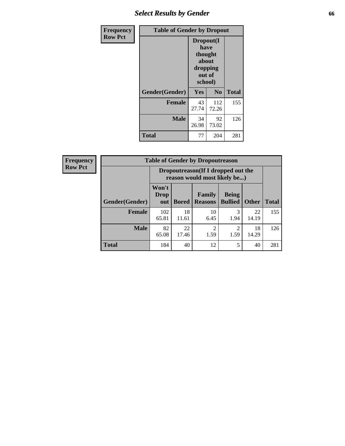# *Select Results by Gender* **66**

| Frequency      | <b>Table of Gender by Dropout</b> |                                                                        |                |              |
|----------------|-----------------------------------|------------------------------------------------------------------------|----------------|--------------|
| <b>Row Pct</b> |                                   | Dropout(I<br>have<br>thought<br>about<br>dropping<br>out of<br>school) |                |              |
|                | Gender(Gender)                    | <b>Yes</b>                                                             | N <sub>0</sub> | <b>Total</b> |
|                | <b>Female</b>                     | 43<br>27.74                                                            | 112<br>72.26   | 155          |
|                | <b>Male</b>                       | 34<br>26.98                                                            | 92<br>73.02    | 126          |
|                | <b>Total</b>                      | 77                                                                     | 204            | 281          |

| <b>Frequency</b> |                |                                                                    | <b>Table of Gender by Dropoutreason</b> |                          |                                |              |              |
|------------------|----------------|--------------------------------------------------------------------|-----------------------------------------|--------------------------|--------------------------------|--------------|--------------|
| <b>Row Pct</b>   |                | Dropoutreason(If I dropped out the<br>reason would most likely be) |                                         |                          |                                |              |              |
|                  | Gender(Gender) | Won't<br><b>Drop</b><br>out                                        | <b>Bored</b>                            | Family<br><b>Reasons</b> | <b>Being</b><br><b>Bullied</b> | <b>Other</b> | <b>Total</b> |
|                  | Female         | 102<br>65.81                                                       | 18<br>11.61                             | 10<br>6.45               | 3<br>1.94                      | 22<br>14.19  | 155          |
|                  | <b>Male</b>    | 82<br>65.08                                                        | 22<br>17.46                             | $\mathfrak{D}$<br>1.59   | っ<br>1.59                      | 18<br>14.29  | 126          |
|                  | <b>Total</b>   | 184                                                                | 40                                      | 12                       | 5                              | 40           | 281          |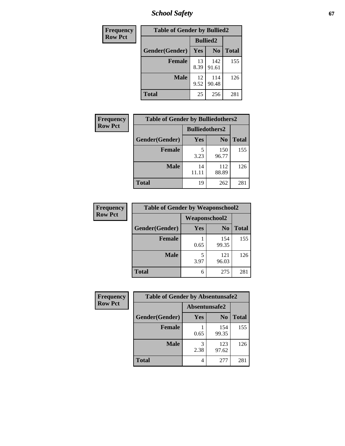*School Safety* **67**

| Frequency      | <b>Table of Gender by Bullied2</b> |                 |                |              |
|----------------|------------------------------------|-----------------|----------------|--------------|
| <b>Row Pct</b> |                                    | <b>Bullied2</b> |                |              |
|                | Gender(Gender)                     | Yes             | N <sub>0</sub> | <b>Total</b> |
|                | <b>Female</b>                      | 13<br>8.39      | 142<br>91.61   | 155          |
|                | <b>Male</b>                        | 12<br>9.52      | 114<br>90.48   | 126          |
|                | <b>Total</b>                       | 25              | 256            | 281          |

| <b>Frequency</b> | <b>Table of Gender by Bulliedothers2</b> |                       |                |              |
|------------------|------------------------------------------|-----------------------|----------------|--------------|
| <b>Row Pct</b>   |                                          | <b>Bulliedothers2</b> |                |              |
|                  | Gender(Gender)                           | Yes                   | N <sub>0</sub> | <b>Total</b> |
|                  | <b>Female</b>                            | 3.23                  | 150<br>96.77   | 155          |
|                  | <b>Male</b>                              | 14<br>11.11           | 112<br>88.89   | 126          |
|                  | <b>Total</b>                             | 19                    | 262            | 281          |

| Frequency      | <b>Table of Gender by Weaponschool2</b> |                      |                |              |
|----------------|-----------------------------------------|----------------------|----------------|--------------|
| <b>Row Pct</b> |                                         | <b>Weaponschool2</b> |                |              |
|                | Gender(Gender)                          | Yes                  | N <sub>0</sub> | <b>Total</b> |
|                | <b>Female</b>                           | 0.65                 | 154<br>99.35   | 155          |
|                | <b>Male</b>                             | 5<br>3.97            | 121<br>96.03   | 126          |
|                | <b>Total</b>                            | 6                    | 275            | 281          |

| Frequency      | <b>Table of Gender by Absentunsafe2</b> |               |                |              |
|----------------|-----------------------------------------|---------------|----------------|--------------|
| <b>Row Pct</b> |                                         | Absentunsafe2 |                |              |
|                | Gender(Gender)                          | Yes           | N <sub>0</sub> | <b>Total</b> |
|                | <b>Female</b>                           | 0.65          | 154<br>99.35   | 155          |
|                | <b>Male</b>                             | 2.38          | 123<br>97.62   | 126          |
|                | <b>Total</b>                            | 4             | 277            | 281          |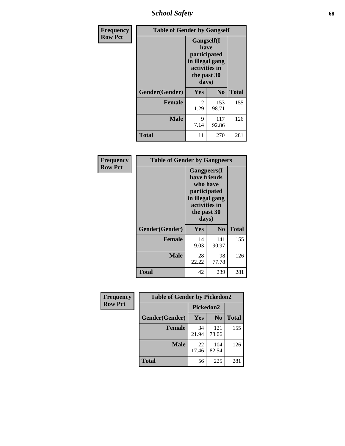*School Safety* **68**

| Frequency      | <b>Table of Gender by Gangself</b> |                                                                                                |                |              |
|----------------|------------------------------------|------------------------------------------------------------------------------------------------|----------------|--------------|
| <b>Row Pct</b> |                                    | Gangself(I<br>have<br>participated<br>in illegal gang<br>activities in<br>the past 30<br>days) |                |              |
|                | Gender(Gender)                     | Yes                                                                                            | N <sub>0</sub> | <b>Total</b> |
|                | <b>Female</b>                      | $\overline{c}$<br>1.29                                                                         | 153<br>98.71   | 155          |
|                | <b>Male</b>                        | 9<br>7.14                                                                                      | 117<br>92.86   | 126          |
|                | <b>Total</b>                       | 11                                                                                             | 270            | 281          |

| Frequency      | <b>Table of Gender by Gangpeers</b> |                                                                                                                             |                |              |
|----------------|-------------------------------------|-----------------------------------------------------------------------------------------------------------------------------|----------------|--------------|
| <b>Row Pct</b> |                                     | <b>Gangpeers</b> (I<br>have friends<br>who have<br>participated<br>in illegal gang<br>activities in<br>the past 30<br>days) |                |              |
|                | Gender(Gender)                      | <b>Yes</b>                                                                                                                  | N <sub>0</sub> | <b>Total</b> |
|                | <b>Female</b>                       | 14<br>9.03                                                                                                                  | 141<br>90.97   | 155          |
|                | <b>Male</b>                         | 28<br>22.22                                                                                                                 | 98<br>77.78    | 126          |
|                | <b>Total</b>                        | 42                                                                                                                          | 239            | 281          |

| Frequency      | <b>Table of Gender by Pickedon2</b> |             |                |              |
|----------------|-------------------------------------|-------------|----------------|--------------|
| <b>Row Pct</b> |                                     | Pickedon2   |                |              |
|                | Gender(Gender)                      | <b>Yes</b>  | N <sub>0</sub> | <b>Total</b> |
|                | <b>Female</b>                       | 34<br>21.94 | 121<br>78.06   | 155          |
|                | <b>Male</b>                         | 22<br>17.46 | 104<br>82.54   | 126          |
|                | <b>Total</b>                        | 56          | 225            | 281          |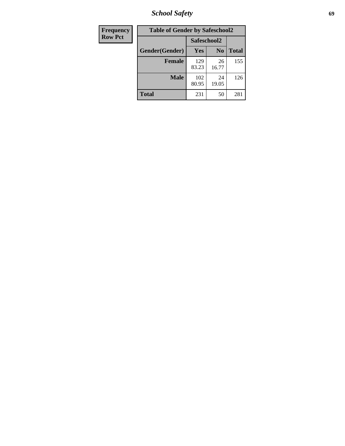*School Safety* **69**

| Frequency      | <b>Table of Gender by Safeschool2</b> |              |                |              |
|----------------|---------------------------------------|--------------|----------------|--------------|
| <b>Row Pct</b> |                                       |              | Safeschool2    |              |
|                | Gender(Gender)                        | Yes          | N <sub>0</sub> | <b>Total</b> |
|                | <b>Female</b>                         | 129<br>83.23 | 26<br>16.77    | 155          |
|                | <b>Male</b>                           | 102<br>80.95 | 24<br>19.05    | 126          |
|                | <b>Total</b>                          | 231          | 50             | 281          |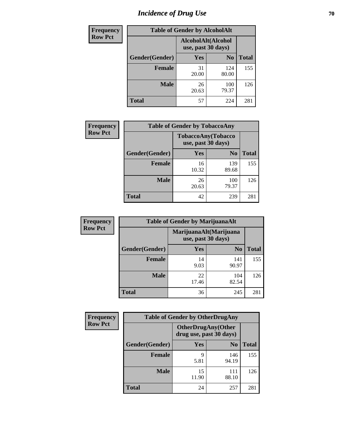# *Incidence of Drug Use* **70**

| <b>Frequency</b> | <b>Table of Gender by AlcoholAlt</b> |                                          |                |              |
|------------------|--------------------------------------|------------------------------------------|----------------|--------------|
| <b>Row Pct</b>   |                                      | AlcoholAlt(Alcohol<br>use, past 30 days) |                |              |
|                  | Gender(Gender)                       | Yes                                      | N <sub>0</sub> | <b>Total</b> |
|                  | <b>Female</b>                        | 31<br>20.00                              | 124<br>80.00   | 155          |
|                  | <b>Male</b>                          | 26<br>20.63                              | 100<br>79.37   | 126          |
|                  | <b>Total</b>                         | 57                                       | 224            | 281          |

| <b>Frequency</b> | <b>Table of Gender by TobaccoAny</b> |                                          |                |              |
|------------------|--------------------------------------|------------------------------------------|----------------|--------------|
| <b>Row Pct</b>   |                                      | TobaccoAny(Tobacco<br>use, past 30 days) |                |              |
|                  | Gender(Gender)                       | Yes                                      | N <sub>0</sub> | <b>Total</b> |
|                  | <b>Female</b>                        | 16<br>10.32                              | 139<br>89.68   | 155          |
|                  | <b>Male</b>                          | 26<br>20.63                              | 100<br>79.37   | 126          |
|                  | <b>Total</b>                         | 42                                       | 239            | 281          |

| <b>Frequency</b> | <b>Table of Gender by MarijuanaAlt</b> |                                              |                |              |
|------------------|----------------------------------------|----------------------------------------------|----------------|--------------|
| <b>Row Pct</b>   |                                        | MarijuanaAlt(Marijuana<br>use, past 30 days) |                |              |
|                  | Gender(Gender)                         | <b>Yes</b>                                   | N <sub>0</sub> | <b>Total</b> |
|                  | <b>Female</b>                          | 14<br>9.03                                   | 141<br>90.97   | 155          |
|                  | <b>Male</b>                            | 22<br>17.46                                  | 104<br>82.54   | 126          |
|                  | <b>Total</b>                           | 36                                           | 245            | 281          |

| <b>Frequency</b> | <b>Table of Gender by OtherDrugAny</b> |                         |                           |              |
|------------------|----------------------------------------|-------------------------|---------------------------|--------------|
| <b>Row Pct</b>   |                                        | drug use, past 30 days) | <b>OtherDrugAny(Other</b> |              |
|                  | Gender(Gender)                         | <b>Yes</b>              | N <sub>0</sub>            | <b>Total</b> |
|                  | <b>Female</b>                          | 9<br>5.81               | 146<br>94.19              | 155          |
|                  | <b>Male</b>                            | 15<br>11.90             | 111<br>88.10              | 126          |
|                  | <b>Total</b>                           | 24                      | 257                       | 281          |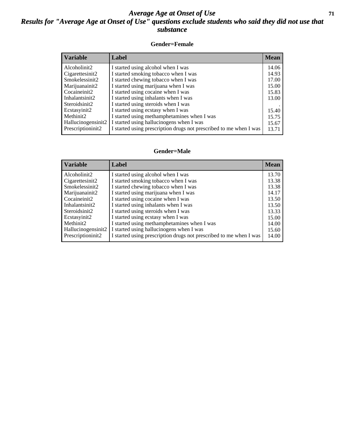#### *Average Age at Onset of Use* **71** *Results for "Average Age at Onset of Use" questions exclude students who said they did not use that substance*

#### **Gender=Female**

| <i><b>Variable</b></i> | Label                                                              | <b>Mean</b> |
|------------------------|--------------------------------------------------------------------|-------------|
| Alcoholinit2           | I started using alcohol when I was                                 | 14.06       |
| Cigarettesinit2        | I started smoking tobacco when I was                               | 14.93       |
| Smokelessinit2         | I started chewing tobacco when I was                               | 17.00       |
| Marijuanainit2         | I started using marijuana when I was                               | 15.00       |
| Cocaineinit2           | I started using cocaine when I was                                 | 15.83       |
| Inhalantsinit2         | I started using inhalants when I was                               | 13.00       |
| Steroidsinit2          | I started using steroids when I was                                |             |
| Ecstasyinit2           | I started using ecstasy when I was                                 | 15.40       |
| Methinit2              | I started using methamphetamines when I was                        | 15.75       |
| Hallucinogensinit2     | I started using hallucinogens when I was                           | 15.67       |
| Prescription in t2     | I started using prescription drugs not prescribed to me when I was | 13.71       |

#### **Gender=Male**

| <b>Variable</b>    | Label                                                              | <b>Mean</b> |
|--------------------|--------------------------------------------------------------------|-------------|
| Alcoholinit2       | I started using alcohol when I was                                 | 13.70       |
| Cigarettesinit2    | I started smoking tobacco when I was                               | 13.38       |
| Smokelessinit2     | I started chewing tobacco when I was                               | 13.38       |
| Marijuanainit2     | I started using marijuana when I was                               | 14.17       |
| Cocaineinit2       | I started using cocaine when I was                                 | 13.50       |
| Inhalantsinit2     | I started using inhalants when I was                               | 13.50       |
| Steroidsinit2      | I started using steroids when I was                                | 13.33       |
| Ecstasyinit2       | I started using ecstasy when I was                                 | 15.00       |
| Methinit2          | I started using methamphetamines when I was                        | 14.00       |
| Hallucinogensinit2 | I started using hallucinogens when I was                           | 15.60       |
| Prescription in t2 | I started using prescription drugs not prescribed to me when I was | 14.00       |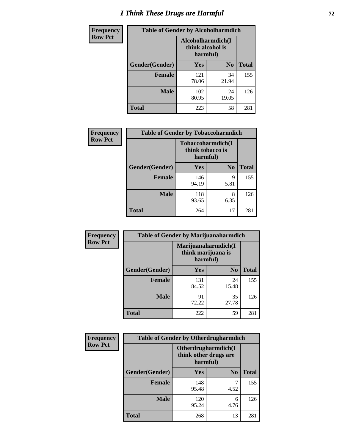# *I Think These Drugs are Harmful* **72**

| <b>Frequency</b> | <b>Table of Gender by Alcoholharmdich</b> |                                                   |                |              |
|------------------|-------------------------------------------|---------------------------------------------------|----------------|--------------|
| <b>Row Pct</b>   |                                           | Alcoholharmdich(I<br>think alcohol is<br>harmful) |                |              |
|                  | Gender(Gender)                            | Yes                                               | N <sub>0</sub> | <b>Total</b> |
|                  | <b>Female</b>                             | 121<br>78.06                                      | 34<br>21.94    | 155          |
|                  | <b>Male</b>                               | 102<br>80.95                                      | 24<br>19.05    | 126          |
|                  | Total                                     | 223                                               | 58             | 281          |

| Frequency      | <b>Table of Gender by Tobaccoharmdich</b> |                                                   |                |              |
|----------------|-------------------------------------------|---------------------------------------------------|----------------|--------------|
| <b>Row Pct</b> |                                           | Tobaccoharmdich(I<br>think tobacco is<br>harmful) |                |              |
|                | Gender(Gender)                            | Yes                                               | N <sub>0</sub> | <b>Total</b> |
|                | <b>Female</b>                             | 146<br>94.19                                      | 9<br>5.81      | 155          |
|                | <b>Male</b>                               | 118<br>93.65                                      | 8<br>6.35      | 126          |
|                | <b>Total</b>                              | 264                                               | 17             | 281          |

| Frequency      | <b>Table of Gender by Marijuanaharmdich</b> |                                                       |                |              |  |
|----------------|---------------------------------------------|-------------------------------------------------------|----------------|--------------|--|
| <b>Row Pct</b> |                                             | Marijuanaharmdich(I<br>think marijuana is<br>harmful) |                |              |  |
|                | Gender(Gender)                              | <b>Yes</b>                                            | N <sub>0</sub> | <b>Total</b> |  |
|                | <b>Female</b>                               | 131<br>84.52                                          | 24<br>15.48    | 155          |  |
|                | <b>Male</b>                                 | 91<br>72.22                                           | 35<br>27.78    | 126          |  |
|                | <b>Total</b>                                | 222                                                   | 59             | 281          |  |

| Frequency      | <b>Table of Gender by Otherdrugharmdich</b> |              |                                                          |              |
|----------------|---------------------------------------------|--------------|----------------------------------------------------------|--------------|
| <b>Row Pct</b> |                                             |              | Otherdrugharmdich(I<br>think other drugs are<br>harmful) |              |
|                | Gender(Gender)                              | <b>Yes</b>   | N <sub>0</sub>                                           | <b>Total</b> |
|                | <b>Female</b>                               | 148<br>95.48 | 4.52                                                     | 155          |
|                | <b>Male</b>                                 | 120<br>95.24 | 6<br>4.76                                                | 126          |
|                | <b>Total</b>                                | 268          | 13                                                       | 281          |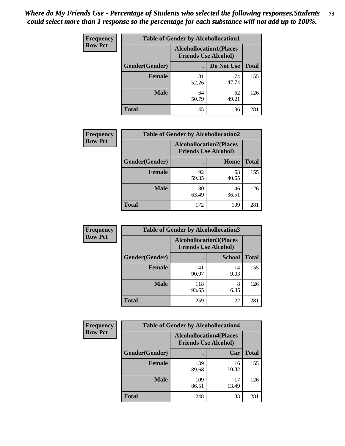| <b>Frequency</b> | <b>Table of Gender by Alcohollocation1</b> |                                                               |             |              |
|------------------|--------------------------------------------|---------------------------------------------------------------|-------------|--------------|
| <b>Row Pct</b>   |                                            | <b>Alcohollocation1(Places</b><br><b>Friends Use Alcohol)</b> |             |              |
|                  | Gender(Gender)                             |                                                               | Do Not Use  | <b>Total</b> |
|                  | <b>Female</b>                              | 81<br>52.26                                                   | 74<br>47.74 | 155          |
|                  | <b>Male</b>                                | 64<br>50.79                                                   | 62<br>49.21 | 126          |
|                  | <b>Total</b>                               | 145                                                           | 136         | 281          |

| <b>Frequency</b> | <b>Table of Gender by Alcohollocation2</b> |             |                                                               |              |
|------------------|--------------------------------------------|-------------|---------------------------------------------------------------|--------------|
| <b>Row Pct</b>   |                                            |             | <b>Alcohollocation2(Places</b><br><b>Friends Use Alcohol)</b> |              |
|                  | Gender(Gender)                             |             | Home                                                          | <b>Total</b> |
|                  | <b>Female</b>                              | 92<br>59.35 | 63<br>40.65                                                   | 155          |
|                  | <b>Male</b>                                | 80<br>63.49 | 46<br>36.51                                                   | 126          |
|                  | <b>Total</b>                               | 172         | 109                                                           | 281          |

| Frequency      | <b>Table of Gender by Alcohollocation3</b> |              |                                                               |              |
|----------------|--------------------------------------------|--------------|---------------------------------------------------------------|--------------|
| <b>Row Pct</b> |                                            |              | <b>Alcohollocation3(Places</b><br><b>Friends Use Alcohol)</b> |              |
|                | Gender(Gender)                             |              | <b>School</b>                                                 | <b>Total</b> |
|                | <b>Female</b>                              | 141<br>90.97 | 14<br>9.03                                                    | 155          |
|                | <b>Male</b>                                | 118<br>93.65 | 8<br>6.35                                                     | 126          |
|                | <b>Total</b>                               | 259          | 22                                                            | 281          |

| Frequency      | <b>Table of Gender by Alcohollocation4</b> |                             |                                |              |  |
|----------------|--------------------------------------------|-----------------------------|--------------------------------|--------------|--|
| <b>Row Pct</b> |                                            | <b>Friends Use Alcohol)</b> | <b>Alcohollocation4(Places</b> |              |  |
|                | Gender(Gender)                             |                             | Car                            | <b>Total</b> |  |
|                | <b>Female</b>                              | 139<br>89.68                | 16<br>10.32                    | 155          |  |
|                | <b>Male</b>                                | 109<br>86.51                | 17<br>13.49                    | 126          |  |
|                | <b>Total</b>                               | 248                         | 33                             | 281          |  |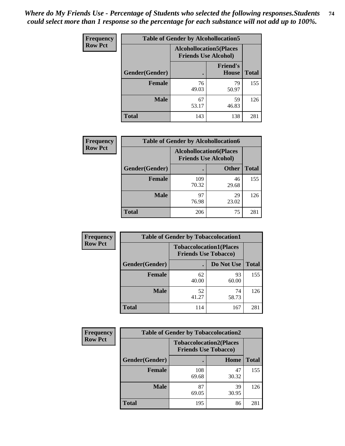| <b>Frequency</b> |                | <b>Table of Gender by Alcohollocation5</b> |                                                               |              |
|------------------|----------------|--------------------------------------------|---------------------------------------------------------------|--------------|
| <b>Row Pct</b>   |                |                                            | <b>Alcohollocation5(Places</b><br><b>Friends Use Alcohol)</b> |              |
|                  | Gender(Gender) | $\bullet$                                  | <b>Friend's</b><br><b>House</b>                               | <b>Total</b> |
|                  | <b>Female</b>  | 76<br>49.03                                | 79<br>50.97                                                   | 155          |
|                  | <b>Male</b>    | 67<br>53.17                                | 59<br>46.83                                                   | 126          |
|                  | <b>Total</b>   | 143                                        | 138                                                           | 281          |

| <b>Frequency</b> | <b>Table of Gender by Alcohollocation6</b> |                                                               |              |              |
|------------------|--------------------------------------------|---------------------------------------------------------------|--------------|--------------|
| <b>Row Pct</b>   |                                            | <b>Alcohollocation6(Places</b><br><b>Friends Use Alcohol)</b> |              |              |
|                  | <b>Gender</b> (Gender)                     | ٠                                                             | <b>Other</b> | <b>Total</b> |
|                  | <b>Female</b>                              | 109<br>70.32                                                  | 46<br>29.68  | 155          |
|                  | <b>Male</b>                                | 97<br>76.98                                                   | 29<br>23.02  | 126          |
|                  | <b>Total</b>                               | 206                                                           | 75           | 281          |

| Frequency      | <b>Table of Gender by Tobaccolocation1</b> |                                                               |             |              |  |
|----------------|--------------------------------------------|---------------------------------------------------------------|-------------|--------------|--|
| <b>Row Pct</b> |                                            | <b>Tobaccolocation1(Places</b><br><b>Friends Use Tobacco)</b> |             |              |  |
|                | Gender(Gender)                             |                                                               | Do Not Use  | <b>Total</b> |  |
|                | Female                                     | 62<br>40.00                                                   | 93<br>60.00 | 155          |  |
|                | <b>Male</b>                                | 52<br>41.27                                                   | 74<br>58.73 | 126          |  |
|                | <b>Total</b>                               | 114                                                           | 167         | 281          |  |

| <b>Frequency</b> | <b>Table of Gender by Tobaccolocation2</b> |                             |                                |              |
|------------------|--------------------------------------------|-----------------------------|--------------------------------|--------------|
| <b>Row Pct</b>   |                                            | <b>Friends Use Tobacco)</b> | <b>Tobaccolocation2(Places</b> |              |
|                  | Gender(Gender)                             |                             | Home                           | <b>Total</b> |
|                  | <b>Female</b>                              | 108<br>69.68                | 47<br>30.32                    | 155          |
|                  | <b>Male</b>                                | 87<br>69.05                 | 39<br>30.95                    | 126          |
|                  | <b>Total</b>                               | 195                         | 86                             | 281          |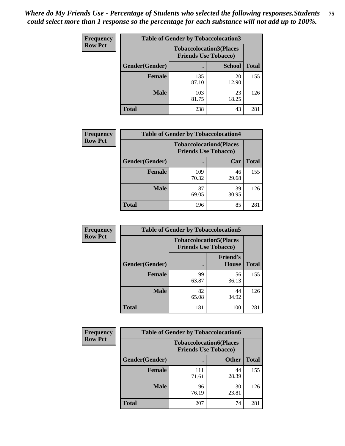| <b>Frequency</b> | <b>Table of Gender by Tobaccolocation3</b> |                                                               |               |              |
|------------------|--------------------------------------------|---------------------------------------------------------------|---------------|--------------|
| <b>Row Pct</b>   |                                            | <b>Tobaccolocation3(Places</b><br><b>Friends Use Tobacco)</b> |               |              |
|                  | Gender(Gender)                             |                                                               | <b>School</b> | <b>Total</b> |
|                  | <b>Female</b>                              | 135<br>87.10                                                  | 20<br>12.90   | 155          |
|                  | <b>Male</b>                                | 103<br>81.75                                                  | 23<br>18.25   | 126          |
|                  | <b>Total</b>                               | 238                                                           | 43            | 281          |

| <b>Frequency</b> | <b>Table of Gender by Tobaccolocation4</b> |                                                               |             |              |
|------------------|--------------------------------------------|---------------------------------------------------------------|-------------|--------------|
| <b>Row Pct</b>   |                                            | <b>Tobaccolocation4(Places</b><br><b>Friends Use Tobacco)</b> |             |              |
|                  | Gender(Gender)                             |                                                               | Car         | <b>Total</b> |
|                  | <b>Female</b>                              | 109<br>70.32                                                  | 46<br>29.68 | 155          |
|                  | <b>Male</b>                                | 87<br>69.05                                                   | 39<br>30.95 | 126          |
|                  | <b>Total</b>                               | 196                                                           | 85          | 281          |

| <b>Frequency</b> | <b>Table of Gender by Tobaccolocation5</b> |                                                               |                          |              |
|------------------|--------------------------------------------|---------------------------------------------------------------|--------------------------|--------------|
| <b>Row Pct</b>   |                                            | <b>Tobaccolocation5(Places</b><br><b>Friends Use Tobacco)</b> |                          |              |
|                  | Gender(Gender)                             |                                                               | <b>Friend's</b><br>House | <b>Total</b> |
|                  | <b>Female</b>                              | 99<br>63.87                                                   | 56<br>36.13              | 155          |
|                  | <b>Male</b>                                | 82<br>65.08                                                   | 44<br>34.92              | 126          |
|                  | <b>Total</b>                               | 181                                                           | 100                      | 281          |

| <b>Frequency</b> | <b>Table of Gender by Tobaccolocation6</b> |                                                               |              |              |
|------------------|--------------------------------------------|---------------------------------------------------------------|--------------|--------------|
| <b>Row Pct</b>   |                                            | <b>Tobaccolocation6(Places</b><br><b>Friends Use Tobacco)</b> |              |              |
|                  | Gender(Gender)                             |                                                               | <b>Other</b> | <b>Total</b> |
|                  | Female                                     | 111<br>71.61                                                  | 44<br>28.39  | 155          |
|                  | <b>Male</b>                                | 96<br>76.19                                                   | 30<br>23.81  | 126          |
|                  | <b>Total</b>                               | 207                                                           | 74           | 281          |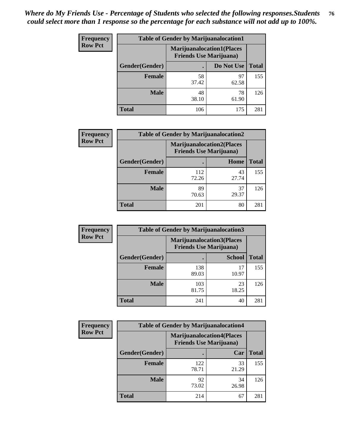| <b>Frequency</b> | <b>Table of Gender by Marijuanalocation1</b> |                                                                    |             |              |
|------------------|----------------------------------------------|--------------------------------------------------------------------|-------------|--------------|
| <b>Row Pct</b>   |                                              | <b>Marijuanalocation1(Places</b><br><b>Friends Use Marijuana</b> ) |             |              |
|                  | Gender(Gender)                               |                                                                    | Do Not Use  | <b>Total</b> |
|                  | <b>Female</b>                                | 58<br>37.42                                                        | 97<br>62.58 | 155          |
|                  | <b>Male</b>                                  | 48<br>38.10                                                        | 78<br>61.90 | 126          |
|                  | Total                                        | 106                                                                | 175         | 281          |

| <b>Frequency</b> | <b>Table of Gender by Marijuanalocation2</b> |                                                                    |             |              |  |
|------------------|----------------------------------------------|--------------------------------------------------------------------|-------------|--------------|--|
| <b>Row Pct</b>   |                                              | <b>Marijuanalocation2(Places</b><br><b>Friends Use Marijuana</b> ) |             |              |  |
|                  | Gender(Gender)                               |                                                                    | Home        | <b>Total</b> |  |
|                  | <b>Female</b>                                | 112<br>72.26                                                       | 43<br>27.74 | 155          |  |
|                  | <b>Male</b>                                  | 89<br>70.63                                                        | 37<br>29.37 | 126          |  |
|                  | <b>Total</b>                                 | 201                                                                | 80          | 281          |  |

| <b>Frequency</b> | <b>Table of Gender by Marijuanalocation3</b> |                                                                     |               |              |
|------------------|----------------------------------------------|---------------------------------------------------------------------|---------------|--------------|
| <b>Row Pct</b>   |                                              | <b>Marijuanalocation3(Places)</b><br><b>Friends Use Marijuana</b> ) |               |              |
|                  | Gender(Gender)                               |                                                                     | <b>School</b> | <b>Total</b> |
|                  | Female                                       | 138<br>89.03                                                        | 17<br>10.97   | 155          |
|                  | <b>Male</b>                                  | 103<br>81.75                                                        | 23<br>18.25   | 126          |
|                  | <b>Total</b>                                 | 241                                                                 | 40            | 281          |

| <b>Frequency</b> | <b>Table of Gender by Marijuanalocation4</b> |                                |                                  |              |
|------------------|----------------------------------------------|--------------------------------|----------------------------------|--------------|
| <b>Row Pct</b>   |                                              | <b>Friends Use Marijuana</b> ) | <b>Marijuanalocation4(Places</b> |              |
|                  | Gender(Gender)                               |                                | Car                              | <b>Total</b> |
|                  | <b>Female</b>                                | 122<br>78.71                   | 33<br>21.29                      | 155          |
|                  | <b>Male</b>                                  | 92<br>73.02                    | 34<br>26.98                      | 126          |
|                  | <b>Total</b>                                 | 214                            | 67                               | 281          |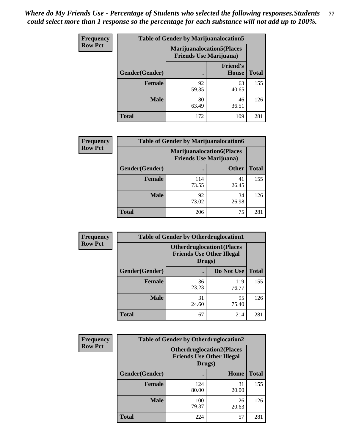| <b>Frequency</b> | <b>Table of Gender by Marijuanalocation5</b> |                                                                     |                                 |              |
|------------------|----------------------------------------------|---------------------------------------------------------------------|---------------------------------|--------------|
| <b>Row Pct</b>   |                                              | <b>Marijuanalocation5</b> (Places<br><b>Friends Use Marijuana</b> ) |                                 |              |
|                  | Gender(Gender)                               |                                                                     | <b>Friend's</b><br><b>House</b> | <b>Total</b> |
|                  | <b>Female</b>                                | 92<br>59.35                                                         | 63<br>40.65                     | 155          |
|                  | <b>Male</b>                                  | 80<br>63.49                                                         | 46<br>36.51                     | 126          |
|                  | <b>Total</b>                                 | 172                                                                 | 109                             | 281          |

| <b>Frequency</b> | <b>Table of Gender by Marijuanalocation6</b> |                                |                                  |              |
|------------------|----------------------------------------------|--------------------------------|----------------------------------|--------------|
| <b>Row Pct</b>   |                                              | <b>Friends Use Marijuana</b> ) | <b>Marijuanalocation6(Places</b> |              |
|                  | <b>Gender</b> (Gender)                       |                                | <b>Other</b>                     | <b>Total</b> |
|                  | Female                                       | 114<br>73.55                   | 41<br>26.45                      | 155          |
|                  | <b>Male</b>                                  | 92<br>73.02                    | 34<br>26.98                      | 126          |
|                  | Total                                        | 206                            | 75                               | 281          |

| <b>Frequency</b> | <b>Table of Gender by Otherdruglocation1</b> |                                                                                |              |              |
|------------------|----------------------------------------------|--------------------------------------------------------------------------------|--------------|--------------|
| <b>Row Pct</b>   |                                              | <b>Otherdruglocation1(Places</b><br><b>Friends Use Other Illegal</b><br>Drugs) |              |              |
|                  | Gender(Gender)                               |                                                                                | Do Not Use   | <b>Total</b> |
|                  | Female                                       | 36<br>23.23                                                                    | 119<br>76.77 | 155          |
|                  | <b>Male</b>                                  | 31<br>24.60                                                                    | 95<br>75.40  | 126          |
|                  | <b>Total</b>                                 | 67                                                                             | 214          | 281          |

| <b>Frequency</b> | <b>Table of Gender by Otherdruglocation2</b>                                    |              |             |              |
|------------------|---------------------------------------------------------------------------------|--------------|-------------|--------------|
| <b>Row Pct</b>   | <b>Otherdruglocation2(Places)</b><br><b>Friends Use Other Illegal</b><br>Drugs) |              |             |              |
|                  | Gender(Gender)                                                                  |              | Home        | <b>Total</b> |
|                  | Female                                                                          | 124<br>80.00 | 31<br>20.00 | 155          |
|                  | <b>Male</b>                                                                     | 100<br>79.37 | 26<br>20.63 | 126          |
|                  | <b>Total</b>                                                                    | 224          | 57          | 281          |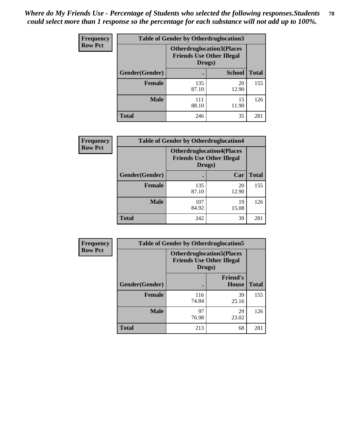| <b>Frequency</b> | <b>Table of Gender by Otherdruglocation3</b> |                                                                                |               |              |
|------------------|----------------------------------------------|--------------------------------------------------------------------------------|---------------|--------------|
| <b>Row Pct</b>   |                                              | <b>Otherdruglocation3(Places</b><br><b>Friends Use Other Illegal</b><br>Drugs) |               |              |
|                  | Gender(Gender)                               |                                                                                | <b>School</b> | <b>Total</b> |
|                  | <b>Female</b>                                | 135<br>87.10                                                                   | 20<br>12.90   | 155          |
|                  | <b>Male</b>                                  | 111<br>88.10                                                                   | 15<br>11.90   | 126          |
|                  | <b>Total</b>                                 | 246                                                                            | 35            | 281          |

| <b>Frequency</b> | <b>Table of Gender by Otherdruglocation4</b> |                                                                                |             |              |
|------------------|----------------------------------------------|--------------------------------------------------------------------------------|-------------|--------------|
| <b>Row Pct</b>   |                                              | <b>Otherdruglocation4(Places</b><br><b>Friends Use Other Illegal</b><br>Drugs) |             |              |
|                  | Gender(Gender)                               |                                                                                | Car         | <b>Total</b> |
|                  | <b>Female</b>                                | 135<br>87.10                                                                   | 20<br>12.90 | 155          |
|                  | <b>Male</b>                                  | 107<br>84.92                                                                   | 19<br>15.08 | 126          |
|                  | <b>Total</b>                                 | 242                                                                            | 39          | 281          |

| Frequency      | <b>Table of Gender by Otherdruglocation5</b> |                                                                                |                                 |              |
|----------------|----------------------------------------------|--------------------------------------------------------------------------------|---------------------------------|--------------|
| <b>Row Pct</b> |                                              | <b>Otherdruglocation5(Places</b><br><b>Friends Use Other Illegal</b><br>Drugs) |                                 |              |
|                | Gender(Gender)                               |                                                                                | <b>Friend's</b><br><b>House</b> | <b>Total</b> |
|                | <b>Female</b>                                | 116<br>74.84                                                                   | 39<br>25.16                     | 155          |
|                | <b>Male</b>                                  | 97<br>76.98                                                                    | 29<br>23.02                     | 126          |
|                | <b>Total</b>                                 | 213                                                                            | 68                              | 281          |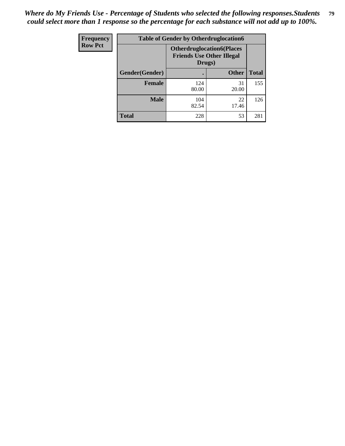| Frequency      | <b>Table of Gender by Otherdruglocation6</b> |                                            |                                  |              |
|----------------|----------------------------------------------|--------------------------------------------|----------------------------------|--------------|
| <b>Row Pct</b> |                                              | <b>Friends Use Other Illegal</b><br>Drugs) | <b>Otherdruglocation6(Places</b> |              |
|                | Gender(Gender)                               |                                            | <b>Other</b>                     | <b>Total</b> |
|                | <b>Female</b>                                | 124<br>80.00                               | 31<br>20.00                      | 155          |
|                | <b>Male</b>                                  | 104<br>82.54                               | 22<br>17.46                      | 126          |
|                | <b>Total</b>                                 | 228                                        | 53                               | 281          |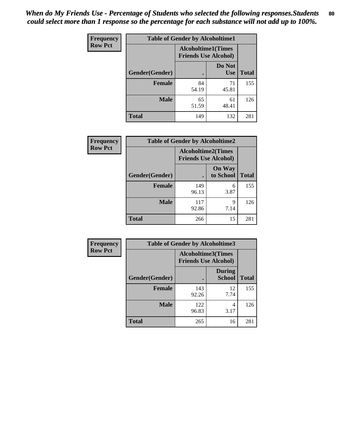| <b>Frequency</b> | <b>Table of Gender by Alcoholtime1</b> |                                                          |                      |              |
|------------------|----------------------------------------|----------------------------------------------------------|----------------------|--------------|
| <b>Row Pct</b>   |                                        | <b>Alcoholtime1(Times</b><br><b>Friends Use Alcohol)</b> |                      |              |
|                  | Gender(Gender)                         | $\bullet$                                                | Do Not<br><b>Use</b> | <b>Total</b> |
|                  | <b>Female</b>                          | 84<br>54.19                                              | 71<br>45.81          | 155          |
|                  | <b>Male</b>                            | 65<br>51.59                                              | 61<br>48.41          | 126          |
|                  | <b>Total</b>                           | 149                                                      | 132                  | 281          |

| Frequency      | <b>Table of Gender by Alcoholtime2</b> |                                                          |                            |              |
|----------------|----------------------------------------|----------------------------------------------------------|----------------------------|--------------|
| <b>Row Pct</b> |                                        | <b>Alcoholtime2(Times</b><br><b>Friends Use Alcohol)</b> |                            |              |
|                | Gender(Gender)                         |                                                          | <b>On Way</b><br>to School | <b>Total</b> |
|                | <b>Female</b>                          | 149<br>96.13                                             | 6<br>3.87                  | 155          |
|                | <b>Male</b>                            | 117<br>92.86                                             | 9<br>7.14                  | 126          |
|                | <b>Total</b>                           | 266                                                      | 15                         | 281          |

| Frequency      | <b>Table of Gender by Alcoholtime3</b> |                                                          |                                |              |
|----------------|----------------------------------------|----------------------------------------------------------|--------------------------------|--------------|
| <b>Row Pct</b> |                                        | <b>Alcoholtime3(Times</b><br><b>Friends Use Alcohol)</b> |                                |              |
|                | Gender(Gender)                         |                                                          | <b>During</b><br><b>School</b> | <b>Total</b> |
|                | <b>Female</b>                          | 143<br>92.26                                             | 12<br>7.74                     | 155          |
|                | <b>Male</b>                            | 122<br>96.83                                             | 4<br>3.17                      | 126          |
|                | <b>Total</b>                           | 265                                                      | 16                             | 281          |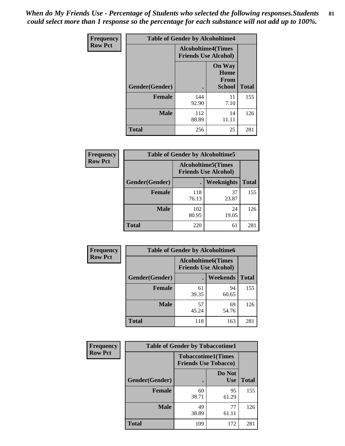*When do My Friends Use - Percentage of Students who selected the following responses.Students could select more than 1 response so the percentage for each substance will not add up to 100%.* **81**

| <b>Frequency</b> | <b>Table of Gender by Alcoholtime4</b> |                                                          |                                                |              |
|------------------|----------------------------------------|----------------------------------------------------------|------------------------------------------------|--------------|
| <b>Row Pct</b>   |                                        | <b>Alcoholtime4(Times</b><br><b>Friends Use Alcohol)</b> |                                                |              |
|                  | Gender(Gender)                         |                                                          | <b>On Way</b><br>Home<br>From<br><b>School</b> | <b>Total</b> |
|                  | <b>Female</b>                          | 144<br>92.90                                             | 11<br>7.10                                     | 155          |
|                  | <b>Male</b>                            | 112<br>88.89                                             | 14<br>11.11                                    | 126          |
|                  | <b>Total</b>                           | 256                                                      | 25                                             | 281          |

| <b>Frequency</b> | <b>Table of Gender by Alcoholtime5</b> |              |                                                           |              |
|------------------|----------------------------------------|--------------|-----------------------------------------------------------|--------------|
| <b>Row Pct</b>   |                                        |              | <b>Alcoholtime5</b> (Times<br><b>Friends Use Alcohol)</b> |              |
|                  | Gender(Gender)                         |              | <b>Weeknights</b>                                         | <b>Total</b> |
|                  | <b>Female</b>                          | 118<br>76.13 | 37<br>23.87                                               | 155          |
|                  | <b>Male</b>                            | 102<br>80.95 | 24<br>19.05                                               | 126          |
|                  | <b>Total</b>                           | 220          | 61                                                        | 281          |

| <b>Frequency</b> |                | <b>Table of Gender by Alcoholtime6</b> |                                                           |              |
|------------------|----------------|----------------------------------------|-----------------------------------------------------------|--------------|
| <b>Row Pct</b>   |                |                                        | <b>Alcoholtime6</b> (Times<br><b>Friends Use Alcohol)</b> |              |
|                  | Gender(Gender) |                                        | Weekends                                                  | <b>Total</b> |
|                  | Female         | 61<br>39.35                            | 94<br>60.65                                               | 155          |
|                  | <b>Male</b>    | 57<br>45.24                            | 69<br>54.76                                               | 126          |
|                  | <b>Total</b>   | 118                                    | 163                                                       | 281          |

| Frequency      | <b>Table of Gender by Tobaccotime1</b> |                                                          |                      |              |
|----------------|----------------------------------------|----------------------------------------------------------|----------------------|--------------|
| <b>Row Pct</b> |                                        | <b>Tobaccotime1(Times</b><br><b>Friends Use Tobacco)</b> |                      |              |
|                | Gender(Gender)                         |                                                          | Do Not<br><b>Use</b> | <b>Total</b> |
|                | Female                                 | 60<br>38.71                                              | 95<br>61.29          | 155          |
|                | <b>Male</b>                            | 49<br>38.89                                              | 77<br>61.11          | 126          |
|                | <b>Total</b>                           | 109                                                      | 172                  | 281          |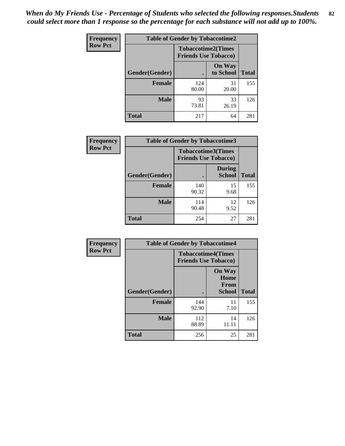*When do My Friends Use - Percentage of Students who selected the following responses.Students could select more than 1 response so the percentage for each substance will not add up to 100%.* **82**

| Frequency      | <b>Table of Gender by Tobaccotime2</b> |                                                          |                            |              |
|----------------|----------------------------------------|----------------------------------------------------------|----------------------------|--------------|
| <b>Row Pct</b> |                                        | <b>Tobaccotime2(Times</b><br><b>Friends Use Tobacco)</b> |                            |              |
|                | Gender(Gender)                         | $\bullet$                                                | <b>On Way</b><br>to School | <b>Total</b> |
|                | <b>Female</b>                          | 124<br>80.00                                             | 31<br>20.00                | 155          |
|                | <b>Male</b>                            | 93<br>73.81                                              | 33<br>26.19                | 126          |
|                | <b>Total</b>                           | 217                                                      | 64                         | 281          |

| Frequency      | <b>Table of Gender by Tobaccotime3</b> |                                                          |                                |              |
|----------------|----------------------------------------|----------------------------------------------------------|--------------------------------|--------------|
| <b>Row Pct</b> |                                        | <b>Tobaccotime3(Times</b><br><b>Friends Use Tobacco)</b> |                                |              |
|                | Gender(Gender)                         |                                                          | <b>During</b><br><b>School</b> | <b>Total</b> |
|                | <b>Female</b>                          | 140<br>90.32                                             | 15<br>9.68                     | 155          |
|                | <b>Male</b>                            | 114<br>90.48                                             | 12<br>9.52                     | 126          |
|                | <b>Total</b>                           | 254                                                      | 27                             | 281          |

| <b>Frequency</b> | <b>Table of Gender by Tobaccotime4</b> |                                                          |                                                       |              |
|------------------|----------------------------------------|----------------------------------------------------------|-------------------------------------------------------|--------------|
| <b>Row Pct</b>   |                                        | <b>Tobaccotime4(Times</b><br><b>Friends Use Tobacco)</b> |                                                       |              |
|                  | Gender(Gender)                         |                                                          | <b>On Way</b><br>Home<br><b>From</b><br><b>School</b> | <b>Total</b> |
|                  | <b>Female</b>                          | 144<br>92.90                                             | 11<br>7.10                                            | 155          |
|                  | <b>Male</b>                            | 112<br>88.89                                             | 14<br>11.11                                           | 126          |
|                  | <b>Total</b>                           | 256                                                      | 25                                                    | 281          |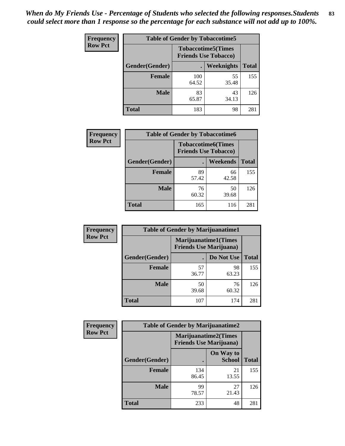| Frequency      | <b>Table of Gender by Tobaccotime5</b> |              |                                                          |              |
|----------------|----------------------------------------|--------------|----------------------------------------------------------|--------------|
| <b>Row Pct</b> |                                        |              | <b>Tobaccotime5(Times</b><br><b>Friends Use Tobacco)</b> |              |
|                | <b>Gender</b> (Gender)                 |              | Weeknights                                               | <b>Total</b> |
|                | <b>Female</b>                          | 100<br>64.52 | 55<br>35.48                                              | 155          |
|                | <b>Male</b>                            | 83<br>65.87  | 43<br>34.13                                              | 126          |
|                | <b>Total</b>                           | 183          | 98                                                       | 281          |

| Frequency      |                | <b>Table of Gender by Tobaccotime6</b>                   |                 |              |
|----------------|----------------|----------------------------------------------------------|-----------------|--------------|
| <b>Row Pct</b> |                | <b>Tobaccotime6(Times</b><br><b>Friends Use Tobacco)</b> |                 |              |
|                | Gender(Gender) |                                                          | <b>Weekends</b> | <b>Total</b> |
|                | Female         | 89<br>57.42                                              | 66<br>42.58     | 155          |
|                | <b>Male</b>    | 76<br>60.32                                              | 50<br>39.68     | 126          |
|                | <b>Total</b>   | 165                                                      | 116             | 281          |

| <b>Frequency</b> | <b>Table of Gender by Marijuanatime1</b> |                                |                             |              |
|------------------|------------------------------------------|--------------------------------|-----------------------------|--------------|
| <b>Row Pct</b>   |                                          | <b>Friends Use Marijuana</b> ) | <b>Marijuanatime1(Times</b> |              |
|                  | Gender(Gender)                           |                                | Do Not Use                  | <b>Total</b> |
|                  | <b>Female</b>                            | 57<br>36.77                    | 98<br>63.23                 | 155          |
|                  | <b>Male</b>                              | 50<br>39.68                    | 76<br>60.32                 | 126          |
|                  | <b>Total</b>                             | 107                            | 174                         | 281          |

| <b>Frequency</b> | <b>Table of Gender by Marijuanatime2</b> |                                                               |                            |              |
|------------------|------------------------------------------|---------------------------------------------------------------|----------------------------|--------------|
| <b>Row Pct</b>   |                                          | <b>Marijuanatime2(Times</b><br><b>Friends Use Marijuana</b> ) |                            |              |
|                  | Gender(Gender)                           |                                                               | On Way to<br><b>School</b> | <b>Total</b> |
|                  | Female                                   | 134<br>86.45                                                  | 21<br>13.55                | 155          |
|                  | <b>Male</b>                              | 99<br>78.57                                                   | 27<br>21.43                | 126          |
|                  | <b>Total</b>                             | 233                                                           | 48                         | 281          |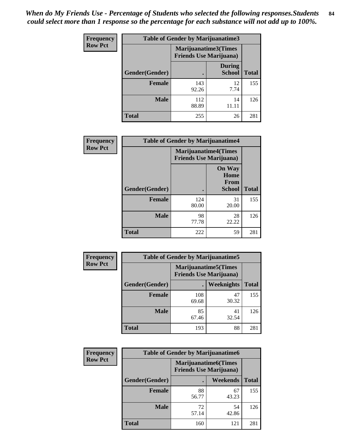*When do My Friends Use - Percentage of Students who selected the following responses.Students could select more than 1 response so the percentage for each substance will not add up to 100%.* **84**

| <b>Frequency</b> | Table of Gender by Marijuanatime3 |                                                        |                                |              |
|------------------|-----------------------------------|--------------------------------------------------------|--------------------------------|--------------|
| <b>Row Pct</b>   |                                   | Marijuanatime3(Times<br><b>Friends Use Marijuana</b> ) |                                |              |
|                  | Gender(Gender)                    |                                                        | <b>During</b><br><b>School</b> | <b>Total</b> |
|                  | <b>Female</b>                     | 143<br>92.26                                           | 12<br>7.74                     | 155          |
|                  | <b>Male</b>                       | 112<br>88.89                                           | 14<br>11.11                    | 126          |
|                  | <b>Total</b>                      | 255                                                    | 26                             | 281          |

| Frequency      | <b>Table of Gender by Marijuanatime4</b> |                                |                                                       |              |
|----------------|------------------------------------------|--------------------------------|-------------------------------------------------------|--------------|
| <b>Row Pct</b> |                                          | <b>Friends Use Marijuana</b> ) | <b>Marijuanatime4</b> (Times                          |              |
|                | Gender(Gender)                           |                                | <b>On Way</b><br>Home<br><b>From</b><br><b>School</b> | <b>Total</b> |
|                | <b>Female</b>                            | 124<br>80.00                   | 31<br>20.00                                           | 155          |
|                | <b>Male</b>                              | 98<br>77.78                    | 28<br>22.22                                           | 126          |
|                | <b>Total</b>                             | 222                            | 59                                                    | 281          |

| Frequency      | <b>Table of Gender by Marijuanatime5</b> |              |                                                                |              |  |
|----------------|------------------------------------------|--------------|----------------------------------------------------------------|--------------|--|
| <b>Row Pct</b> |                                          |              | <b>Marijuanatime5</b> (Times<br><b>Friends Use Marijuana</b> ) |              |  |
|                | Gender(Gender)                           |              | Weeknights                                                     | <b>Total</b> |  |
|                | <b>Female</b>                            | 108<br>69.68 | 47<br>30.32                                                    | 155          |  |
|                | <b>Male</b>                              | 85<br>67.46  | 41<br>32.54                                                    | 126          |  |
|                | <b>Total</b>                             | 193          | 88                                                             | 281          |  |

| <b>Frequency</b> | <b>Table of Gender by Marijuanatime6</b> |                                                                |             |              |
|------------------|------------------------------------------|----------------------------------------------------------------|-------------|--------------|
| <b>Row Pct</b>   |                                          | <b>Marijuanatime6</b> (Times<br><b>Friends Use Marijuana</b> ) |             |              |
|                  | <b>Gender</b> (Gender)                   |                                                                | Weekends    | <b>Total</b> |
|                  | <b>Female</b>                            | 88<br>56.77                                                    | 67<br>43.23 | 155          |
|                  | <b>Male</b>                              | 72<br>57.14                                                    | 54<br>42.86 | 126          |
|                  | <b>Total</b>                             | 160                                                            | 121         | 281          |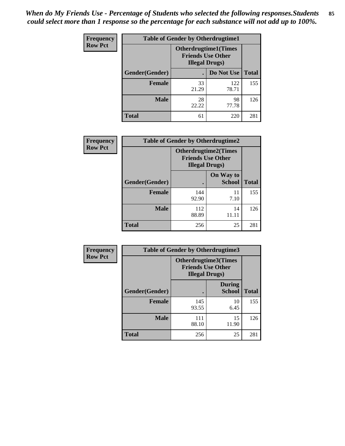*When do My Friends Use - Percentage of Students who selected the following responses.Students could select more than 1 response so the percentage for each substance will not add up to 100%.* **85**

| <b>Frequency</b> | <b>Table of Gender by Otherdrugtime1</b> |                                                                                    |              |              |
|------------------|------------------------------------------|------------------------------------------------------------------------------------|--------------|--------------|
| <b>Row Pct</b>   |                                          | <b>Otherdrugtime1</b> (Times<br><b>Friends Use Other</b><br><b>Illegal Drugs</b> ) |              |              |
|                  | Gender(Gender)                           |                                                                                    | Do Not Use   | <b>Total</b> |
|                  | <b>Female</b>                            | 33<br>21.29                                                                        | 122<br>78.71 | 155          |
|                  | <b>Male</b>                              | 28<br>22.22                                                                        | 98<br>77.78  | 126          |
|                  | <b>Total</b>                             | 61                                                                                 | 220          | 281          |

| Frequency      |                | <b>Table of Gender by Otherdrugtime2</b>                                          |                            |              |
|----------------|----------------|-----------------------------------------------------------------------------------|----------------------------|--------------|
| <b>Row Pct</b> |                | <b>Otherdrugtime2(Times</b><br><b>Friends Use Other</b><br><b>Illegal Drugs</b> ) |                            |              |
|                | Gender(Gender) |                                                                                   | On Way to<br><b>School</b> | <b>Total</b> |
|                | <b>Female</b>  | 144<br>92.90                                                                      | 11<br>7.10                 | 155          |
|                | <b>Male</b>    | 112<br>88.89                                                                      | 14<br>11.11                | 126          |
|                | <b>Total</b>   | 256                                                                               | 25                         | 281          |

| Frequency      | <b>Table of Gender by Otherdrugtime3</b> |                                                                           |                                |              |
|----------------|------------------------------------------|---------------------------------------------------------------------------|--------------------------------|--------------|
| <b>Row Pct</b> |                                          | Otherdrugtime3(Times<br><b>Friends Use Other</b><br><b>Illegal Drugs)</b> |                                |              |
|                | Gender(Gender)                           |                                                                           | <b>During</b><br><b>School</b> | <b>Total</b> |
|                | <b>Female</b>                            | 145<br>93.55                                                              | 10<br>6.45                     | 155          |
|                | <b>Male</b>                              | 111<br>88.10                                                              | 15<br>11.90                    | 126          |
|                | <b>Total</b>                             | 256                                                                       | 25                             | 281          |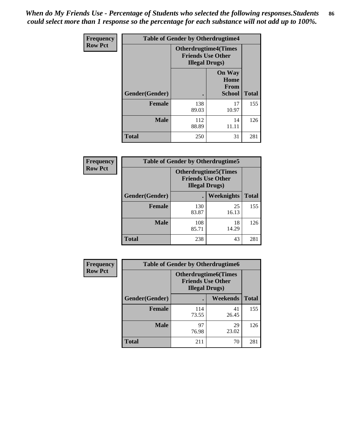*When do My Friends Use - Percentage of Students who selected the following responses.Students could select more than 1 response so the percentage for each substance will not add up to 100%.* **86**

| <b>Frequency</b> | <b>Table of Gender by Otherdrugtime4</b> |                                                                                   |                                                       |              |
|------------------|------------------------------------------|-----------------------------------------------------------------------------------|-------------------------------------------------------|--------------|
| <b>Row Pct</b>   |                                          | <b>Otherdrugtime4(Times</b><br><b>Friends Use Other</b><br><b>Illegal Drugs</b> ) |                                                       |              |
|                  | Gender(Gender)                           |                                                                                   | <b>On Way</b><br>Home<br><b>From</b><br><b>School</b> | <b>Total</b> |
|                  | Female                                   | 138<br>89.03                                                                      | 17<br>10.97                                           | 155          |
|                  | <b>Male</b>                              | 112<br>88.89                                                                      | 14<br>11.11                                           | 126          |
|                  | <b>Total</b>                             | 250                                                                               | 31                                                    | 281          |

| Frequency      | <b>Table of Gender by Otherdrugtime5</b> |                                                                                    |                   |              |
|----------------|------------------------------------------|------------------------------------------------------------------------------------|-------------------|--------------|
| <b>Row Pct</b> |                                          | <b>Otherdrugtime5</b> (Times<br><b>Friends Use Other</b><br><b>Illegal Drugs</b> ) |                   |              |
|                | Gender(Gender)                           |                                                                                    | <b>Weeknights</b> | <b>Total</b> |
|                | <b>Female</b>                            | 130<br>83.87                                                                       | 25<br>16.13       | 155          |
|                | <b>Male</b>                              | 108<br>85.71                                                                       | 18<br>14.29       | 126          |
|                | <b>Total</b>                             | 238                                                                                | 43                | 281          |

| <b>Frequency</b> | <b>Table of Gender by Otherdrugtime6</b> |                                                                                   |                 |              |
|------------------|------------------------------------------|-----------------------------------------------------------------------------------|-----------------|--------------|
| <b>Row Pct</b>   |                                          | <b>Otherdrugtime6(Times</b><br><b>Friends Use Other</b><br><b>Illegal Drugs</b> ) |                 |              |
|                  | Gender(Gender)                           |                                                                                   | <b>Weekends</b> | <b>Total</b> |
|                  | <b>Female</b>                            | 114<br>73.55                                                                      | 41<br>26.45     | 155          |
|                  | <b>Male</b>                              | 97<br>76.98                                                                       | 29<br>23.02     | 126          |
|                  | <b>Total</b>                             | 211                                                                               | 70              | 281          |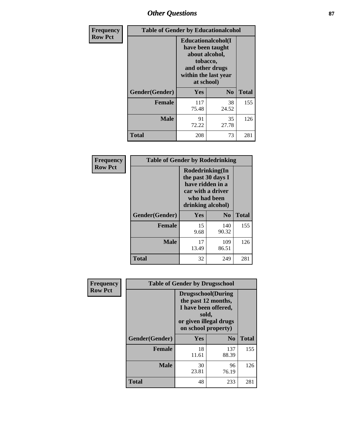# *Other Questions* **87**

| <b>Frequency</b> | <b>Table of Gender by Educationalcohol</b> |                                                                                                                                       |                |              |  |
|------------------|--------------------------------------------|---------------------------------------------------------------------------------------------------------------------------------------|----------------|--------------|--|
| <b>Row Pct</b>   |                                            | <b>Educationalcohol</b> (I<br>have been taught<br>about alcohol,<br>tobacco,<br>and other drugs<br>within the last year<br>at school) |                |              |  |
|                  | Gender(Gender)                             | <b>Yes</b>                                                                                                                            | N <sub>0</sub> | <b>Total</b> |  |
|                  | <b>Female</b>                              | 117<br>75.48                                                                                                                          | 38<br>24.52    | 155          |  |
|                  | <b>Male</b>                                | 91<br>72.22                                                                                                                           | 35<br>27.78    | 126          |  |
|                  | <b>Total</b>                               | 208                                                                                                                                   | 73             | 281          |  |

| Frequency      | <b>Table of Gender by Rodedrinking</b> |                                                                                                                     |                |              |  |
|----------------|----------------------------------------|---------------------------------------------------------------------------------------------------------------------|----------------|--------------|--|
| <b>Row Pct</b> |                                        | Rodedrinking(In<br>the past 30 days I<br>have ridden in a<br>car with a driver<br>who had been<br>drinking alcohol) |                |              |  |
|                | Gender(Gender)                         | Yes                                                                                                                 | N <sub>0</sub> | <b>Total</b> |  |
|                | <b>Female</b>                          | 15<br>9.68                                                                                                          | 140<br>90.32   | 155          |  |
|                | <b>Male</b>                            | 17<br>13.49                                                                                                         | 109<br>86.51   | 126          |  |
|                | <b>Total</b>                           | 32                                                                                                                  | 249            | 281          |  |

| Frequency      | <b>Table of Gender by Drugsschool</b> |                                                                                                                                     |                |              |  |
|----------------|---------------------------------------|-------------------------------------------------------------------------------------------------------------------------------------|----------------|--------------|--|
| <b>Row Pct</b> |                                       | <b>Drugsschool</b> (During<br>the past 12 months,<br>I have been offered,<br>sold,<br>or given illegal drugs<br>on school property) |                |              |  |
|                | Gender(Gender)                        | <b>Yes</b>                                                                                                                          | N <sub>0</sub> | <b>Total</b> |  |
|                | <b>Female</b>                         | 18<br>11.61                                                                                                                         | 137<br>88.39   | 155          |  |
|                | <b>Male</b>                           | 30<br>23.81                                                                                                                         | 96<br>76.19    | 126          |  |
|                | <b>Total</b>                          | 48                                                                                                                                  | 233            | 281          |  |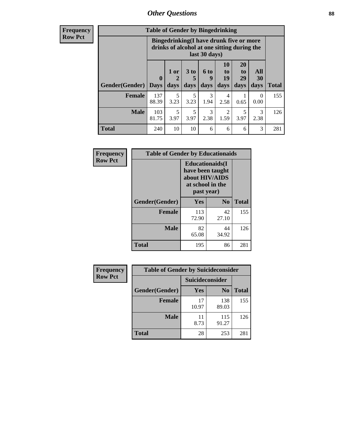## *Other Questions* **88**

**Frequency Row Pct**

| <b>Table of Gender by Bingedrinking</b> |                         |                                                                                                         |                   |                   |                        |                               |                   |              |
|-----------------------------------------|-------------------------|---------------------------------------------------------------------------------------------------------|-------------------|-------------------|------------------------|-------------------------------|-------------------|--------------|
|                                         |                         | Bingedrinking(I have drunk five or more<br>drinks of alcohol at one sitting during the<br>last 30 days) |                   |                   |                        |                               |                   |              |
| <b>Gender</b> (Gender)                  | $\bf{0}$<br><b>Days</b> | 1 or<br>days                                                                                            | 3 to<br>5<br>days | 6 to<br>9<br>days | 10<br>to<br>19<br>days | <b>20</b><br>to<br>29<br>days | All<br>30<br>days | <b>Total</b> |
| <b>Female</b>                           | 137<br>88.39            | 5<br>3.23                                                                                               | 5<br>3.23         | 3<br>1.94         | 4<br>2.58              | 0.65                          | 0<br>0.00         | 155          |
| <b>Male</b>                             | 103<br>81.75            | 5<br>3.97                                                                                               | 5<br>3.97         | 3<br>2.38         | $\overline{2}$<br>1.59 | 5<br>3.97                     | 3<br>2.38         | 126          |
| <b>Total</b>                            | 240                     | 10                                                                                                      | 10                | 6                 | 6                      | 6                             | 3                 | 281          |

| Frequency      | <b>Table of Gender by Educationaids</b> |                                                                                                 |             |              |  |
|----------------|-----------------------------------------|-------------------------------------------------------------------------------------------------|-------------|--------------|--|
| <b>Row Pct</b> |                                         | <b>Educationaids</b> (I<br>have been taught<br>about HIV/AIDS<br>at school in the<br>past year) |             |              |  |
|                | Gender(Gender)                          | Yes                                                                                             | $\bf N_0$   | <b>Total</b> |  |
|                | <b>Female</b>                           | 113<br>72.90                                                                                    | 42<br>27.10 | 155          |  |
|                | <b>Male</b>                             | 82<br>65.08                                                                                     | 44<br>34.92 | 126          |  |
|                | <b>Total</b>                            | 195                                                                                             | 86          | 281          |  |

| Frequency      | <b>Table of Gender by Suicideconsider</b> |                 |                |              |  |
|----------------|-------------------------------------------|-----------------|----------------|--------------|--|
| <b>Row Pct</b> |                                           | Suicideconsider |                |              |  |
|                | Gender(Gender)                            | Yes             | N <sub>0</sub> | <b>Total</b> |  |
|                | <b>Female</b>                             | 17<br>10.97     | 138<br>89.03   | 155          |  |
|                | <b>Male</b>                               | 11<br>8.73      | 115<br>91.27   | 126          |  |
|                | <b>Total</b>                              | 28              | 253            | 281          |  |